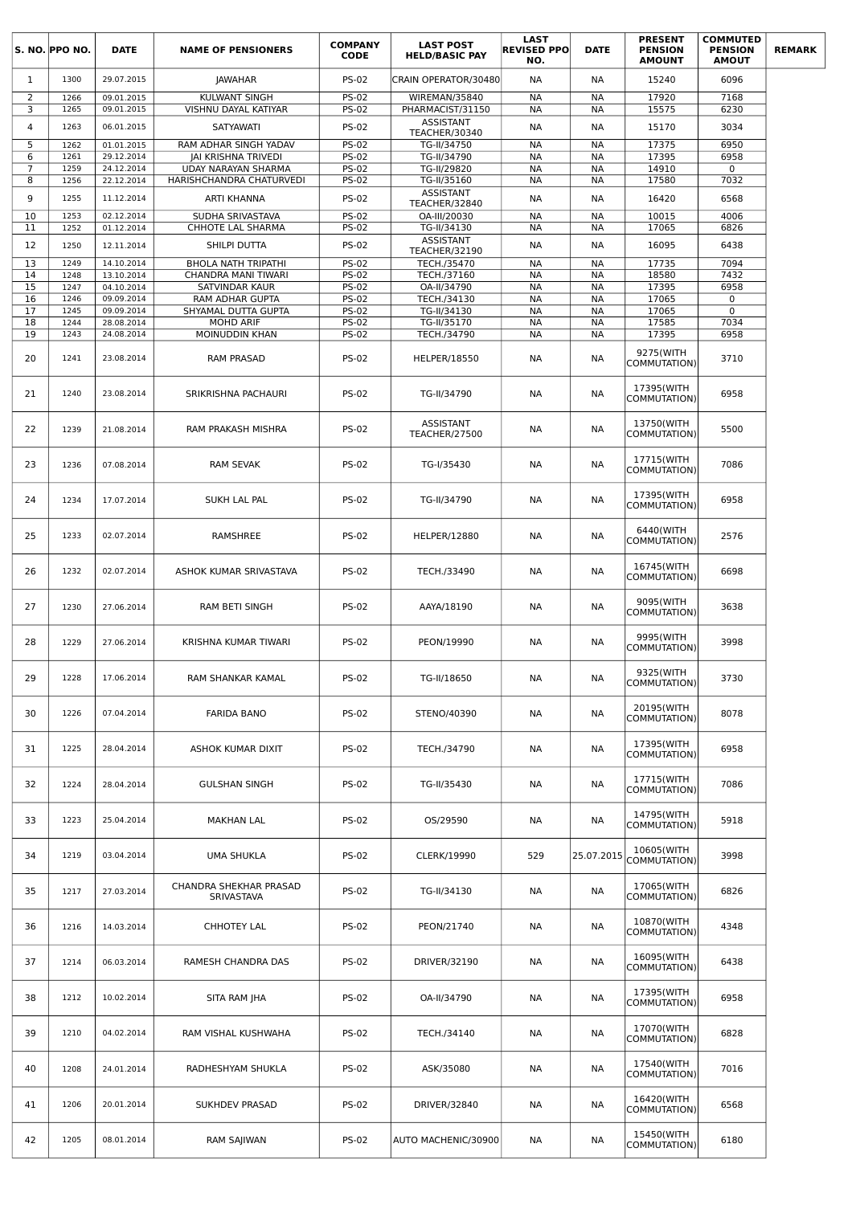|                | S. NO. PPO NO. | <b>DATE</b>              | <b>NAME OF PENSIONERS</b>             | <b>COMPANY</b><br><b>CODE</b> | <b>LAST POST</b><br><b>HELD/BASIC PAY</b> | <b>LAST</b><br><b>REVISED PPO</b><br>NO. | <b>DATE</b>            | <b>PRESENT</b><br><b>PENSION</b><br><b>AMOUNT</b> | <b>COMMUTED</b><br><b>PENSION</b><br><b>AMOUT</b> | <b>REMARK</b> |
|----------------|----------------|--------------------------|---------------------------------------|-------------------------------|-------------------------------------------|------------------------------------------|------------------------|---------------------------------------------------|---------------------------------------------------|---------------|
| $\mathbf{1}$   | 1300           | 29.07.2015               | <b>JAWAHAR</b>                        | <b>PS-02</b>                  | CRAIN OPERATOR/30480                      | <b>NA</b>                                | NА                     | 15240                                             | 6096                                              |               |
| 2              | 1266           | 09.01.2015               | <b>KULWANT SINGH</b>                  | <b>PS-02</b>                  | WIREMAN/35840                             | <b>NA</b>                                | <b>NA</b>              | 17920                                             | 7168                                              |               |
| 3              | 1265           | 09.01.2015               | VISHNU DAYAL KATIYAR                  | <b>PS-02</b>                  | PHARMACIST/31150                          | <b>NA</b>                                | <b>NA</b>              | 15575                                             | 6230                                              |               |
| 4              | 1263           | 06.01.2015               | <b>SATYAWATI</b>                      | <b>PS-02</b>                  | <b>ASSISTANT</b>                          | <b>NA</b>                                | NА                     | 15170                                             | 3034                                              |               |
| 5              | 1262           | 01.01.2015               | RAM ADHAR SINGH YADAV                 | PS-02                         | TEACHER/30340<br>TG-II/34750              | <b>NA</b>                                | <b>NA</b>              | 17375                                             | 6950                                              |               |
| 6              | 1261           | 29.12.2014               | <b>JAI KRISHNA TRIVEDI</b>            | <b>PS-02</b>                  | TG-II/34790                               | <b>NA</b>                                | <b>NA</b>              | 17395                                             | 6958                                              |               |
| $\overline{7}$ | 1259           | 24.12.2014               | <b>UDAY NARAYAN SHARMA</b>            | <b>PS-02</b>                  | TG-II/29820                               | <b>NA</b>                                | <b>NA</b>              | 14910                                             | $\mathbf 0$                                       |               |
| 8              | 1256           | 22.12.2014               | HARISHCHANDRA CHATURVEDI              | <b>PS-02</b>                  | TG-II/35160                               | NА                                       | <b>NA</b>              | 17580                                             | 7032                                              |               |
| 9              | 1255           | 11.12.2014               | ARTI KHANNA                           | <b>PS-02</b>                  | <b>ASSISTANT</b>                          | <b>NA</b>                                | NА                     | 16420                                             | 6568                                              |               |
|                | 1253           |                          |                                       |                               | TEACHER/32840                             |                                          |                        |                                                   |                                                   |               |
| 10<br>11       | 1252           | 02.12.2014<br>01.12.2014 | SUDHA SRIVASTAVA<br>CHHOTE LAL SHARMA | <b>PS-02</b><br><b>PS-02</b>  | OA-III/20030<br>TG-II/34130               | <b>NA</b><br>NА                          | <b>NA</b><br>NА        | 10015<br>17065                                    | 4006<br>6826                                      |               |
|                |                |                          |                                       |                               | <b>ASSISTANT</b>                          |                                          |                        |                                                   |                                                   |               |
| 12             | 1250           | 12.11.2014               | SHILPI DUTTA                          | <b>PS-02</b>                  | TEACHER/32190                             | <b>NA</b>                                | NА                     | 16095                                             | 6438                                              |               |
| 13             | 1249           | 14.10.2014               | <b>BHOLA NATH TRIPATHI</b>            | <b>PS-02</b>                  | TECH./35470                               | <b>NA</b>                                | <b>NA</b>              | 17735                                             | 7094                                              |               |
| 14<br>15       | 1248           | 13.10.2014               | CHANDRA MANI TIWARI<br>SATVINDAR KAUR | <b>PS-02</b><br><b>PS-02</b>  | TECH./37160<br>OA-II/34790                | <b>NA</b><br><b>NA</b>                   | <b>NA</b><br><b>NA</b> | 18580<br>17395                                    | 7432<br>6958                                      |               |
| 16             | 1247<br>1246   | 04.10.2014<br>09.09.2014 | RAM ADHAR GUPTA                       | <b>PS-02</b>                  | TECH./34130                               | <b>NA</b>                                | <b>NA</b>              | 17065                                             | $\mathbf 0$                                       |               |
| 17             | 1245           | 09.09.2014               | SHYAMAL DUTTA GUPTA                   | <b>PS-02</b>                  | TG-II/34130                               | <b>NA</b>                                | <b>NA</b>              | 17065                                             | 0                                                 |               |
| 18             | 1244           | 28.08.2014               | <b>MOHD ARIF</b>                      | <b>PS-02</b>                  | TG-II/35170                               | NА                                       | NА                     | 17585                                             | 7034                                              |               |
| 19             | 1243           | 24.08.2014               | MOINUDDIN KHAN                        | <b>PS-02</b>                  | TECH./34790                               | NА                                       | <b>NA</b>              | 17395                                             | 6958                                              |               |
| 20             | 1241           | 23.08.2014               | <b>RAM PRASAD</b>                     | <b>PS-02</b>                  | <b>HELPER/18550</b>                       | NА                                       | NА                     | 9275(WITH<br>COMMUTATION)                         | 3710                                              |               |
| 21             | 1240           | 23.08.2014               | SRIKRISHNA PACHAURI                   | <b>PS-02</b>                  | TG-II/34790                               | NА                                       | NА                     | 17395(WITH<br>COMMUTATION)                        | 6958                                              |               |
| 22             | 1239           | 21.08.2014               | RAM PRAKASH MISHRA                    | <b>PS-02</b>                  | ASSISTANT<br>TEACHER/27500                | NА                                       | NА                     | 13750(WITH<br>COMMUTATION)                        | 5500                                              |               |
| 23             | 1236           | 07.08.2014               | <b>RAM SEVAK</b>                      | <b>PS-02</b>                  | TG-I/35430                                | NА                                       | NА                     | 17715(WITH<br>COMMUTATION)                        | 7086                                              |               |
| 24             | 1234           | 17.07.2014               | SUKH LAL PAL                          | <b>PS-02</b>                  | TG-II/34790                               | NА                                       | NА                     | 17395(WITH<br>COMMUTATION)                        | 6958                                              |               |
| 25             | 1233           | 02.07.2014               | RAMSHREE                              | <b>PS-02</b>                  | <b>HELPER/12880</b>                       | NА                                       | NА                     | 6440(WITH<br>COMMUTATION)                         | 2576                                              |               |
| 26             | 1232           | 02.07.2014               | ASHOK KUMAR SRIVASTAVA                | <b>PS-02</b>                  | TECH./33490                               | NА                                       | NА                     | 16745(WITH<br>COMMUTATION)                        | 6698                                              |               |
| 27             | 1230           | 27.06.2014               | RAM BETI SINGH                        | <b>PS-02</b>                  | AAYA/18190                                | NА                                       | NA                     | 9095(WITH<br>COMMUTATION)                         | 3638                                              |               |
| 28             | 1229           | 27.06.2014               | KRISHNA KUMAR TIWARI                  | <b>PS-02</b>                  | PEON/19990                                | NА                                       | NА                     | 9995(WITH<br>COMMUTATION)                         | 3998                                              |               |
| 29             | 1228           | 17.06.2014               | RAM SHANKAR KAMAL                     | <b>PS-02</b>                  | TG-II/18650                               | NА                                       | NА                     | 9325(WITH<br>COMMUTATION)                         | 3730                                              |               |
| 30             | 1226           | 07.04.2014               | <b>FARIDA BANO</b>                    | <b>PS-02</b>                  | STENO/40390                               | <b>NA</b>                                | NA                     | 20195(WITH<br>COMMUTATION)                        | 8078                                              |               |
| 31             | 1225           | 28.04.2014               | ASHOK KUMAR DIXIT                     | <b>PS-02</b>                  | TECH./34790                               | NА                                       | NA                     | 17395(WITH<br>COMMUTATION)                        | 6958                                              |               |
| 32             | 1224           | 28.04.2014               | <b>GULSHAN SINGH</b>                  | <b>PS-02</b>                  | TG-II/35430                               | NА                                       | NA                     | 17715(WITH<br>COMMUTATION)                        | 7086                                              |               |
| 33             | 1223           | 25.04.2014               | <b>MAKHAN LAL</b>                     | <b>PS-02</b>                  | OS/29590                                  | NА                                       | NA                     | 14795(WITH<br>COMMUTATION)                        | 5918                                              |               |
| 34             | 1219           | 03.04.2014               | UMA SHUKLA                            | <b>PS-02</b>                  | CLERK/19990                               | 529                                      | 25.07.2015             | 10605(WITH<br>COMMUTATION)                        | 3998                                              |               |
| 35             | 1217           | 27.03.2014               | CHANDRA SHEKHAR PRASAD<br>SRIVASTAVA  | <b>PS-02</b>                  | TG-II/34130                               | <b>NA</b>                                | NA                     | 17065(WITH<br>COMMUTATION)                        | 6826                                              |               |
| 36             | 1216           | 14.03.2014               | <b>CHHOTEY LAL</b>                    | <b>PS-02</b>                  | PEON/21740                                | NА                                       | NA                     | 10870(WITH<br>COMMUTATION)                        | 4348                                              |               |
| 37             | 1214           | 06.03.2014               | RAMESH CHANDRA DAS                    | <b>PS-02</b>                  | DRIVER/32190                              | <b>NA</b>                                | NA                     | 16095(WITH<br>COMMUTATION)                        | 6438                                              |               |
| 38             | 1212           | 10.02.2014               | SITA RAM JHA                          | <b>PS-02</b>                  | OA-II/34790                               | NА                                       | NA                     | 17395(WITH<br>COMMUTATION)                        | 6958                                              |               |
| 39             | 1210           | 04.02.2014               | RAM VISHAL KUSHWAHA                   | <b>PS-02</b>                  | TECH./34140                               | <b>NA</b>                                | NA                     | 17070(WITH<br>COMMUTATION)                        | 6828                                              |               |
| 40             | 1208           | 24.01.2014               | RADHESHYAM SHUKLA                     | <b>PS-02</b>                  | ASK/35080                                 | NА                                       | NA                     | 17540(WITH<br>COMMUTATION)                        | 7016                                              |               |
| 41             | 1206           | 20.01.2014               | SUKHDEV PRASAD                        | <b>PS-02</b>                  | DRIVER/32840                              | NА                                       | NА                     | 16420(WITH<br>COMMUTATION)                        | 6568                                              |               |
| 42             | 1205           | 08.01.2014               | RAM SAJIWAN                           | <b>PS-02</b>                  | AUTO MACHENIC/30900                       | NА                                       | NA                     | 15450(WITH<br>COMMUTATION)                        | 6180                                              |               |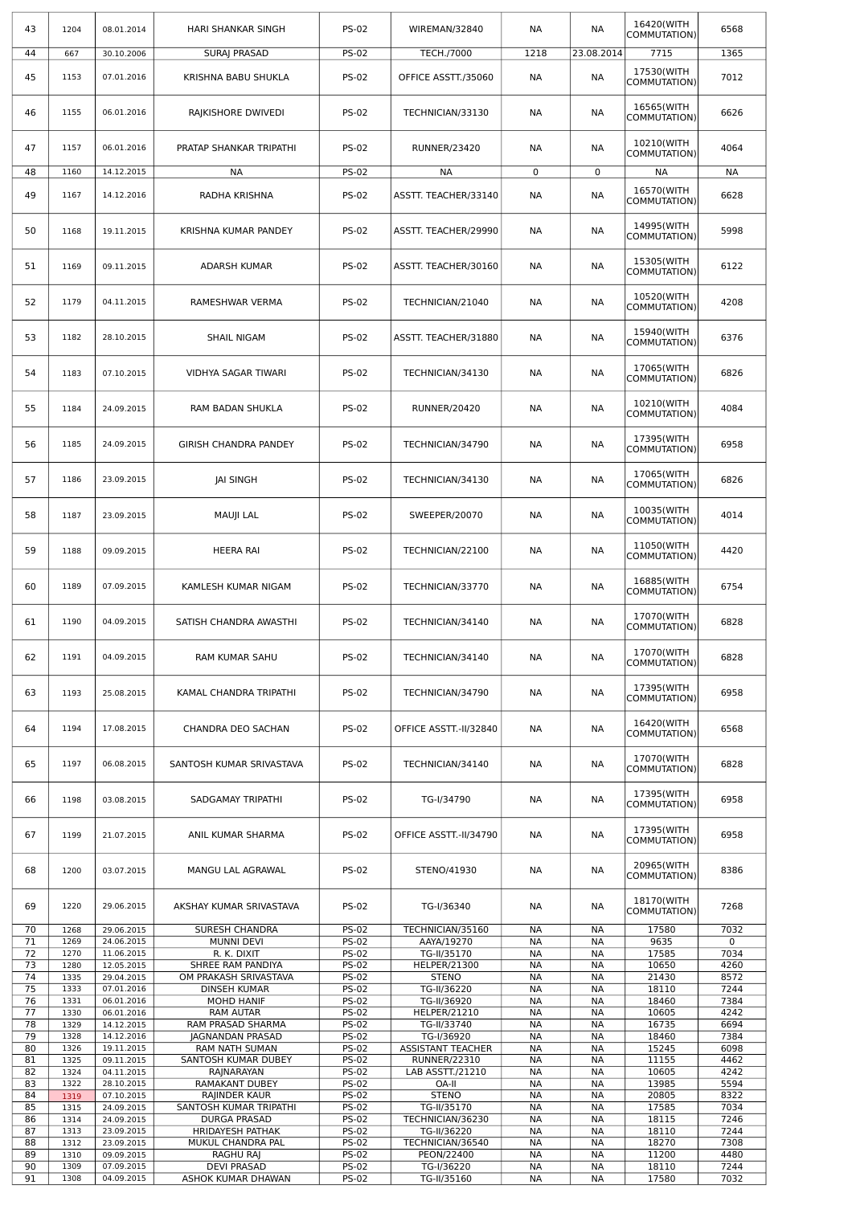| 43       | 1204         | 08.01.2014               | <b>HARI SHANKAR SINGH</b>                | <b>PS-02</b>                 | WIREMAN/32840                  | NА                     | NА                     | 16420(WITH<br>COMMUTATION) | 6568         |
|----------|--------------|--------------------------|------------------------------------------|------------------------------|--------------------------------|------------------------|------------------------|----------------------------|--------------|
| 44       | 667          | 30.10.2006               | <b>SURAJ PRASAD</b>                      | <b>PS-02</b>                 | <b>TECH./7000</b>              | 1218                   | 23.08.2014             | 7715                       | 1365         |
| 45       | 1153         | 07.01.2016               | KRISHNA BABU SHUKLA                      | <b>PS-02</b>                 | OFFICE ASSTT./35060            | NА                     | <b>NA</b>              | 17530(WITH<br>COMMUTATION) | 7012         |
| 46       | 1155         | 06.01.2016               | RAJKISHORE DWIVEDI                       | <b>PS-02</b>                 | TECHNICIAN/33130               | NА                     | NА                     | 16565(WITH<br>COMMUTATION) | 6626         |
| 47       | 1157         | 06.01.2016               | PRATAP SHANKAR TRIPATHI                  | <b>PS-02</b>                 | <b>RUNNER/23420</b>            | NА                     | NА                     | 10210(WITH<br>COMMUTATION) | 4064         |
| 48       | 1160         | 14.12.2015               | <b>NA</b>                                | <b>PS-02</b>                 | <b>NA</b>                      | 0                      | $\overline{0}$         | <b>NA</b>                  | <b>NA</b>    |
| 49       | 1167         | 14.12.2016               | RADHA KRISHNA                            | <b>PS-02</b>                 | ASSTT. TEACHER/33140           | NА                     | NА                     | 16570(WITH<br>COMMUTATION) | 6628         |
| 50       | 1168         | 19.11.2015               | KRISHNA KUMAR PANDEY                     | <b>PS-02</b>                 | ASSTT. TEACHER/29990           | NА                     | NА                     | 14995(WITH<br>COMMUTATION) | 5998         |
| 51       | 1169         | 09.11.2015               | ADARSH KUMAR                             | <b>PS-02</b>                 | ASSTT. TEACHER/30160           | NА                     | NА                     | 15305(WITH<br>COMMUTATION) | 6122         |
| 52       | 1179         | 04.11.2015               | RAMESHWAR VERMA                          | <b>PS-02</b>                 | TECHNICIAN/21040               | NА                     | NА                     | 10520(WITH<br>COMMUTATION) | 4208         |
| 53       | 1182         | 28.10.2015               | SHAIL NIGAM                              | <b>PS-02</b>                 | ASSTT. TEACHER/31880           | NА                     | NА                     | 15940(WITH<br>COMMUTATION) | 6376         |
| 54       | 1183         | 07.10.2015               | VIDHYA SAGAR TIWARI                      | <b>PS-02</b>                 | TECHNICIAN/34130               | <b>NA</b>              | <b>NA</b>              | 17065(WITH<br>COMMUTATION) | 6826         |
| 55       | 1184         | 24.09.2015               | RAM BADAN SHUKLA                         | <b>PS-02</b>                 | <b>RUNNER/20420</b>            | NА                     | NА                     | 10210(WITH<br>COMMUTATION) | 4084         |
| 56       | 1185         | 24.09.2015               | <b>GIRISH CHANDRA PANDEY</b>             | <b>PS-02</b>                 | TECHNICIAN/34790               | NА                     | NА                     | 17395(WITH<br>COMMUTATION) | 6958         |
| 57       | 1186         | 23.09.2015               | <b>JAI SINGH</b>                         | <b>PS-02</b>                 | TECHNICIAN/34130               | NА                     | NА                     | 17065(WITH<br>COMMUTATION) | 6826         |
| 58       | 1187         | 23.09.2015               | MAUJI LAL                                | <b>PS-02</b>                 | SWEEPER/20070                  | NА                     | NА                     | 10035(WITH<br>COMMUTATION) | 4014         |
| 59       | 1188         | 09.09.2015               | HEERA RAI                                | <b>PS-02</b>                 | TECHNICIAN/22100               | NА                     | NА                     | 11050(WITH<br>COMMUTATION) | 4420         |
| 60       | 1189         | 07.09.2015               | KAMLESH KUMAR NIGAM                      | <b>PS-02</b>                 | TECHNICIAN/33770               | NА                     | NА                     | 16885(WITH<br>COMMUTATION) | 6754         |
| 61       | 1190         | 04.09.2015               | SATISH CHANDRA AWASTHI                   | <b>PS-02</b>                 | TECHNICIAN/34140               | NА                     | NА                     | 17070(WITH<br>COMMUTATION) | 6828         |
| 62       | 1191         | 04.09.2015               | RAM KUMAR SAHU                           | <b>PS-02</b>                 | TECHNICIAN/34140               | <b>NA</b>              | <b>NA</b>              | 17070(WITH<br>COMMUTATION) | 6828         |
| 63       | 1193         | 25.08.2015               | KAMAL CHANDRA TRIPATHI                   | <b>PS-02</b>                 | TECHNICIAN/34790               | NА                     | NА                     | 17395(WITH<br>COMMUTATION) | 6958         |
| 64       | 1194         | 17.08.2015               | CHANDRA DEO SACHAN                       | <b>PS-02</b>                 | OFFICE ASSTT.-II/32840         | NА                     | NА                     | 16420(WITH<br>COMMUTATION) | 6568         |
| 65       | 1197         | 06.08.2015               | SANTOSH KUMAR SRIVASTAVA                 | <b>PS-02</b>                 | TECHNICIAN/34140               | <b>NA</b>              | <b>NA</b>              | 17070(WITH<br>COMMUTATION) | 6828         |
| 66       | 1198         | 03.08.2015               | SADGAMAY TRIPATHI                        | <b>PS-02</b>                 | TG-I/34790                     | NА                     | NА                     | 17395(WITH<br>COMMUTATION) | 6958         |
| 67       | 1199         | 21.07.2015               | ANIL KUMAR SHARMA                        | <b>PS-02</b>                 | OFFICE ASSTT.-II/34790         | NА                     | NА                     | 17395(WITH<br>COMMUTATION) | 6958         |
| 68       | 1200         | 03.07.2015               | MANGU LAL AGRAWAL                        | <b>PS-02</b>                 | STENO/41930                    | NА                     | NА                     | 20965(WITH<br>COMMUTATION) | 8386         |
| 69       | 1220         | 29.06.2015               | AKSHAY KUMAR SRIVASTAVA                  | <b>PS-02</b>                 | TG-I/36340                     | NА                     | NА                     | 18170(WITH<br>COMMUTATION) | 7268         |
| 70<br>71 | 1268<br>1269 | 29.06.2015<br>24.06.2015 | SURESH CHANDRA<br><b>MUNNI DEVI</b>      | <b>PS-02</b><br><b>PS-02</b> | TECHNICIAN/35160<br>AAYA/19270 | NА<br><b>NA</b>        | <b>NA</b><br><b>NA</b> | 17580<br>9635              | 7032<br>0    |
| 72       | 1270         | 11.06.2015               | R. K. DIXIT                              | <b>PS-02</b>                 | TG-II/35170                    | <b>NA</b>              | NА                     | 17585                      | 7034         |
| 73       | 1280         | 12.05.2015               | SHREE RAM PANDIYA                        | <b>PS-02</b>                 | HELPER/21300                   | <b>NA</b>              | <b>NA</b>              | 10650                      | 4260         |
| 74<br>75 | 1335<br>1333 | 29.04.2015<br>07.01.2016 | OM PRAKASH SRIVASTAVA                    | <b>PS-02</b>                 | <b>STENO</b>                   | NА                     | NА                     | 21430                      | 8572         |
| 76       | 1331         | 06.01.2016               | DINSEH KUMAR<br><b>MOHD HANIF</b>        | <b>PS-02</b><br><b>PS-02</b> | TG-II/36220<br>TG-II/36920     | <b>NA</b><br><b>NA</b> | <b>NA</b><br>NА        | 18110<br>18460             | 7244<br>7384 |
| 77       | 1330         | 06.01.2016               | <b>RAM AUTAR</b>                         | <b>PS-02</b>                 | HELPER/21210                   | <b>NA</b>              | <b>NA</b>              | 10605                      | 4242         |
| 78       | 1329         | 14.12.2015               | RAM PRASAD SHARMA                        | <b>PS-02</b>                 | TG-II/33740                    | <b>NA</b>              | <b>NA</b>              | 16735                      | 6694         |
| 79       | 1328         | 14.12.2016               | <b>JAGNANDAN PRASAD</b>                  | <b>PS-02</b>                 | TG-I/36920                     | <b>NA</b>              | <b>NA</b>              | 18460                      | 7384         |
| 80       | 1326         | 19.11.2015               | RAM NATH SUMAN                           | <b>PS-02</b>                 | <b>ASSISTANT TEACHER</b>       | <b>NA</b>              | <b>NA</b>              | 15245                      | 6098         |
| 81       | 1325         | 09.11.2015               | SANTOSH KUMAR DUBEY                      | <b>PS-02</b>                 | <b>RUNNER/22310</b>            | <b>NA</b>              | <b>NA</b>              | 11155                      | 4462         |
| 82       | 1324         | 04.11.2015               | RAINARAYAN                               | <b>PS-02</b>                 | LAB ASSTT./21210               | <b>NA</b>              | NА                     | 10605                      | 4242         |
| 83<br>84 | 1322         | 28.10.2015<br>07.10.2015 | RAMAKANT DUBEY<br>RAJINDER KAUR          | <b>PS-02</b><br><b>PS-02</b> | OA-II<br><b>STENO</b>          | <b>NA</b><br><b>NA</b> | <b>NA</b><br><b>NA</b> | 13985<br>20805             | 5594<br>8322 |
| 85       | 1319<br>1315 | 24.09.2015               | SANTOSH KUMAR TRIPATHI                   | <b>PS-02</b>                 | TG-II/35170                    | <b>NA</b>              | <b>NA</b>              | 17585                      | 7034         |
| 86       | 1314         | 24.09.2015               | <b>DURGA PRASAD</b>                      | <b>PS-02</b>                 | TECHNICIAN/36230               | <b>NA</b>              | <b>NA</b>              | 18115                      | 7246         |
| 87       | 1313         | 23.09.2015               | <b>HRIDAYESH PATHAK</b>                  | <b>PS-02</b>                 | TG-II/36220                    | <b>NA</b>              | NА                     | 18110                      | 7244         |
| 88       | 1312         | 23.09.2015               | MUKUL CHANDRA PAL                        | <b>PS-02</b>                 | TECHNICIAN/36540               | <b>NA</b>              | <b>NA</b>              | 18270                      | 7308         |
| 89       | 1310         | 09.09.2015<br>07.09.2015 | RAGHU RAJ                                | <b>PS-02</b>                 | PEON/22400                     | NA                     | <b>NA</b>              | 11200                      | 4480         |
| 90<br>91 | 1309<br>1308 | 04.09.2015               | <b>DEVI PRASAD</b><br>ASHOK KUMAR DHAWAN | <b>PS-02</b><br><b>PS-02</b> | TG-I/36220<br>TG-II/35160      | NА<br>NА               | NА<br>NА               | 18110<br>17580             | 7244<br>7032 |
|          |              |                          |                                          |                              |                                |                        |                        |                            |              |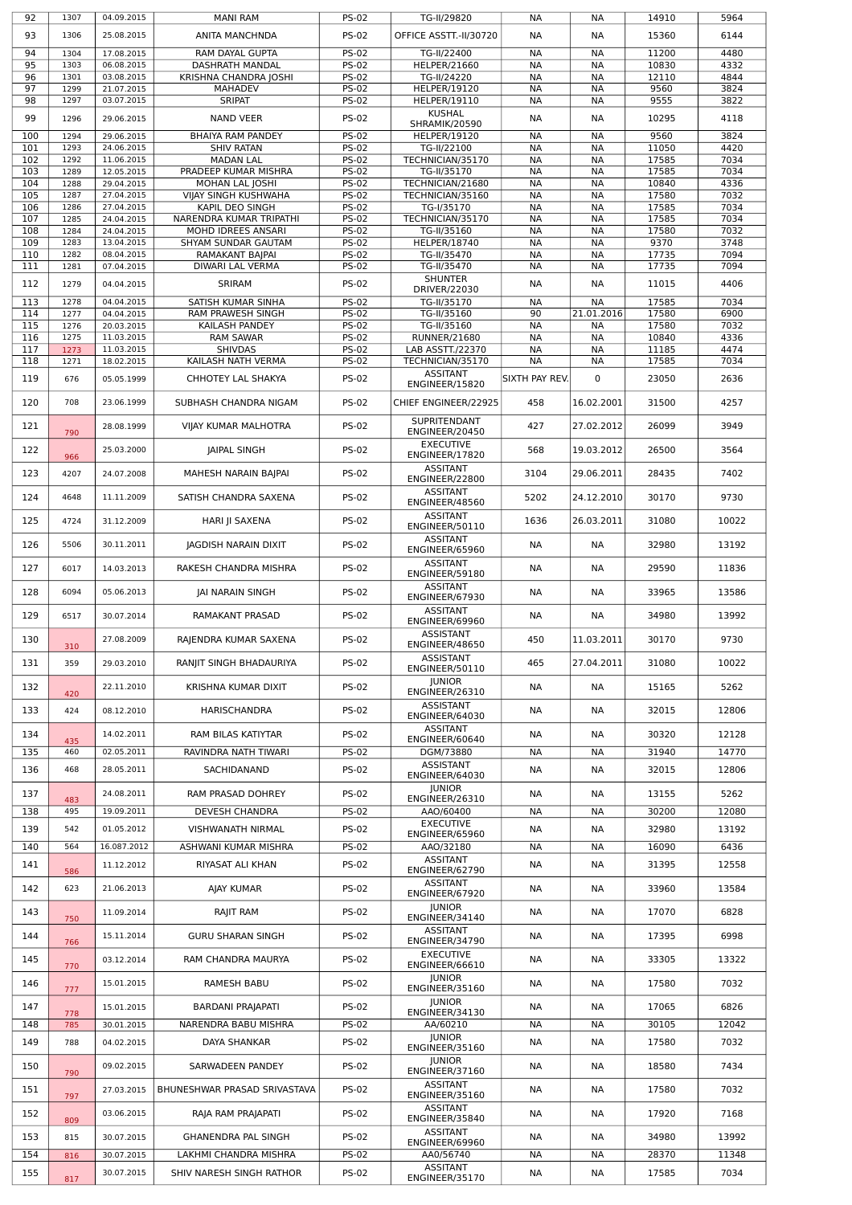| 92         | 1307         | 04.09.2015               | <b>MANI RAM</b>                               | <b>PS-02</b>                 | TG-II/29820                          | NА                     | NА                     | 14910          | 5964         |
|------------|--------------|--------------------------|-----------------------------------------------|------------------------------|--------------------------------------|------------------------|------------------------|----------------|--------------|
| 93         | 1306         | 25.08.2015               | <b>ANITA MANCHNDA</b>                         | <b>PS-02</b>                 | OFFICE ASSTT.-II/30720               | NА                     | <b>NA</b>              | 15360          | 6144         |
| 94         | 1304         | 17.08.2015               | RAM DAYAL GUPTA                               | <b>PS-02</b>                 | TG-II/22400                          | NА                     | <b>NA</b>              | 11200          | 4480         |
| 95         | 1303         | 06.08.2015               | DASHRATH MANDAL                               | <b>PS-02</b>                 | HELPER/21660                         | <b>NA</b>              | <b>NA</b>              | 10830          | 4332         |
| 96         | 1301         | 03.08.2015               | KRISHNA CHANDRA JOSHI                         | <b>PS-02</b>                 | TG-II/24220                          | <b>NA</b>              | <b>NA</b>              | 12110          | 4844         |
| 97<br>98   | 1299<br>1297 | 21.07.2015<br>03.07.2015 | <b>MAHADEV</b><br><b>SRIPAT</b>               | <b>PS-02</b><br><b>PS-02</b> | HELPER/19120<br><b>HELPER/19110</b>  | <b>NA</b><br><b>NA</b> | <b>NA</b><br><b>NA</b> | 9560<br>9555   | 3824<br>3822 |
|            |              |                          |                                               |                              | <b>KUSHAL</b>                        |                        |                        |                |              |
| 99         | 1296         | 29.06.2015               | <b>NAND VEER</b>                              | <b>PS-02</b>                 | <b>SHRAMIK/20590</b>                 | NА                     | NА                     | 10295          | 4118         |
| 100        | 1294         | 29.06.2015               | BHAIYA RAM PANDEY                             | <b>PS-02</b>                 | HELPER/19120                         | <b>NA</b>              | <b>NA</b>              | 9560           | 3824         |
| 101<br>102 | 1293<br>1292 | 24.06.2015<br>11.06.2015 | <b>SHIV RATAN</b><br><b>MADAN LAL</b>         | <b>PS-02</b><br><b>PS-02</b> | TG-II/22100<br>TECHNICIAN/35170      | <b>NA</b><br><b>NA</b> | <b>NA</b><br><b>NA</b> | 11050<br>17585 | 4420<br>7034 |
| 103        | 1289         | 12.05.2015               | <b>PRADEEP KUMAR MISHRA</b>                   | <b>PS-02</b>                 | TG-II/35170                          | <b>NA</b>              | <b>NA</b>              | 17585          | 7034         |
| 104        | 1288         | 29.04.2015               | MOHAN LAL JOSHI                               | <b>PS-02</b>                 | TECHNICIAN/21680                     | <b>NA</b>              | <b>NA</b>              | 10840          | 4336         |
| 105        | 1287         | 27.04.2015               | VIJAY SINGH KUSHWAHA                          | <b>PS-02</b>                 | TECHNICIAN/35160                     | <b>NA</b>              | <b>NA</b>              | 17580          | 7032         |
| 106        | 1286         | 27.04.2015               | KAPIL DEO SINGH                               | <b>PS-02</b>                 | TG-I/35170                           | <b>NA</b>              | <b>NA</b>              | 17585          | 7034         |
| 107<br>108 | 1285<br>1284 | 24.04.2015<br>24.04.2015 | NARENDRA KUMAR TRIPATHI<br>MOHD IDREES ANSARI | <b>PS-02</b><br><b>PS-02</b> | TECHNICIAN/35170<br>TG-II/35160      | <b>NA</b><br><b>NA</b> | <b>NA</b><br><b>NA</b> | 17585<br>17580 | 7034<br>7032 |
| 109        | 1283         | 13.04.2015               | SHYAM SUNDAR GAUTAM                           | <b>PS-02</b>                 | HELPER/18740                         | <b>NA</b>              | <b>NA</b>              | 9370           | 3748         |
| 110        | 1282         | 08.04.2015               | RAMAKANT BAJPAI                               | <b>PS-02</b>                 | TG-II/35470                          | <b>NA</b>              | <b>NA</b>              | 17735          | 7094         |
| 111        | 1281         | 07.04.2015               | DIWARI LAL VERMA                              | <b>PS-02</b>                 | TG-II/35470                          | <b>NA</b>              | <b>NA</b>              | 17735          | 7094         |
| 112        | 1279         | 04.04.2015               | SRIRAM                                        | <b>PS-02</b>                 | <b>SHUNTER</b><br>DRIVER/22030       | <b>NA</b>              | <b>NA</b>              | 11015          | 4406         |
| 113        | 1278         | 04.04.2015               | SATISH KUMAR SINHA                            | <b>PS-02</b>                 | TG-II/35170                          | <b>NA</b>              | <b>NA</b>              | 17585          | 7034         |
| 114        | 1277         | 04.04.2015               | RAM PRAWESH SINGH                             | <b>PS-02</b>                 | TG-II/35160                          | 90                     | 21.01.2016             | 17580          | 6900         |
| 115        | 1276         | 20.03.2015               | KAILASH PANDEY                                | <b>PS-02</b>                 | TG-II/35160                          | <b>NA</b>              | <b>NA</b>              | 17580          | 7032         |
| 116        | 1275         | 11.03.2015               | <b>RAM SAWAR</b>                              | <b>PS-02</b>                 | <b>RUNNER/21680</b>                  | <b>NA</b>              | <b>NA</b>              | 10840          | 4336         |
| 117<br>118 | 1273<br>1271 | 11.03.2015<br>18.02.2015 | <b>SHIVDAS</b><br>KAILASH NATH VERMA          | <b>PS-02</b><br><b>PS-02</b> | LAB ASSTT./22370<br>TECHNICIAN/35170 | <b>NA</b><br><b>NA</b> | <b>NA</b><br><b>NA</b> | 11185<br>17585 | 4474<br>7034 |
|            |              |                          |                                               |                              | <b>ASSITANT</b>                      |                        |                        |                |              |
| 119        | 676          | 05.05.1999               | CHHOTEY LAL SHAKYA                            | <b>PS-02</b>                 | ENGINEER/15820                       | SIXTH PAY REV.         | 0                      | 23050          | 2636         |
| 120        | 708          | 23.06.1999               | SUBHASH CHANDRA NIGAM                         | <b>PS-02</b>                 | CHIEF ENGINEER/22925                 | 458                    | 16.02.2001             | 31500          | 4257         |
|            |              |                          |                                               |                              | SUPRITENDANT                         |                        |                        |                |              |
| 121        | 790          | 28.08.1999               | VIJAY KUMAR MALHOTRA                          | <b>PS-02</b>                 | ENGINEER/20450                       | 427                    | 27.02.2012             | 26099          | 3949         |
| 122        |              | 25.03.2000               | <b>JAIPAL SINGH</b>                           | <b>PS-02</b>                 | <b>EXECUTIVE</b>                     | 568                    | 19.03.2012             | 26500          | 3564         |
|            | 966          |                          |                                               |                              | ENGINEER/17820                       |                        |                        |                |              |
| 123        | 4207         | 24.07.2008               | MAHESH NARAIN BAJPAI                          | <b>PS-02</b>                 | <b>ASSITANT</b><br>ENGINEER/22800    | 3104                   | 29.06.2011             | 28435          | 7402         |
|            |              |                          |                                               |                              | <b>ASSITANT</b>                      |                        |                        |                |              |
| 124        | 4648         | 11.11.2009               | SATISH CHANDRA SAXENA                         | <b>PS-02</b>                 | ENGINEER/48560                       | 5202                   | 24.12.2010             | 30170          | 9730         |
| 125        | 4724         | 31.12.2009               | HARI JI SAXENA                                | <b>PS-02</b>                 | <b>ASSITANT</b>                      | 1636                   | 26.03.2011             | 31080          | 10022        |
|            |              |                          |                                               |                              | ENGINEER/50110<br><b>ASSITANT</b>    |                        |                        |                |              |
| 126        | 5506         | 30.11.2011               | <b>JAGDISH NARAIN DIXIT</b>                   | <b>PS-02</b>                 | ENGINEER/65960                       | <b>NA</b>              | <b>NA</b>              | 32980          | 13192        |
| 127        | 6017         | 14.03.2013               | RAKESH CHANDRA MISHRA                         | <b>PS-02</b>                 | <b>ASSITANT</b>                      | <b>NA</b>              | <b>NA</b>              | 29590          | 11836        |
|            |              |                          |                                               |                              | ENGINEER/59180<br><b>ASSITANT</b>    |                        |                        |                |              |
| 128        | 6094         | 05.06.2013               | JAI NARAIN SINGH                              | <b>PS-02</b>                 | ENGINEER/67930                       | NА                     | NА                     | 33965          | 13586        |
| 129        | 6517         | 30.07.2014               | RAMAKANT PRASAD                               | <b>PS-02</b>                 | <b>ASSITANT</b>                      | NА                     | NА                     | 34980          | 13992        |
|            |              |                          |                                               |                              | ENGINEER/69960                       |                        |                        |                |              |
| 130        | 310          | 27.08.2009               | RAJENDRA KUMAR SAXENA                         | <b>PS-02</b>                 | <b>ASSISTANT</b><br>ENGINEER/48650   | 450                    | 11.03.2011             | 30170          | 9730         |
| 131        | 359          | 29.03.2010               | RANJIT SINGH BHADAURIYA                       | <b>PS-02</b>                 | <b>ASSISTANT</b>                     | 465                    | 27.04.2011             | 31080          | 10022        |
|            |              |                          |                                               |                              | ENGINEER/50110                       |                        |                        |                |              |
| 132        | 420          | 22.11.2010               | KRISHNA KUMAR DIXIT                           | <b>PS-02</b>                 | <b>JUNIOR</b><br>ENGINEER/26310      | NА                     | <b>NA</b>              | 15165          | 5262         |
| 133        | 424          | 08.12.2010               | <b>HARISCHANDRA</b>                           | <b>PS-02</b>                 | <b>ASSISTANT</b>                     | NА                     | NА                     | 32015          | 12806        |
|            |              |                          |                                               |                              | ENGINEER/64030                       |                        |                        |                |              |
| 134        | 435          | 14.02.2011               | RAM BILAS KATIYTAR                            | <b>PS-02</b>                 | <b>ASSITANT</b><br>ENGINEER/60640    | NА                     | NА                     | 30320          | 12128        |
| 135        | 460          | 02.05.2011               | RAVINDRA NATH TIWARI                          | <b>PS-02</b>                 | DGM/73880                            | <b>NA</b>              | NА                     | 31940          | 14770        |
| 136        | 468          | 28.05.2011               | SACHIDANAND                                   | <b>PS-02</b>                 | ASSISTANT                            | NА                     | NА                     | 32015          | 12806        |
|            |              |                          |                                               |                              | ENGINEER/64030                       |                        |                        |                |              |
| 137        | 483          | 24.08.2011               | RAM PRASAD DOHREY                             | <b>PS-02</b>                 | <b>IUNIOR</b><br>ENGINEER/26310      | NА                     | <b>NA</b>              | 13155          | 5262         |
| 138        | 495          | 19.09.2011               | <b>DEVESH CHANDRA</b>                         | <b>PS-02</b>                 | AAO/60400                            | NА                     | NА                     | 30200          | 12080        |
| 139        | 542          | 01.05.2012               | VISHWANATH NIRMAL                             | <b>PS-02</b>                 | <b>EXECUTIVE</b>                     | NА                     | NА                     | 32980          | 13192        |
|            |              |                          |                                               |                              | ENGINEER/65960                       |                        |                        |                |              |
| 140        | 564          | 16.087.2012              | ASHWANI KUMAR MISHRA                          | <b>PS-02</b>                 | AAO/32180<br><b>ASSITANT</b>         | NА                     | NА                     | 16090          | 6436         |
| 141        | 586          | 11.12.2012               | RIYASAT ALI KHAN                              | <b>PS-02</b>                 | ENGINEER/62790                       | NА                     | <b>NA</b>              | 31395          | 12558        |
| 142        | 623          | 21.06.2013               | <b>AJAY KUMAR</b>                             | <b>PS-02</b>                 | <b>ASSITANT</b>                      | NА                     | NА                     | 33960          | 13584        |
|            |              |                          |                                               |                              | ENGINEER/67920                       |                        |                        |                |              |
| 143        | 750          | 11.09.2014               | RAJIT RAM                                     | <b>PS-02</b>                 | <b>JUNIOR</b><br>ENGINEER/34140      | NА                     | NА                     | 17070          | 6828         |
| 144        |              | 15.11.2014               | <b>GURU SHARAN SINGH</b>                      | <b>PS-02</b>                 | <b>ASSITANT</b>                      | NА                     | NА                     | 17395          | 6998         |
|            | 766          |                          |                                               |                              | ENGINEER/34790                       |                        |                        |                |              |
| 145        | 770          | 03.12.2014               | RAM CHANDRA MAURYA                            | <b>PS-02</b>                 | <b>EXECUTIVE</b><br>ENGINEER/66610   | NА                     | NА                     | 33305          | 13322        |
|            |              |                          |                                               |                              | <b>JUNIOR</b>                        |                        |                        |                |              |
| 146        | 777          | 15.01.2015               | RAMESH BABU                                   | <b>PS-02</b>                 | ENGINEER/35160                       | NА                     | NА                     | 17580          | 7032         |
| 147        |              | 15.01.2015               | <b>BARDANI PRAJAPATI</b>                      | <b>PS-02</b>                 | <b>JUNIOR</b><br>ENGINEER/34130      | NА                     | NА                     | 17065          | 6826         |
| 148        | 778<br>785   | 30.01.2015               | NARENDRA BABU MISHRA                          | <b>PS-02</b>                 | AA/60210                             | NА                     | NА                     | 30105          | 12042        |
| 149        |              |                          | DAYA SHANKAR                                  | <b>PS-02</b>                 | <b>JUNIOR</b>                        | NА                     | NА                     | 17580          | 7032         |
|            | 788          | 04.02.2015               |                                               |                              | ENGINEER/35160                       |                        |                        |                |              |
| 150        | 790          | 09.02.2015               | SARWADEEN PANDEY                              | <b>PS-02</b>                 | <b>JUNIOR</b><br>ENGINEER/37160      | NА                     | NА                     | 18580          | 7434         |
|            |              |                          |                                               |                              | <b>ASSITANT</b>                      |                        |                        |                |              |
| 151        | 797          | 27.03.2015               | BHUNESHWAR PRASAD SRIVASTAVA                  | <b>PS-02</b>                 | ENGINEER/35160                       | NА                     | NА                     | 17580          | 7032         |
| 152        |              | 03.06.2015               | RAJA RAM PRAJAPATI                            | <b>PS-02</b>                 | <b>ASSITANT</b>                      | NА                     | NА                     | 17920          | 7168         |
|            | 809          |                          |                                               |                              | ENGINEER/35840<br><b>ASSITANT</b>    |                        |                        |                |              |
| 153        | 815          | 30.07.2015               | <b>GHANENDRA PAL SINGH</b>                    | <b>PS-02</b>                 | ENGINEER/69960                       | NА                     | NА                     | 34980          | 13992        |
| 154        | 816          | 30.07.2015               | LAKHMI CHANDRA MISHRA                         | <b>PS-02</b>                 | AA0/56740                            | NА                     | NА                     | 28370          | 11348        |
| 155        |              | 30.07.2015               | SHIV NARESH SINGH RATHOR                      | <b>PS-02</b>                 | <b>ASSITANT</b>                      | NА                     | NА                     | 17585          | 7034         |
|            | 817          |                          |                                               |                              | ENGINEER/35170                       |                        |                        |                |              |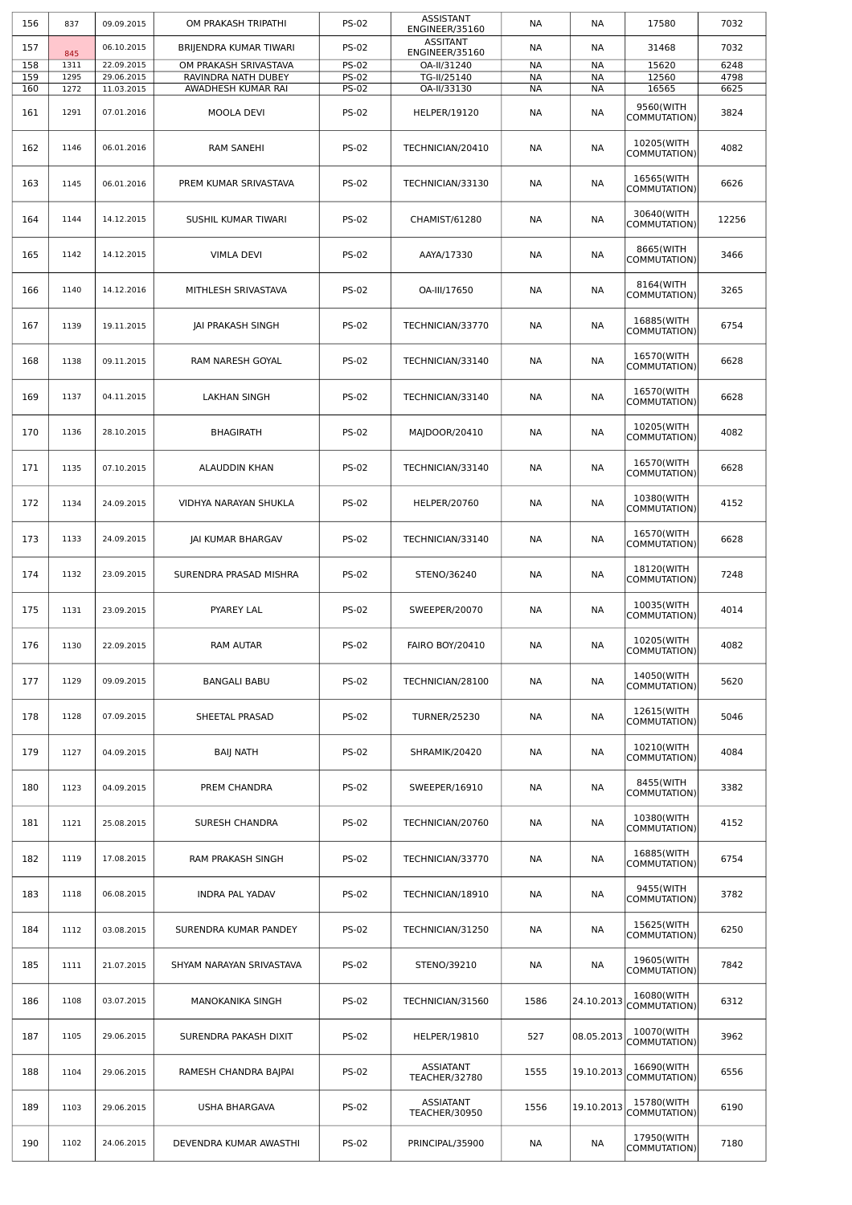| 156 | 837  | 09.09.2015 | OM PRAKASH TRIPATHI      | <b>PS-02</b> | <b>ASSISTANT</b><br>ENGINEER/35160 | NА        | NА         | 17580                                    | 7032  |
|-----|------|------------|--------------------------|--------------|------------------------------------|-----------|------------|------------------------------------------|-------|
| 157 | 845  | 06.10.2015 | BRIJENDRA KUMAR TIWARI   | <b>PS-02</b> | <b>ASSITANT</b><br>ENGINEER/35160  | NА        | NА         | 31468                                    | 7032  |
| 158 | 1311 | 22.09.2015 | OM PRAKASH SRIVASTAVA    | <b>PS-02</b> | OA-II/31240                        | <b>NA</b> | NА         | 15620                                    | 6248  |
| 159 | 1295 | 29.06.2015 | RAVINDRA NATH DUBEY      | <b>PS-02</b> | TG-II/25140                        | <b>NA</b> | <b>NA</b>  | 12560                                    | 4798  |
| 160 | 1272 | 11.03.2015 | AWADHESH KUMAR RAI       | <b>PS-02</b> | OA-II/33130                        | <b>NA</b> | NА         | 16565                                    | 6625  |
| 161 | 1291 | 07.01.2016 | MOOLA DEVI               | <b>PS-02</b> | <b>HELPER/19120</b>                | <b>NA</b> | <b>NA</b>  | 9560(WITH<br>COMMUTATION)                | 3824  |
| 162 | 1146 | 06.01.2016 | <b>RAM SANEHI</b>        | <b>PS-02</b> | TECHNICIAN/20410                   | NА        | NА         | 10205(WITH<br>COMMUTATION)               | 4082  |
| 163 | 1145 | 06.01.2016 | PREM KUMAR SRIVASTAVA    | <b>PS-02</b> | TECHNICIAN/33130                   | NА        | NA         | 16565(WITH<br>COMMUTATION)               | 6626  |
| 164 | 1144 | 14.12.2015 | SUSHIL KUMAR TIWARI      | <b>PS-02</b> | CHAMIST/61280                      | NА        | NА         | 30640(WITH<br>COMMUTATION)               | 12256 |
| 165 | 1142 | 14.12.2015 | <b>VIMLA DEVI</b>        | <b>PS-02</b> | AAYA/17330                         | NА        | NА         | 8665(WITH<br>COMMUTATION)                | 3466  |
| 166 | 1140 | 14.12.2016 | MITHLESH SRIVASTAVA      | <b>PS-02</b> | OA-III/17650                       | NА        | <b>NA</b>  | 8164(WITH<br>COMMUTATION)                | 3265  |
| 167 | 1139 | 19.11.2015 | JAI PRAKASH SINGH        | <b>PS-02</b> | TECHNICIAN/33770                   | NА        | NА         | 16885(WITH<br>COMMUTATION)               | 6754  |
| 168 | 1138 | 09.11.2015 | RAM NARESH GOYAL         | <b>PS-02</b> | TECHNICIAN/33140                   | <b>NA</b> | NА         | 16570(WITH<br>COMMUTATION)               | 6628  |
| 169 | 1137 | 04.11.2015 | <b>LAKHAN SINGH</b>      | <b>PS-02</b> | TECHNICIAN/33140                   | NА        | NА         | 16570(WITH<br>COMMUTATION)               | 6628  |
| 170 | 1136 | 28.10.2015 | <b>BHAGIRATH</b>         | <b>PS-02</b> | MAJDOOR/20410                      | <b>NA</b> | NA         | 10205(WITH<br>COMMUTATION)               | 4082  |
| 171 | 1135 | 07.10.2015 | ALAUDDIN KHAN            | <b>PS-02</b> | TECHNICIAN/33140                   | NА        | NА         | 16570(WITH<br>COMMUTATION)               | 6628  |
| 172 | 1134 | 24.09.2015 | VIDHYA NARAYAN SHUKLA    | <b>PS-02</b> | <b>HELPER/20760</b>                | NА        | NА         | 10380(WITH<br>COMMUTATION)               | 4152  |
| 173 | 1133 | 24.09.2015 | JAI KUMAR BHARGAV        | <b>PS-02</b> | TECHNICIAN/33140                   | NА        | NА         | 16570(WITH<br>COMMUTATION)               | 6628  |
| 174 | 1132 | 23.09.2015 | SURENDRA PRASAD MISHRA   | <b>PS-02</b> | STENO/36240                        | <b>NA</b> | <b>NA</b>  | 18120(WITH<br>COMMUTATION)               | 7248  |
| 175 | 1131 | 23.09.2015 | PYAREY LAL               | <b>PS-02</b> | SWEEPER/20070                      | NА        | NА         | 10035(WITH<br>COMMUTATION)               | 4014  |
| 176 | 1130 | 22.09.2015 | <b>RAM AUTAR</b>         | <b>PS-02</b> | <b>FAIRO BOY/20410</b>             | NА        | NА         | 10205(WITH<br>COMMUTATION)               | 4082  |
| 177 | 1129 | 09.09.2015 | <b>BANGALI BABU</b>      | <b>PS-02</b> | TECHNICIAN/28100                   | <b>NA</b> | NA         | 14050(WITH<br>COMMUTATION)               | 5620  |
| 178 | 1128 | 07.09.2015 | SHEETAL PRASAD           | <b>PS-02</b> | <b>TURNER/25230</b>                | NА        | NА         | 12615(WITH<br>COMMUTATION)               | 5046  |
| 179 | 1127 | 04.09.2015 | <b>BAIJ NATH</b>         | <b>PS-02</b> | SHRAMIK/20420                      | NА        | NА         | 10210(WITH<br>COMMUTATION)               | 4084  |
| 180 | 1123 | 04.09.2015 | PREM CHANDRA             | <b>PS-02</b> | SWEEPER/16910                      | NА        | NА         | 8455(WITH<br>COMMUTATION)                | 3382  |
| 181 | 1121 | 25.08.2015 | SURESH CHANDRA           | <b>PS-02</b> | TECHNICIAN/20760                   | <b>NA</b> | NА         | 10380(WITH<br>COMMUTATION)               | 4152  |
| 182 | 1119 | 17.08.2015 | RAM PRAKASH SINGH        | <b>PS-02</b> | TECHNICIAN/33770                   | NА        | NА         | 16885(WITH<br>COMMUTATION)               | 6754  |
| 183 | 1118 | 06.08.2015 | <b>INDRA PAL YADAV</b>   | <b>PS-02</b> | TECHNICIAN/18910                   | NА        | NА         | 9455(WITH<br>COMMUTATION)                | 3782  |
| 184 | 1112 | 03.08.2015 | SURENDRA KUMAR PANDEY    | <b>PS-02</b> | TECHNICIAN/31250                   | NА        | NА         | 15625(WITH<br>COMMUTATION)               | 6250  |
| 185 | 1111 | 21.07.2015 | SHYAM NARAYAN SRIVASTAVA | <b>PS-02</b> | STENO/39210                        | NА        | NА         | 19605(WITH<br>COMMUTATION)<br>16080(WITH | 7842  |
| 186 | 1108 | 03.07.2015 | MANOKANIKA SINGH         | <b>PS-02</b> | TECHNICIAN/31560                   | 1586      | 24.10.2013 | COMMUTATION)<br>10070(WITH               | 6312  |
| 187 | 1105 | 29.06.2015 | SURENDRA PAKASH DIXIT    | <b>PS-02</b> | HELPER/19810<br>ASSIATANT          | 527       | 08.05.2013 | COMMUTATION)<br>16690(WITH               | 3962  |
| 188 | 1104 | 29.06.2015 | RAMESH CHANDRA BAJPAI    | <b>PS-02</b> | TEACHER/32780<br><b>ASSIATANT</b>  | 1555      | 19.10.2013 | COMMUTATION)<br>15780(WITH               | 6556  |
| 189 | 1103 | 29.06.2015 | <b>USHA BHARGAVA</b>     | <b>PS-02</b> | TEACHER/30950                      | 1556      | 19.10.2013 | COMMUTATION)<br>17950(WITH               | 6190  |
| 190 | 1102 | 24.06.2015 | DEVENDRA KUMAR AWASTHI   | <b>PS-02</b> | PRINCIPAL/35900                    | NА        | NА         | COMMUTATION)                             | 7180  |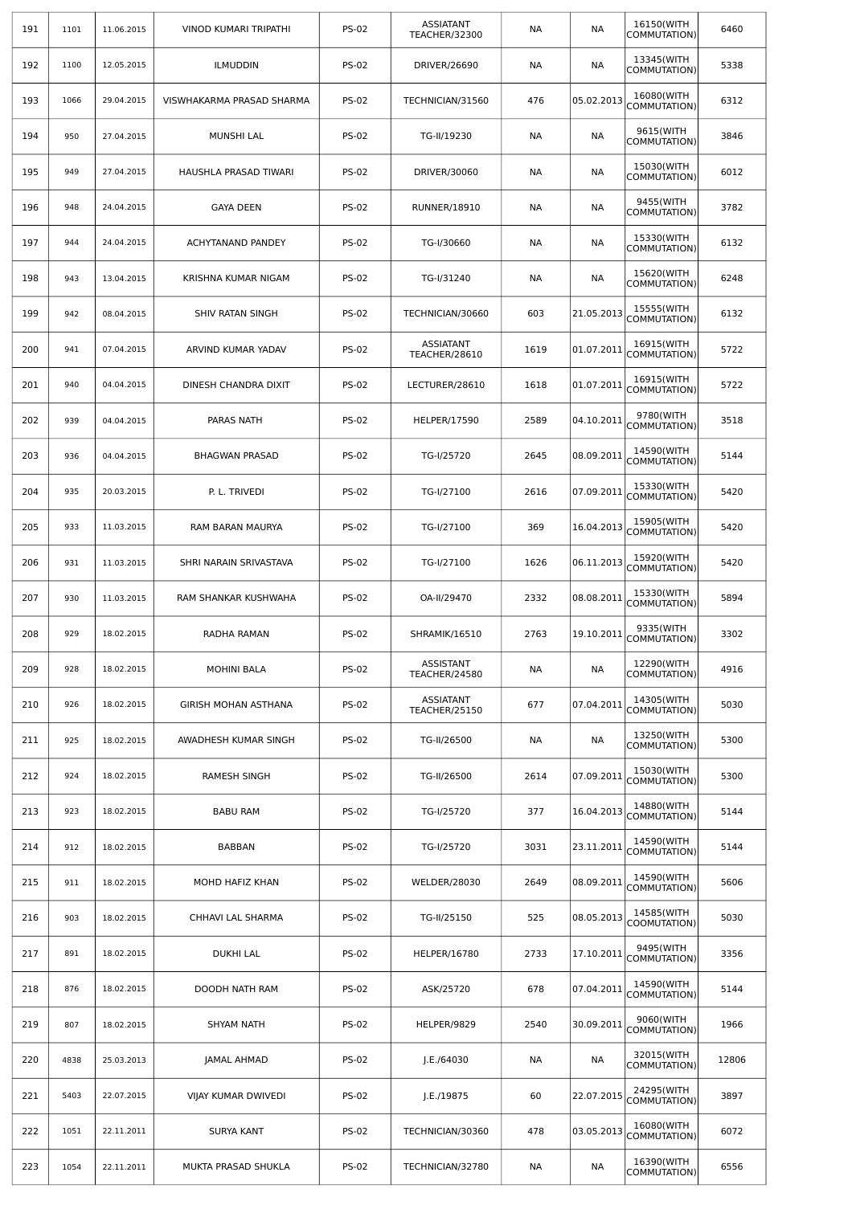| 191 | 1101 | 11.06.2015 | VINOD KUMARI TRIPATHI       | <b>PS-02</b> | <b>ASSIATANT</b><br>TEACHER/32300 | NА        | <b>NA</b>  | 16150(WITH<br>COMMUTATION) | 6460  |
|-----|------|------------|-----------------------------|--------------|-----------------------------------|-----------|------------|----------------------------|-------|
| 192 | 1100 | 12.05.2015 | <b>ILMUDDIN</b>             | <b>PS-02</b> | DRIVER/26690                      | NА        | NА         | 13345(WITH<br>COMMUTATION) | 5338  |
| 193 | 1066 | 29.04.2015 | VISWHAKARMA PRASAD SHARMA   | <b>PS-02</b> | TECHNICIAN/31560                  | 476       | 05.02.2013 | 16080(WITH<br>COMMUTATION) | 6312  |
| 194 | 950  | 27.04.2015 | MUNSHI LAL                  | <b>PS-02</b> | TG-II/19230                       | NА        | NА         | 9615(WITH<br>COMMUTATION)  | 3846  |
| 195 | 949  | 27.04.2015 | HAUSHLA PRASAD TIWARI       | <b>PS-02</b> | DRIVER/30060                      | <b>NA</b> | <b>NA</b>  | 15030(WITH<br>COMMUTATION) | 6012  |
| 196 | 948  | 24.04.2015 | <b>GAYA DEEN</b>            | <b>PS-02</b> | <b>RUNNER/18910</b>               | <b>NA</b> | <b>NA</b>  | 9455(WITH<br>COMMUTATION)  | 3782  |
| 197 | 944  | 24.04.2015 | ACHYTANAND PANDEY           | <b>PS-02</b> | TG-I/30660                        | NА        | NА         | 15330(WITH<br>COMMUTATION) | 6132  |
| 198 | 943  | 13.04.2015 | KRISHNA KUMAR NIGAM         | <b>PS-02</b> | TG-I/31240                        | <b>NA</b> | <b>NA</b>  | 15620(WITH<br>COMMUTATION) | 6248  |
| 199 | 942  | 08.04.2015 | SHIV RATAN SINGH            | <b>PS-02</b> | TECHNICIAN/30660                  | 603       | 21.05.2013 | 15555(WITH<br>COMMUTATION) | 6132  |
| 200 | 941  | 07.04.2015 | ARVIND KUMAR YADAV          | <b>PS-02</b> | <b>ASSIATANT</b><br>TEACHER/28610 | 1619      | 01.07.2011 | 16915(WITH<br>COMMUTATION) | 5722  |
| 201 | 940  | 04.04.2015 | DINESH CHANDRA DIXIT        | <b>PS-02</b> | LECTURER/28610                    | 1618      | 01.07.2011 | 16915(WITH<br>COMMUTATION) | 5722  |
| 202 | 939  | 04.04.2015 | PARAS NATH                  | <b>PS-02</b> | <b>HELPER/17590</b>               | 2589      | 04.10.2011 | 9780(WITH<br>COMMUTATION)  | 3518  |
| 203 | 936  | 04.04.2015 | <b>BHAGWAN PRASAD</b>       | <b>PS-02</b> | TG-I/25720                        | 2645      | 08.09.2011 | 14590(WITH<br>COMMUTATION) | 5144  |
| 204 | 935  | 20.03.2015 | P. L. TRIVEDI               | <b>PS-02</b> | TG-I/27100                        | 2616      | 07.09.2011 | 15330(WITH<br>COMMUTATION) | 5420  |
| 205 | 933  | 11.03.2015 | RAM BARAN MAURYA            | <b>PS-02</b> | TG-I/27100                        | 369       | 16.04.2013 | 15905(WITH<br>COMMUTATION) | 5420  |
| 206 | 931  | 11.03.2015 | SHRI NARAIN SRIVASTAVA      | <b>PS-02</b> | TG-I/27100                        | 1626      | 06.11.2013 | 15920(WITH<br>COMMUTATION) | 5420  |
| 207 | 930  | 11.03.2015 | RAM SHANKAR KUSHWAHA        | <b>PS-02</b> | OA-II/29470                       | 2332      | 08.08.2011 | 15330(WITH<br>COMMUTATION) | 5894  |
| 208 | 929  | 18.02.2015 | RADHA RAMAN                 | <b>PS-02</b> | SHRAMIK/16510                     | 2763      | 19.10.2011 | 9335(WITH<br>COMMUTATION)  | 3302  |
| 209 | 928  | 18.02.2015 | <b>MOHINI BALA</b>          | <b>PS-02</b> | ASSISTANT<br>TEACHER/24580        | <b>NA</b> | <b>NA</b>  | 12290(WITH<br>COMMUTATION) | 4916  |
| 210 | 926  | 18.02.2015 | <b>GIRISH MOHAN ASTHANA</b> | <b>PS-02</b> | <b>ASSIATANT</b><br>TEACHER/25150 | 677       | 07.04.2011 | 14305(WITH<br>COMMUTATION) | 5030  |
| 211 | 925  | 18.02.2015 | AWADHESH KUMAR SINGH        | <b>PS-02</b> | TG-II/26500                       | <b>NA</b> | <b>NA</b>  | 13250(WITH<br>COMMUTATION) | 5300  |
| 212 | 924  | 18.02.2015 | RAMESH SINGH                | <b>PS-02</b> | TG-II/26500                       | 2614      | 07.09.2011 | 15030(WITH<br>COMMUTATION) | 5300  |
| 213 | 923  | 18.02.2015 | <b>BABU RAM</b>             | <b>PS-02</b> | TG-I/25720                        | 377       | 16.04.2013 | 14880(WITH<br>COMMUTATION) | 5144  |
| 214 | 912  | 18.02.2015 | BABBAN                      | <b>PS-02</b> | TG-I/25720                        | 3031      | 23.11.2011 | 14590(WITH<br>COMMUTATION) | 5144  |
| 215 | 911  | 18.02.2015 | MOHD HAFIZ KHAN             | <b>PS-02</b> | WELDER/28030                      | 2649      | 08.09.2011 | 14590(WITH<br>COMMUTATION) | 5606  |
| 216 | 903  | 18.02.2015 | CHHAVI LAL SHARMA           | <b>PS-02</b> | TG-II/25150                       | 525       | 08.05.2013 | 14585(WITH<br>COOMUTATION) | 5030  |
| 217 | 891  | 18.02.2015 | <b>DUKHI LAL</b>            | <b>PS-02</b> | <b>HELPER/16780</b>               | 2733      | 17.10.2011 | 9495(WITH<br>COMMUTATION)  | 3356  |
| 218 | 876  | 18.02.2015 | DOODH NATH RAM              | <b>PS-02</b> | ASK/25720                         | 678       | 07.04.2011 | 14590(WITH<br>COMMUTATION) | 5144  |
| 219 | 807  | 18.02.2015 | SHYAM NATH                  | <b>PS-02</b> | HELPER/9829                       | 2540      | 30.09.2011 | 9060(WITH<br>COMMUTATION)  | 1966  |
| 220 | 4838 | 25.03.2013 | <b>JAMAL AHMAD</b>          | <b>PS-02</b> | J.E./64030                        | <b>NA</b> | NA         | 32015(WITH<br>COMMUTATION) | 12806 |
| 221 | 5403 | 22.07.2015 | VIJAY KUMAR DWIVEDI         | <b>PS-02</b> | J.E./19875                        | 60        | 22.07.2015 | 24295(WITH<br>COMMUTATION) | 3897  |
| 222 | 1051 | 22.11.2011 | SURYA KANT                  | <b>PS-02</b> | TECHNICIAN/30360                  | 478       | 03.05.2013 | 16080(WITH<br>COMMUTATION) | 6072  |
| 223 | 1054 | 22.11.2011 | MUKTA PRASAD SHUKLA         | <b>PS-02</b> | TECHNICIAN/32780                  | NА        | <b>NA</b>  | 16390(WITH<br>COMMUTATION) | 6556  |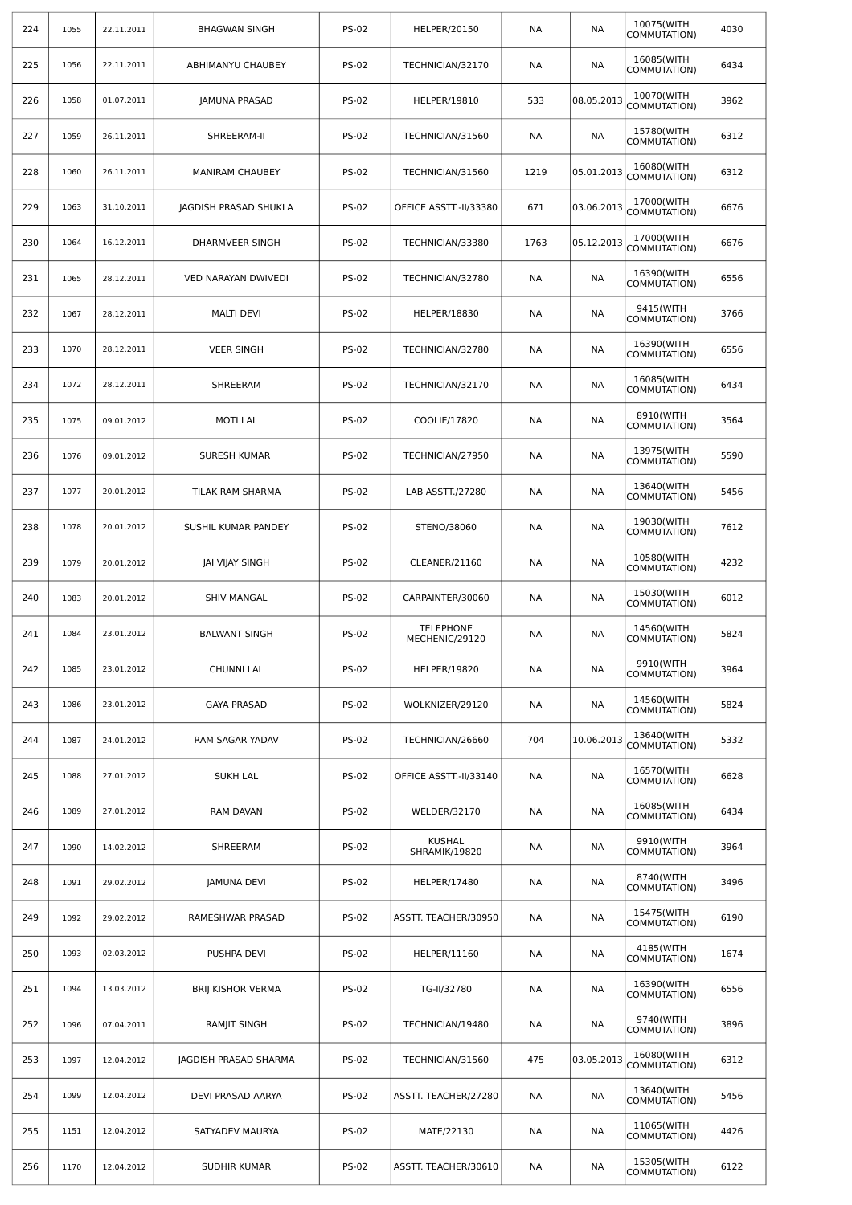| 224 | 1055 | 22.11.2011 | <b>BHAGWAN SINGH</b>     | <b>PS-02</b> | HELPER/20150                       | NА        | NА         | 10075(WITH<br>COMMUTATION) | 4030 |
|-----|------|------------|--------------------------|--------------|------------------------------------|-----------|------------|----------------------------|------|
| 225 | 1056 | 22.11.2011 | ABHIMANYU CHAUBEY        | <b>PS-02</b> | TECHNICIAN/32170                   | NА        | <b>NA</b>  | 16085(WITH<br>COMMUTATION) | 6434 |
| 226 | 1058 | 01.07.2011 | <b>JAMUNA PRASAD</b>     | <b>PS-02</b> | HELPER/19810                       | 533       | 08.05.2013 | 10070(WITH<br>COMMUTATION) | 3962 |
| 227 | 1059 | 26.11.2011 | SHREERAM-II              | <b>PS-02</b> | TECHNICIAN/31560                   | NА        | <b>NA</b>  | 15780(WITH<br>COMMUTATION) | 6312 |
| 228 | 1060 | 26.11.2011 | <b>MANIRAM CHAUBEY</b>   | <b>PS-02</b> | TECHNICIAN/31560                   | 1219      | 05.01.2013 | 16080(WITH<br>COMMUTATION) | 6312 |
| 229 | 1063 | 31.10.2011 | JAGDISH PRASAD SHUKLA    | <b>PS-02</b> | OFFICE ASSTT.-II/33380             | 671       | 03.06.2013 | 17000(WITH<br>COMMUTATION) | 6676 |
| 230 | 1064 | 16.12.2011 | DHARMVEER SINGH          | <b>PS-02</b> | TECHNICIAN/33380                   | 1763      | 05.12.2013 | 17000(WITH<br>COMMUTATION) | 6676 |
| 231 | 1065 | 28.12.2011 | VED NARAYAN DWIVEDI      | <b>PS-02</b> | TECHNICIAN/32780                   | <b>NA</b> | NА         | 16390(WITH<br>COMMUTATION) | 6556 |
| 232 | 1067 | 28.12.2011 | <b>MALTI DEVI</b>        | <b>PS-02</b> | <b>HELPER/18830</b>                | <b>NA</b> | NА         | 9415(WITH<br>COMMUTATION)  | 3766 |
| 233 | 1070 | 28.12.2011 | <b>VEER SINGH</b>        | <b>PS-02</b> | TECHNICIAN/32780                   | <b>NA</b> | NА         | 16390(WITH<br>COMMUTATION) | 6556 |
| 234 | 1072 | 28.12.2011 | SHREERAM                 | <b>PS-02</b> | TECHNICIAN/32170                   | NА        | NА         | 16085(WITH<br>COMMUTATION) | 6434 |
| 235 | 1075 | 09.01.2012 | <b>MOTI LAL</b>          | <b>PS-02</b> | COOLIE/17820                       | <b>NA</b> | NА         | 8910(WITH<br>COMMUTATION)  | 3564 |
| 236 | 1076 | 09.01.2012 | SURESH KUMAR             | <b>PS-02</b> | TECHNICIAN/27950                   | NА        | NА         | 13975(WITH<br>COMMUTATION) | 5590 |
| 237 | 1077 | 20.01.2012 | TILAK RAM SHARMA         | <b>PS-02</b> | LAB ASSTT./27280                   | <b>NA</b> | NА         | 13640(WITH<br>COMMUTATION) | 5456 |
| 238 | 1078 | 20.01.2012 | SUSHIL KUMAR PANDEY      | <b>PS-02</b> | STENO/38060                        | <b>NA</b> | NА         | 19030(WITH<br>COMMUTATION) | 7612 |
| 239 | 1079 | 20.01.2012 | JAI VIJAY SINGH          | <b>PS-02</b> | CLEANER/21160                      | NА        | NА         | 10580(WITH<br>COMMUTATION) | 4232 |
| 240 | 1083 | 20.01.2012 | <b>SHIV MANGAL</b>       | <b>PS-02</b> | CARPAINTER/30060                   | NА        | NА         | 15030(WITH<br>COMMUTATION) | 6012 |
| 241 | 1084 | 23.01.2012 | <b>BALWANT SINGH</b>     | <b>PS-02</b> | <b>TELEPHONE</b><br>MECHENIC/29120 | NА        | NА         | 14560(WITH<br>COMMUTATION) | 5824 |
| 242 | 1085 | 23.01.2012 | <b>CHUNNI LAL</b>        | <b>PS-02</b> | <b>HELPER/19820</b>                | <b>NA</b> | <b>NA</b>  | 9910(WITH<br>COMMUTATION)  | 3964 |
| 243 | 1086 | 23.01.2012 | <b>GAYA PRASAD</b>       | <b>PS-02</b> | WOLKNIZER/29120                    | NА        | NА         | 14560(WITH<br>COMMUTATION) | 5824 |
| 244 | 1087 | 24.01.2012 | RAM SAGAR YADAV          | <b>PS-02</b> | TECHNICIAN/26660                   | 704       | 10.06.2013 | 13640(WITH<br>COMMUTATION) | 5332 |
| 245 | 1088 | 27.01.2012 | <b>SUKH LAL</b>          | <b>PS-02</b> | OFFICE ASSTT.-II/33140             | NА        | NА         | 16570(WITH<br>COMMUTATION) | 6628 |
| 246 | 1089 | 27.01.2012 | RAM DAVAN                | <b>PS-02</b> | <b>WELDER/32170</b>                | <b>NA</b> | NА         | 16085(WITH<br>COMMUTATION) | 6434 |
| 247 | 1090 | 14.02.2012 | SHREERAM                 | <b>PS-02</b> | <b>KUSHAL</b><br>SHRAMIK/19820     | NА        | NА         | 9910(WITH<br>COMMUTATION)  | 3964 |
| 248 | 1091 | 29.02.2012 | <b>JAMUNA DEVI</b>       | <b>PS-02</b> | HELPER/17480                       | <b>NA</b> | NА         | 8740(WITH<br>COMMUTATION)  | 3496 |
| 249 | 1092 | 29.02.2012 | RAMESHWAR PRASAD         | <b>PS-02</b> | ASSTT. TEACHER/30950               | <b>NA</b> | NА         | 15475(WITH<br>COMMUTATION) | 6190 |
| 250 | 1093 | 02.03.2012 | PUSHPA DEVI              | <b>PS-02</b> | HELPER/11160                       | NА        | NА         | 4185(WITH<br>COMMUTATION)  | 1674 |
| 251 | 1094 | 13.03.2012 | <b>BRIJ KISHOR VERMA</b> | <b>PS-02</b> | TG-II/32780                        | <b>NA</b> | NА         | 16390(WITH<br>COMMUTATION) | 6556 |
| 252 | 1096 | 07.04.2011 | RAMJIT SINGH             | <b>PS-02</b> | TECHNICIAN/19480                   | NА        | NА         | 9740(WITH<br>COMMUTATION)  | 3896 |
| 253 | 1097 | 12.04.2012 | JAGDISH PRASAD SHARMA    | <b>PS-02</b> | TECHNICIAN/31560                   | 475       | 03.05.2013 | 16080(WITH<br>COMMUTATION) | 6312 |
| 254 | 1099 | 12.04.2012 | DEVI PRASAD AARYA        | <b>PS-02</b> | ASSTT. TEACHER/27280               | <b>NA</b> | NA         | 13640(WITH<br>COMMUTATION) | 5456 |
| 255 | 1151 | 12.04.2012 | SATYADEV MAURYA          | <b>PS-02</b> | MATE/22130                         | <b>NA</b> | NА         | 11065(WITH<br>COMMUTATION) | 4426 |
| 256 | 1170 | 12.04.2012 | SUDHIR KUMAR             | <b>PS-02</b> | ASSTT. TEACHER/30610               | NА        | NА         | 15305(WITH<br>COMMUTATION) | 6122 |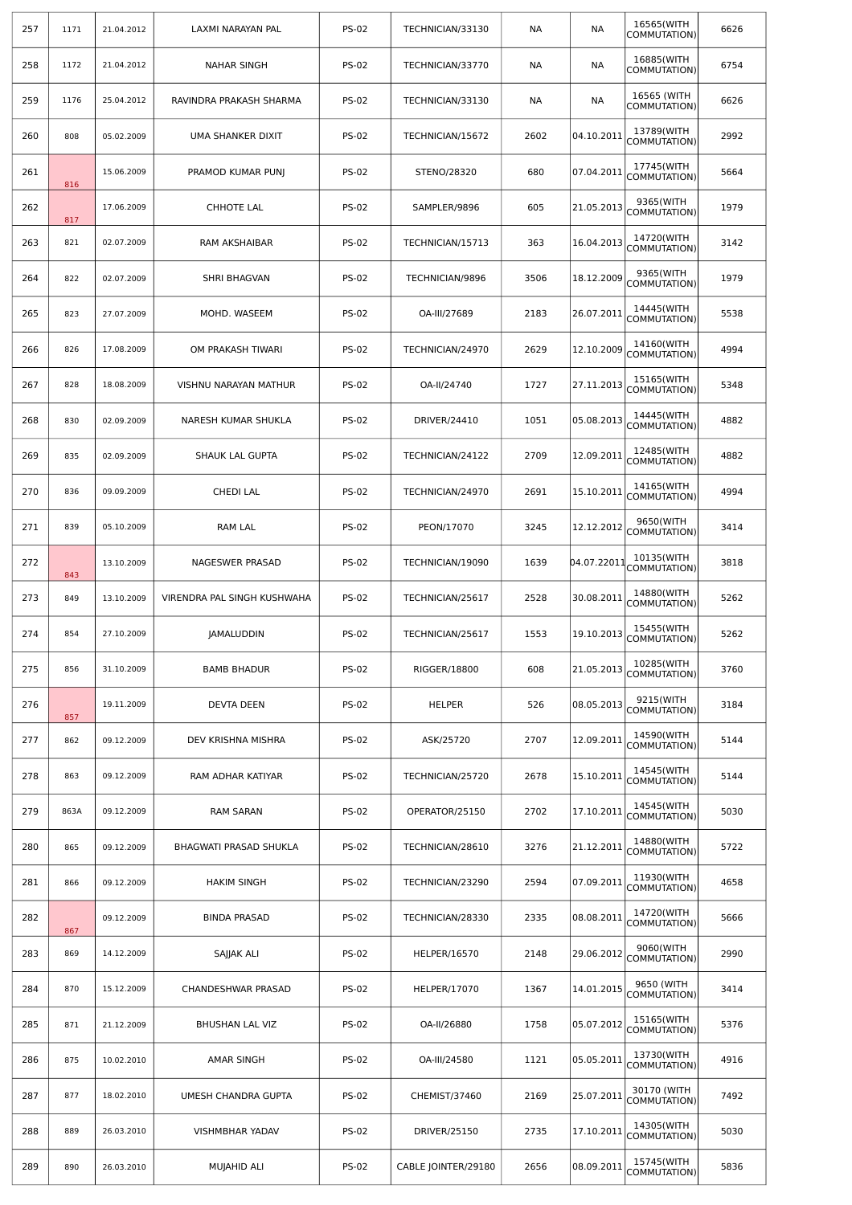| 257 | 1171 | 21.04.2012 | LAXMI NARAYAN PAL           | <b>PS-02</b> | TECHNICIAN/33130    | NА   | <b>NA</b>   | 16565(WITH<br>COMMUTATION)  | 6626 |
|-----|------|------------|-----------------------------|--------------|---------------------|------|-------------|-----------------------------|------|
| 258 | 1172 | 21.04.2012 | <b>NAHAR SINGH</b>          | <b>PS-02</b> | TECHNICIAN/33770    | NА   | NА          | 16885(WITH<br>COMMUTATION)  | 6754 |
| 259 | 1176 | 25.04.2012 | RAVINDRA PRAKASH SHARMA     | <b>PS-02</b> | TECHNICIAN/33130    | NА   | NА          | 16565 (WITH<br>COMMUTATION) | 6626 |
| 260 | 808  | 05.02.2009 | UMA SHANKER DIXIT           | <b>PS-02</b> | TECHNICIAN/15672    | 2602 | 04.10.2011  | 13789(WITH<br>COMMUTATION)  | 2992 |
| 261 | 816  | 15.06.2009 | PRAMOD KUMAR PUNJ           | <b>PS-02</b> | STENO/28320         | 680  | 07.04.2011  | 17745(WITH<br>COMMUTATION)  | 5664 |
| 262 | 817  | 17.06.2009 | CHHOTE LAL                  | <b>PS-02</b> | SAMPLER/9896        | 605  | 21.05.2013  | 9365(WITH<br>COMMUTATION)   | 1979 |
| 263 | 821  | 02.07.2009 | RAM AKSHAIBAR               | <b>PS-02</b> | TECHNICIAN/15713    | 363  | 16.04.2013  | 14720(WITH<br>COMMUTATION)  | 3142 |
| 264 | 822  | 02.07.2009 | SHRI BHAGVAN                | <b>PS-02</b> | TECHNICIAN/9896     | 3506 | 18.12.2009  | 9365(WITH<br>COMMUTATION)   | 1979 |
| 265 | 823  | 27.07.2009 | MOHD. WASEEM                | <b>PS-02</b> | OA-III/27689        | 2183 | 26.07.2011  | 14445(WITH<br>COMMUTATION)  | 5538 |
| 266 | 826  | 17.08.2009 | OM PRAKASH TIWARI           | <b>PS-02</b> | TECHNICIAN/24970    | 2629 | 12.10.2009  | 14160(WITH<br>COMMUTATION)  | 4994 |
| 267 | 828  | 18.08.2009 | VISHNU NARAYAN MATHUR       | <b>PS-02</b> | OA-II/24740         | 1727 | 27.11.2013  | 15165(WITH<br>COMMUTATION)  | 5348 |
| 268 | 830  | 02.09.2009 | NARESH KUMAR SHUKLA         | <b>PS-02</b> | DRIVER/24410        | 1051 | 05.08.2013  | 14445(WITH<br>COMMUTATION)  | 4882 |
| 269 | 835  | 02.09.2009 | SHAUK LAL GUPTA             | <b>PS-02</b> | TECHNICIAN/24122    | 2709 | 12.09.2011  | 12485(WITH<br>COMMUTATION)  | 4882 |
| 270 | 836  | 09.09.2009 | CHEDI LAL                   | <b>PS-02</b> | TECHNICIAN/24970    | 2691 | 15.10.2011  | 14165(WITH<br>COMMUTATION)  | 4994 |
| 271 | 839  | 05.10.2009 | RAM LAL                     | <b>PS-02</b> | PEON/17070          | 3245 | 12.12.2012  | 9650(WITH<br>COMMUTATION)   | 3414 |
| 272 | 843  | 13.10.2009 | NAGESWER PRASAD             | <b>PS-02</b> | TECHNICIAN/19090    | 1639 | 04.07.22011 | 10135(WITH<br>COMMUTATION)  | 3818 |
| 273 | 849  | 13.10.2009 | VIRENDRA PAL SINGH KUSHWAHA | <b>PS-02</b> | TECHNICIAN/25617    | 2528 | 30.08.2011  | 14880(WITH<br>COMMUTATION)  | 5262 |
| 274 | 854  | 27.10.2009 | <b>JAMALUDDIN</b>           | <b>PS-02</b> | TECHNICIAN/25617    | 1553 | 19.10.2013  | 15455(WITH<br>COMMUTATION)  | 5262 |
| 275 | 856  | 31.10.2009 | <b>BAMB BHADUR</b>          | <b>PS-02</b> | RIGGER/18800        | 608  | 21.05.2013  | 10285(WITH<br>COMMUTATION)  | 3760 |
| 276 | 857  | 19.11.2009 | DEVTA DEEN                  | <b>PS-02</b> | HELPER              | 526  | 08.05.2013  | 9215(WITH<br>COMMUTATION)   | 3184 |
| 277 | 862  | 09.12.2009 | DEV KRISHNA MISHRA          | <b>PS-02</b> | ASK/25720           | 2707 | 12.09.2011  | 14590(WITH<br>COMMUTATION)  | 5144 |
| 278 | 863  | 09.12.2009 | RAM ADHAR KATIYAR           | <b>PS-02</b> | TECHNICIAN/25720    | 2678 | 15.10.2011  | 14545(WITH<br>COMMUTATION)  | 5144 |
| 279 | 863A | 09.12.2009 | RAM SARAN                   | <b>PS-02</b> | OPERATOR/25150      | 2702 | 17.10.2011  | 14545(WITH<br>COMMUTATION)  | 5030 |
| 280 | 865  | 09.12.2009 | BHAGWATI PRASAD SHUKLA      | <b>PS-02</b> | TECHNICIAN/28610    | 3276 | 21.12.2011  | 14880(WITH<br>COMMUTATION)  | 5722 |
| 281 | 866  | 09.12.2009 | <b>HAKIM SINGH</b>          | <b>PS-02</b> | TECHNICIAN/23290    | 2594 | 07.09.2011  | 11930(WITH<br>COMMUTATION)  | 4658 |
| 282 | 867  | 09.12.2009 | <b>BINDA PRASAD</b>         | <b>PS-02</b> | TECHNICIAN/28330    | 2335 | 08.08.2011  | 14720(WITH<br>COMMUTATION)  | 5666 |
| 283 | 869  | 14.12.2009 | SAJJAK ALI                  | <b>PS-02</b> | HELPER/16570        | 2148 | 29.06.2012  | 9060(WITH<br>COMMUTATION)   | 2990 |
| 284 | 870  | 15.12.2009 | CHANDESHWAR PRASAD          | <b>PS-02</b> | HELPER/17070        | 1367 | 14.01.2015  | 9650 (WITH<br>COMMUTATION)  | 3414 |
| 285 | 871  | 21.12.2009 | BHUSHAN LAL VIZ             | <b>PS-02</b> | OA-II/26880         | 1758 | 05.07.2012  | 15165(WITH<br>COMMUTATION)  | 5376 |
| 286 | 875  | 10.02.2010 | AMAR SINGH                  | <b>PS-02</b> | OA-III/24580        | 1121 | 05.05.2011  | 13730(WITH<br>COMMUTATION)  | 4916 |
| 287 | 877  | 18.02.2010 | UMESH CHANDRA GUPTA         | <b>PS-02</b> | CHEMIST/37460       | 2169 | 25.07.2011  | 30170 (WITH<br>COMMUTATION) | 7492 |
| 288 | 889  | 26.03.2010 | VISHMBHAR YADAV             | <b>PS-02</b> | DRIVER/25150        | 2735 | 17.10.2011  | 14305(WITH<br>COMMUTATION)  | 5030 |
| 289 | 890  | 26.03.2010 | MUJAHID ALI                 | <b>PS-02</b> | CABLE JOINTER/29180 | 2656 | 08.09.2011  | 15745(WITH<br>COMMUTATION)  | 5836 |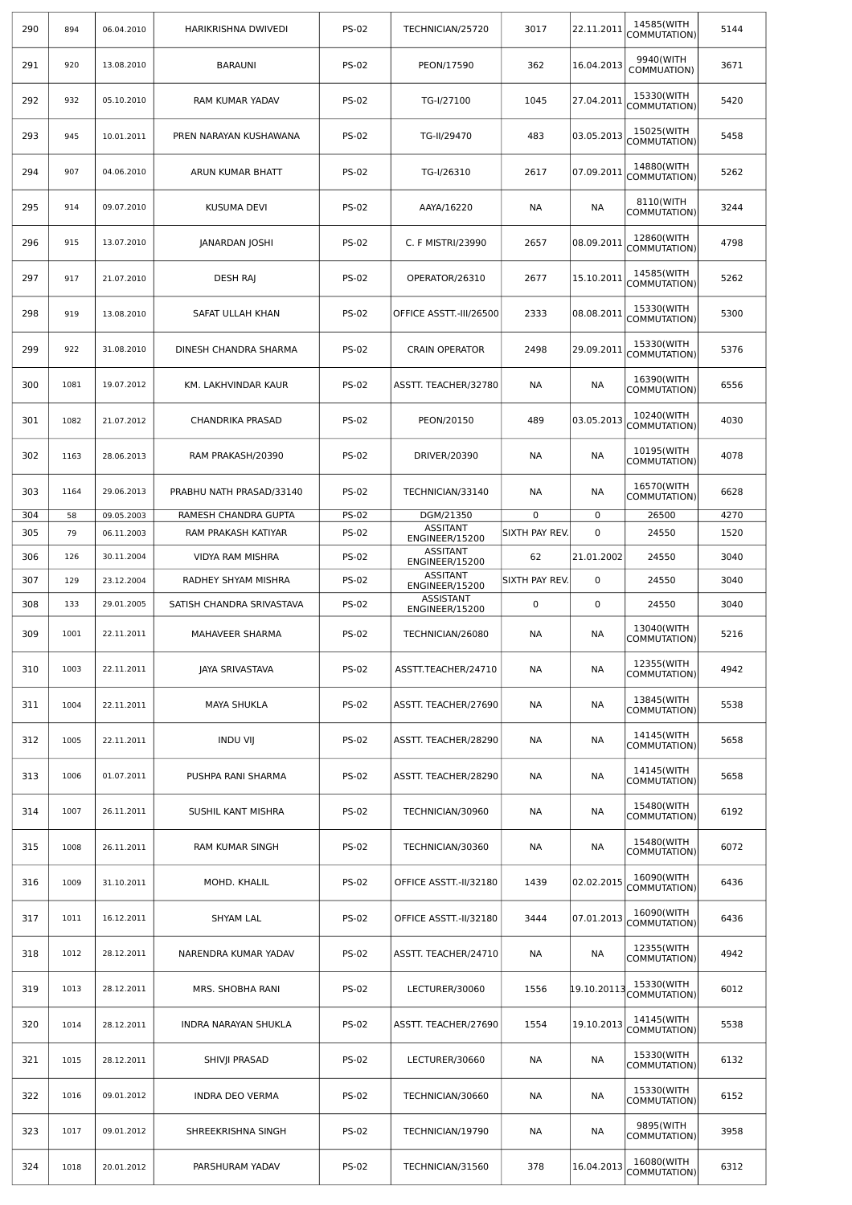| 290 | 894  | 06.04.2010 | HARIKRISHNA DWIVEDI       | <b>PS-02</b> | TECHNICIAN/25720                   | 3017           | 22.11.2011  | 14585(WITH<br>COMMUTATION) | 5144 |
|-----|------|------------|---------------------------|--------------|------------------------------------|----------------|-------------|----------------------------|------|
| 291 | 920  | 13.08.2010 | <b>BARAUNI</b>            | <b>PS-02</b> | PEON/17590                         | 362            | 16.04.2013  | 9940(WITH<br>COMMUATION)   | 3671 |
| 292 | 932  | 05.10.2010 | RAM KUMAR YADAV           | <b>PS-02</b> | TG-I/27100                         | 1045           | 27.04.2011  | 15330(WITH<br>COMMUTATION) | 5420 |
| 293 | 945  | 10.01.2011 | PREN NARAYAN KUSHAWANA    | <b>PS-02</b> | TG-II/29470                        | 483            | 03.05.2013  | 15025(WITH<br>COMMUTATION) | 5458 |
| 294 | 907  | 04.06.2010 | ARUN KUMAR BHATT          | <b>PS-02</b> | TG-I/26310                         | 2617           | 07.09.2011  | 14880(WITH<br>COMMUTATION) | 5262 |
| 295 | 914  | 09.07.2010 | <b>KUSUMA DEVI</b>        | <b>PS-02</b> | AAYA/16220                         | NА             | NА          | 8110(WITH<br>COMMUTATION)  | 3244 |
| 296 | 915  | 13.07.2010 | <b>JANARDAN JOSHI</b>     | <b>PS-02</b> | C. F MISTRI/23990                  | 2657           | 08.09.2011  | 12860(WITH<br>COMMUTATION) | 4798 |
| 297 | 917  | 21.07.2010 | <b>DESH RAJ</b>           | <b>PS-02</b> | OPERATOR/26310                     | 2677           | 15.10.2011  | 14585(WITH<br>COMMUTATION) | 5262 |
| 298 | 919  | 13.08.2010 | SAFAT ULLAH KHAN          | <b>PS-02</b> | OFFICE ASSTT.-III/26500            | 2333           | 08.08.2011  | 15330(WITH<br>COMMUTATION) | 5300 |
| 299 | 922  | 31.08.2010 | DINESH CHANDRA SHARMA     | <b>PS-02</b> | <b>CRAIN OPERATOR</b>              | 2498           | 29.09.2011  | 15330(WITH<br>COMMUTATION) | 5376 |
| 300 | 1081 | 19.07.2012 | KM. LAKHVINDAR KAUR       | <b>PS-02</b> | ASSTT. TEACHER/32780               | NА             | NА          | 16390(WITH<br>COMMUTATION) | 6556 |
| 301 | 1082 | 21.07.2012 | CHANDRIKA PRASAD          | <b>PS-02</b> | PEON/20150                         | 489            | 03.05.2013  | 10240(WITH<br>COMMUTATION) | 4030 |
| 302 | 1163 | 28.06.2013 | RAM PRAKASH/20390         | <b>PS-02</b> | DRIVER/20390                       | NА             | NА          | 10195(WITH<br>COMMUTATION) | 4078 |
| 303 | 1164 | 29.06.2013 | PRABHU NATH PRASAD/33140  | <b>PS-02</b> | TECHNICIAN/33140                   | NА             | NА          | 16570(WITH<br>COMMUTATION) | 6628 |
| 304 | 58   | 09.05.2003 | RAMESH CHANDRA GUPTA      | <b>PS-02</b> | DGM/21350<br><b>ASSITANT</b>       | 0              | 0           | 26500                      | 4270 |
| 305 | 79   | 06.11.2003 | RAM PRAKASH KATIYAR       | <b>PS-02</b> | ENGINEER/15200<br><b>ASSITANT</b>  | SIXTH PAY REV. | $\mathbf 0$ | 24550                      | 1520 |
| 306 | 126  | 30.11.2004 | VIDYA RAM MISHRA          | <b>PS-02</b> | ENGINEER/15200                     | 62             | 21.01.2002  | 24550                      | 3040 |
| 307 | 129  | 23.12.2004 | RADHEY SHYAM MISHRA       | <b>PS-02</b> | <b>ASSITANT</b><br>ENGINEER/15200  | SIXTH PAY REV. | 0           | 24550                      | 3040 |
| 308 | 133  | 29.01.2005 | SATISH CHANDRA SRIVASTAVA | <b>PS-02</b> | <b>ASSISTANT</b><br>ENGINEER/15200 | 0              | 0           | 24550                      | 3040 |
| 309 | 1001 | 22.11.2011 | MAHAVEER SHARMA           | <b>PS-02</b> | TECHNICIAN/26080                   | NА             | NА          | 13040(WITH<br>COMMUTATION) | 5216 |
| 310 | 1003 | 22.11.2011 | <b>JAYA SRIVASTAVA</b>    | <b>PS-02</b> | ASSTT.TEACHER/24710                | NА             | <b>NA</b>   | 12355(WITH<br>COMMUTATION) | 4942 |
| 311 | 1004 | 22.11.2011 | <b>MAYA SHUKLA</b>        | <b>PS-02</b> | ASSTT. TEACHER/27690               | NА             | NА          | 13845(WITH<br>COMMUTATION) | 5538 |
| 312 | 1005 | 22.11.2011 | <b>INDU VII</b>           | <b>PS-02</b> | ASSTT. TEACHER/28290               | NA             | <b>NA</b>   | 14145(WITH<br>COMMUTATION) | 5658 |
| 313 | 1006 | 01.07.2011 | PUSHPA RANI SHARMA        | <b>PS-02</b> | ASSTT. TEACHER/28290               | NА             | NА          | 14145(WITH<br>COMMUTATION) | 5658 |
| 314 | 1007 | 26.11.2011 | SUSHIL KANT MISHRA        | <b>PS-02</b> | TECHNICIAN/30960                   | NА             | NА          | 15480(WITH<br>COMMUTATION) | 6192 |
| 315 | 1008 | 26.11.2011 | RAM KUMAR SINGH           | <b>PS-02</b> | TECHNICIAN/30360                   | NА             | NА          | 15480(WITH<br>COMMUTATION) | 6072 |
| 316 | 1009 | 31.10.2011 | MOHD. KHALIL              | <b>PS-02</b> | OFFICE ASSTT.-II/32180             | 1439           | 02.02.2015  | 16090(WITH<br>COMMUTATION) | 6436 |
| 317 | 1011 | 16.12.2011 | SHYAM LAL                 | <b>PS-02</b> | OFFICE ASSTT.-II/32180             | 3444           | 07.01.2013  | 16090(WITH<br>COMMUTATION) | 6436 |
| 318 | 1012 | 28.12.2011 | NARENDRA KUMAR YADAV      | <b>PS-02</b> | ASSTT. TEACHER/24710               | NА             | NА          | 12355(WITH<br>COMMUTATION) | 4942 |
| 319 | 1013 | 28.12.2011 | MRS. SHOBHA RANI          | <b>PS-02</b> | LECTURER/30060                     | 1556           | 19.10.20113 | 15330(WITH<br>COMMUTATION) | 6012 |
| 320 | 1014 | 28.12.2011 | INDRA NARAYAN SHUKLA      | <b>PS-02</b> | ASSTT. TEACHER/27690               | 1554           | 19.10.2013  | 14145(WITH<br>COMMUTATION) | 5538 |
| 321 | 1015 | 28.12.2011 | SHIVJI PRASAD             | <b>PS-02</b> | LECTURER/30660                     | NА             | NА          | 15330(WITH<br>COMMUTATION) | 6132 |
| 322 | 1016 | 09.01.2012 | INDRA DEO VERMA           | <b>PS-02</b> | TECHNICIAN/30660                   | NА             | NA          | 15330(WITH<br>COMMUTATION) | 6152 |
| 323 | 1017 | 09.01.2012 | SHREEKRISHNA SINGH        | <b>PS-02</b> | TECHNICIAN/19790                   | NА             | NА          | 9895(WITH<br>COMMUTATION)  | 3958 |
| 324 | 1018 | 20.01.2012 | PARSHURAM YADAV           | <b>PS-02</b> | TECHNICIAN/31560                   | 378            | 16.04.2013  | 16080(WITH<br>COMMUTATION) | 6312 |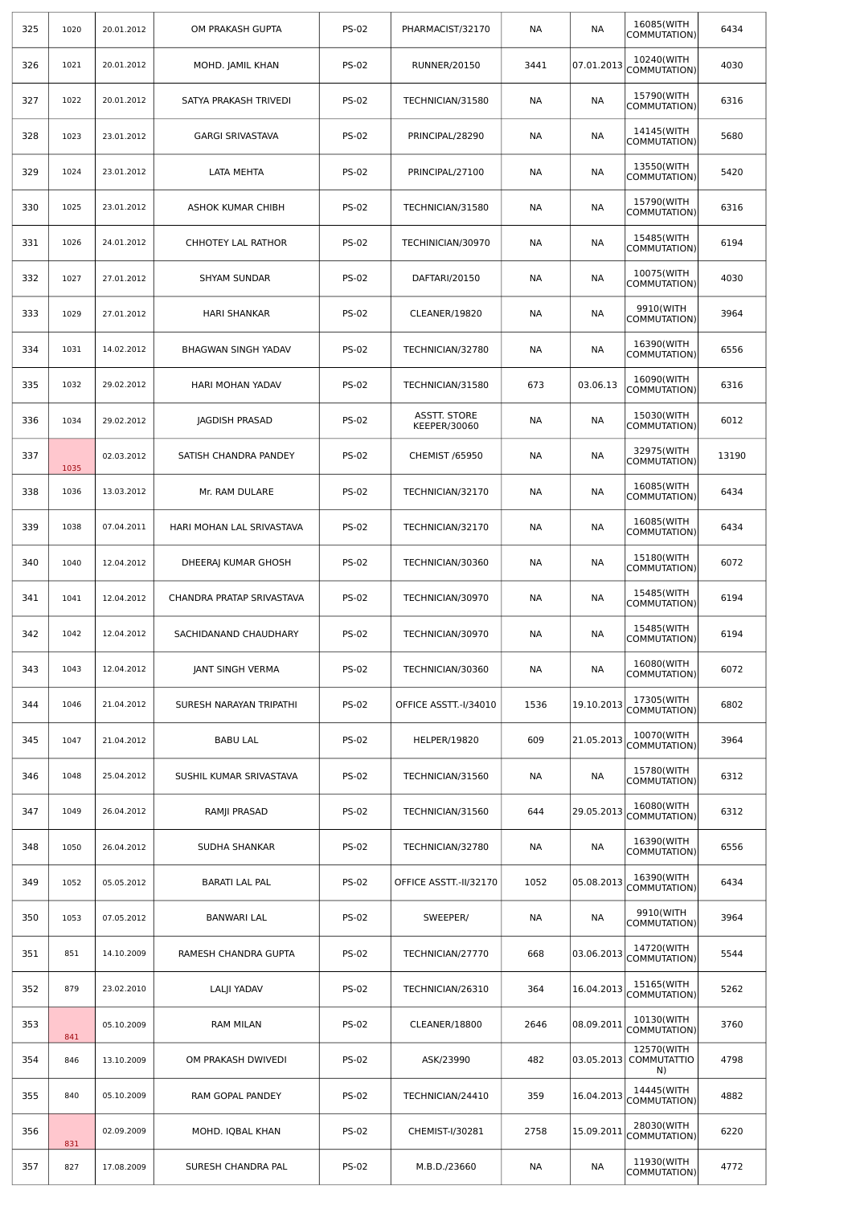| 325 | 1020 | 20.01.2012 | OM PRAKASH GUPTA          | <b>PS-02</b> | PHARMACIST/32170                    | NА   | NА         | 16085(WITH<br>COMMUTATION)             | 6434  |
|-----|------|------------|---------------------------|--------------|-------------------------------------|------|------------|----------------------------------------|-------|
| 326 | 1021 | 20.01.2012 | MOHD. JAMIL KHAN          | <b>PS-02</b> | <b>RUNNER/20150</b>                 | 3441 | 07.01.2013 | 10240(WITH<br>COMMUTATION)             | 4030  |
| 327 | 1022 | 20.01.2012 | SATYA PRAKASH TRIVEDI     | <b>PS-02</b> | TECHNICIAN/31580                    | NА   | NА         | 15790(WITH<br>COMMUTATION)             | 6316  |
| 328 | 1023 | 23.01.2012 | <b>GARGI SRIVASTAVA</b>   | <b>PS-02</b> | PRINCIPAL/28290                     | NА   | NА         | 14145(WITH<br>COMMUTATION)             | 5680  |
| 329 | 1024 | 23.01.2012 | LATA MEHTA                | <b>PS-02</b> | PRINCIPAL/27100                     | NА   | NА         | 13550(WITH<br>COMMUTATION)             | 5420  |
| 330 | 1025 | 23.01.2012 | ASHOK KUMAR CHIBH         | <b>PS-02</b> | TECHNICIAN/31580                    | NА   | NА         | 15790(WITH<br>COMMUTATION)             | 6316  |
| 331 | 1026 | 24.01.2012 | CHHOTEY LAL RATHOR        | <b>PS-02</b> | TECHINICIAN/30970                   | NА   | NА         | 15485(WITH<br>COMMUTATION)             | 6194  |
| 332 | 1027 | 27.01.2012 | <b>SHYAM SUNDAR</b>       | <b>PS-02</b> | DAFTARI/20150                       | NА   | NA         | 10075(WITH<br>COMMUTATION)             | 4030  |
| 333 | 1029 | 27.01.2012 | <b>HARI SHANKAR</b>       | <b>PS-02</b> | CLEANER/19820                       | NА   | NА         | 9910(WITH<br>COMMUTATION)              | 3964  |
| 334 | 1031 | 14.02.2012 | BHAGWAN SINGH YADAV       | <b>PS-02</b> | TECHNICIAN/32780                    | NА   | NА         | 16390(WITH<br>COMMUTATION)             | 6556  |
| 335 | 1032 | 29.02.2012 | HARI MOHAN YADAV          | <b>PS-02</b> | TECHNICIAN/31580                    | 673  | 03.06.13   | 16090(WITH<br>COMMUTATION)             | 6316  |
| 336 | 1034 | 29.02.2012 | <b>JAGDISH PRASAD</b>     | <b>PS-02</b> | <b>ASSTT. STORE</b><br>KEEPER/30060 | NА   | NА         | 15030(WITH<br>COMMUTATION)             | 6012  |
| 337 | 1035 | 02.03.2012 | SATISH CHANDRA PANDEY     | <b>PS-02</b> | <b>CHEMIST /65950</b>               | NА   | NА         | 32975(WITH<br>COMMUTATION)             | 13190 |
| 338 | 1036 | 13.03.2012 | Mr. RAM DULARE            | <b>PS-02</b> | TECHNICIAN/32170                    | NА   | NА         | 16085(WITH<br>COMMUTATION)             | 6434  |
| 339 | 1038 | 07.04.2011 | HARI MOHAN LAL SRIVASTAVA | <b>PS-02</b> | TECHNICIAN/32170                    | NА   | NA         | 16085(WITH<br>COMMUTATION)             | 6434  |
| 340 | 1040 | 12.04.2012 | DHEERAJ KUMAR GHOSH       | <b>PS-02</b> | TECHNICIAN/30360                    | NА   | NА         | 15180(WITH<br>COMMUTATION)             | 6072  |
| 341 | 1041 | 12.04.2012 | CHANDRA PRATAP SRIVASTAVA | <b>PS-02</b> | TECHNICIAN/30970                    | NА   | NА         | 15485(WITH<br>COMMUTATION)             | 6194  |
| 342 | 1042 | 12.04.2012 | SACHIDANAND CHAUDHARY     | <b>PS-02</b> | TECHNICIAN/30970                    | NА   | NА         | 15485(WITH<br>COMMUTATION)             | 6194  |
| 343 | 1043 | 12.04.2012 | <b>JANT SINGH VERMA</b>   | <b>PS-02</b> | TECHNICIAN/30360                    | NA   | <b>NA</b>  | 16080(WITH<br>COMMUTATION)             | 6072  |
| 344 | 1046 | 21.04.2012 | SURESH NARAYAN TRIPATHI   | <b>PS-02</b> | OFFICE ASSTT.-I/34010               | 1536 | 19.10.2013 | 17305(WITH<br>COMMUTATION)             | 6802  |
| 345 | 1047 | 21.04.2012 | <b>BABU LAL</b>           | PS-02        | <b>HELPER/19820</b>                 | 609  | 21.05.2013 | 10070(WITH<br>COMMUTATION)             | 3964  |
| 346 | 1048 | 25.04.2012 | SUSHIL KUMAR SRIVASTAVA   | <b>PS-02</b> | TECHNICIAN/31560                    | NА   | NА         | 15780(WITH<br>COMMUTATION)             | 6312  |
| 347 | 1049 | 26.04.2012 | RAMJI PRASAD              | <b>PS-02</b> | TECHNICIAN/31560                    | 644  | 29.05.2013 | 16080(WITH<br>COMMUTATION)             | 6312  |
| 348 | 1050 | 26.04.2012 | SUDHA SHANKAR             | <b>PS-02</b> | TECHNICIAN/32780                    | NА   | NА         | 16390(WITH<br>COMMUTATION)             | 6556  |
| 349 | 1052 | 05.05.2012 | <b>BARATI LAL PAL</b>     | <b>PS-02</b> | OFFICE ASSTT.-II/32170              | 1052 | 05.08.2013 | 16390(WITH<br>COMMUTATION)             | 6434  |
| 350 | 1053 | 07.05.2012 | <b>BANWARI LAL</b>        | <b>PS-02</b> | SWEEPER/                            | NА   | NА         | 9910(WITH<br>COMMUTATION)              | 3964  |
| 351 | 851  | 14.10.2009 | RAMESH CHANDRA GUPTA      | <b>PS-02</b> | TECHNICIAN/27770                    | 668  | 03.06.2013 | 14720(WITH<br>COMMUTATION)             | 5544  |
| 352 | 879  | 23.02.2010 | <b>LALJI YADAV</b>        | <b>PS-02</b> | TECHNICIAN/26310                    | 364  | 16.04.2013 | 15165(WITH<br>COMMUTATION)             | 5262  |
| 353 | 841  | 05.10.2009 | RAM MILAN                 | <b>PS-02</b> | CLEANER/18800                       | 2646 | 08.09.2011 | 10130(WITH<br>COMMUTATION)             | 3760  |
| 354 | 846  | 13.10.2009 | OM PRAKASH DWIVEDI        | <b>PS-02</b> | ASK/23990                           | 482  | 03.05.2013 | 12570(WITH<br><b>COMMUTATTIO</b><br>N) | 4798  |
| 355 | 840  | 05.10.2009 | RAM GOPAL PANDEY          | <b>PS-02</b> | TECHNICIAN/24410                    | 359  | 16.04.2013 | 14445(WITH<br>COMMUTATION)             | 4882  |
| 356 | 831  | 02.09.2009 | MOHD. IQBAL KHAN          | <b>PS-02</b> | CHEMIST-I/30281                     | 2758 | 15.09.2011 | 28030(WITH<br>COMMUTATION)             | 6220  |
| 357 | 827  | 17.08.2009 | SURESH CHANDRA PAL        | <b>PS-02</b> | M.B.D./23660                        | NА   | NA         | 11930(WITH<br>COMMUTATION)             | 4772  |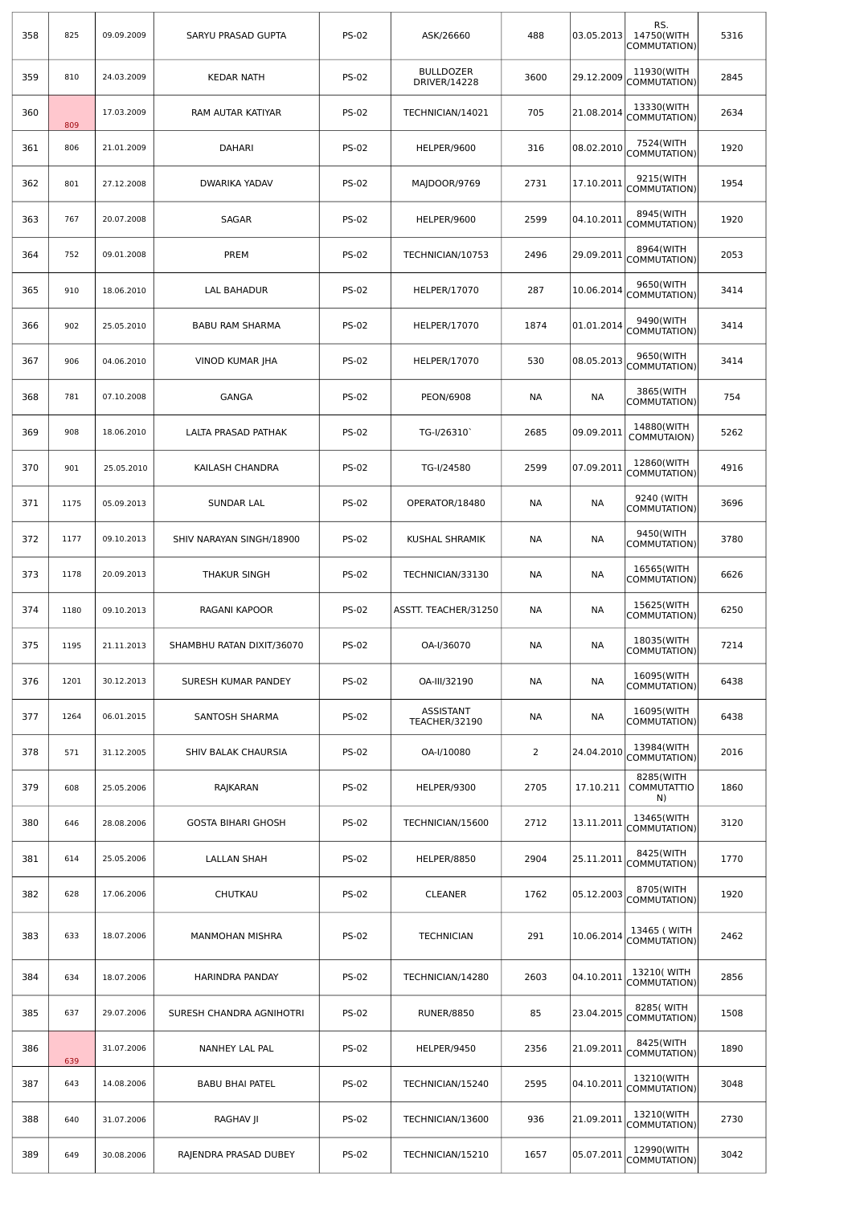| 358 | 825  | 09.09.2009 | SARYU PRASAD GUPTA        | <b>PS-02</b> | ASK/26660                        | 488            | 03.05.2013 | RS.<br>14750(WITH<br>COMMUTATION)     | 5316 |
|-----|------|------------|---------------------------|--------------|----------------------------------|----------------|------------|---------------------------------------|------|
| 359 | 810  | 24.03.2009 | <b>KEDAR NATH</b>         | <b>PS-02</b> | <b>BULLDOZER</b><br>DRIVER/14228 | 3600           | 29.12.2009 | 11930(WITH<br>COMMUTATION)            | 2845 |
| 360 | 809  | 17.03.2009 | RAM AUTAR KATIYAR         | <b>PS-02</b> | TECHNICIAN/14021                 | 705            | 21.08.2014 | 13330(WITH<br>COMMUTATION)            | 2634 |
| 361 | 806  | 21.01.2009 | <b>DAHARI</b>             | <b>PS-02</b> | HELPER/9600                      | 316            | 08.02.2010 | 7524(WITH<br>COMMUTATION)             | 1920 |
| 362 | 801  | 27.12.2008 | DWARIKA YADAV             | <b>PS-02</b> | MAJDOOR/9769                     | 2731           | 17.10.2011 | 9215(WITH<br>COMMUTATION)             | 1954 |
| 363 | 767  | 20.07.2008 | SAGAR                     | <b>PS-02</b> | HELPER/9600                      | 2599           | 04.10.2011 | 8945(WITH<br>COMMUTATION)             | 1920 |
| 364 | 752  | 09.01.2008 | PREM                      | <b>PS-02</b> | TECHNICIAN/10753                 | 2496           | 29.09.2011 | 8964(WITH<br>COMMUTATION)             | 2053 |
| 365 | 910  | 18.06.2010 | LAL BAHADUR               | <b>PS-02</b> | HELPER/17070                     | 287            | 10.06.2014 | 9650(WITH<br>COMMUTATION)             | 3414 |
| 366 | 902  | 25.05.2010 | <b>BABU RAM SHARMA</b>    | <b>PS-02</b> | HELPER/17070                     | 1874           | 01.01.2014 | 9490(WITH<br>COMMUTATION)             | 3414 |
| 367 | 906  | 04.06.2010 | VINOD KUMAR JHA           | <b>PS-02</b> | HELPER/17070                     | 530            | 08.05.2013 | 9650(WITH<br>COMMUTATION)             | 3414 |
| 368 | 781  | 07.10.2008 | <b>GANGA</b>              | <b>PS-02</b> | <b>PEON/6908</b>                 | NА             | NА         | 3865(WITH<br>COMMUTATION)             | 754  |
| 369 | 908  | 18.06.2010 | LALTA PRASAD PATHAK       | <b>PS-02</b> | TG-I/26310                       | 2685           | 09.09.2011 | 14880(WITH<br>COMMUTAION)             | 5262 |
| 370 | 901  | 25.05.2010 | KAILASH CHANDRA           | <b>PS-02</b> | TG-I/24580                       | 2599           | 07.09.2011 | 12860(WITH<br>COMMUTATION)            | 4916 |
| 371 | 1175 | 05.09.2013 | SUNDAR LAL                | <b>PS-02</b> | OPERATOR/18480                   | NА             | NА         | 9240 (WITH<br>COMMUTATION)            | 3696 |
| 372 | 1177 | 09.10.2013 | SHIV NARAYAN SINGH/18900  | <b>PS-02</b> | KUSHAL SHRAMIK                   | NА             | NА         | 9450(WITH<br>COMMUTATION)             | 3780 |
| 373 | 1178 | 20.09.2013 | THAKUR SINGH              | <b>PS-02</b> | TECHNICIAN/33130                 | <b>NA</b>      | NА         | 16565(WITH<br>COMMUTATION)            | 6626 |
| 374 | 1180 | 09.10.2013 | RAGANI KAPOOR             | <b>PS-02</b> | ASSTT. TEACHER/31250             | NА             | NА         | 15625(WITH<br>COMMUTATION)            | 6250 |
| 375 | 1195 | 21.11.2013 | SHAMBHU RATAN DIXIT/36070 | <b>PS-02</b> | OA-I/36070                       | NА             | NА         | 18035(WITH<br>COMMUTATION)            | 7214 |
| 376 | 1201 | 30.12.2013 | SURESH KUMAR PANDEY       | <b>PS-02</b> | OA-III/32190                     | NА             | NА         | 16095(WITH<br>COMMUTATION)            | 6438 |
| 377 | 1264 | 06.01.2015 | SANTOSH SHARMA            | <b>PS-02</b> | ASSISTANT<br>TEACHER/32190       | <b>NA</b>      | NА         | 16095(WITH<br>COMMUTATION)            | 6438 |
| 378 | 571  | 31.12.2005 | SHIV BALAK CHAURSIA       | <b>PS-02</b> | OA-I/10080                       | $\overline{2}$ | 24.04.2010 | 13984(WITH<br>COMMUTATION)            | 2016 |
| 379 | 608  | 25.05.2006 | RAJKARAN                  | <b>PS-02</b> | HELPER/9300                      | 2705           | 17.10.211  | 8285(WITH<br><b>COMMUTATTIO</b><br>N) | 1860 |
| 380 | 646  | 28.08.2006 | <b>GOSTA BIHARI GHOSH</b> | <b>PS-02</b> | TECHNICIAN/15600                 | 2712           | 13.11.2011 | 13465(WITH<br>COMMUTATION)            | 3120 |
| 381 | 614  | 25.05.2006 | <b>LALLAN SHAH</b>        | <b>PS-02</b> | HELPER/8850                      | 2904           | 25.11.2011 | 8425(WITH<br>COMMUTATION)             | 1770 |
| 382 | 628  | 17.06.2006 | CHUTKAU                   | <b>PS-02</b> | <b>CLEANER</b>                   | 1762           | 05.12.2003 | 8705(WITH<br>COMMUTATION)             | 1920 |
| 383 | 633  | 18.07.2006 | <b>MANMOHAN MISHRA</b>    | <b>PS-02</b> | <b>TECHNICIAN</b>                | 291            | 10.06.2014 | 13465 ( WITH<br>COMMUTATION)          | 2462 |
| 384 | 634  | 18.07.2006 | HARINDRA PANDAY           | <b>PS-02</b> | TECHNICIAN/14280                 | 2603           | 04.10.2011 | 13210( WITH<br>COMMUTATION)           | 2856 |
| 385 | 637  | 29.07.2006 | SURESH CHANDRA AGNIHOTRI  | <b>PS-02</b> | <b>RUNER/8850</b>                | 85             | 23.04.2015 | 8285( WITH<br>COMMUTATION)            | 1508 |
| 386 | 639  | 31.07.2006 | NANHEY LAL PAL            | <b>PS-02</b> | HELPER/9450                      | 2356           | 21.09.2011 | 8425(WITH<br>COMMUTATION)             | 1890 |
| 387 | 643  | 14.08.2006 | <b>BABU BHAI PATEL</b>    | <b>PS-02</b> | TECHNICIAN/15240                 | 2595           | 04.10.2011 | 13210(WITH<br>COMMUTATION)            | 3048 |
| 388 | 640  | 31.07.2006 | RAGHAV JI                 | <b>PS-02</b> | TECHNICIAN/13600                 | 936            | 21.09.2011 | 13210(WITH<br>COMMUTATION)            | 2730 |
| 389 | 649  | 30.08.2006 | RAJENDRA PRASAD DUBEY     | <b>PS-02</b> | TECHNICIAN/15210                 | 1657           | 05.07.2011 | 12990(WITH<br>COMMUTATION)            | 3042 |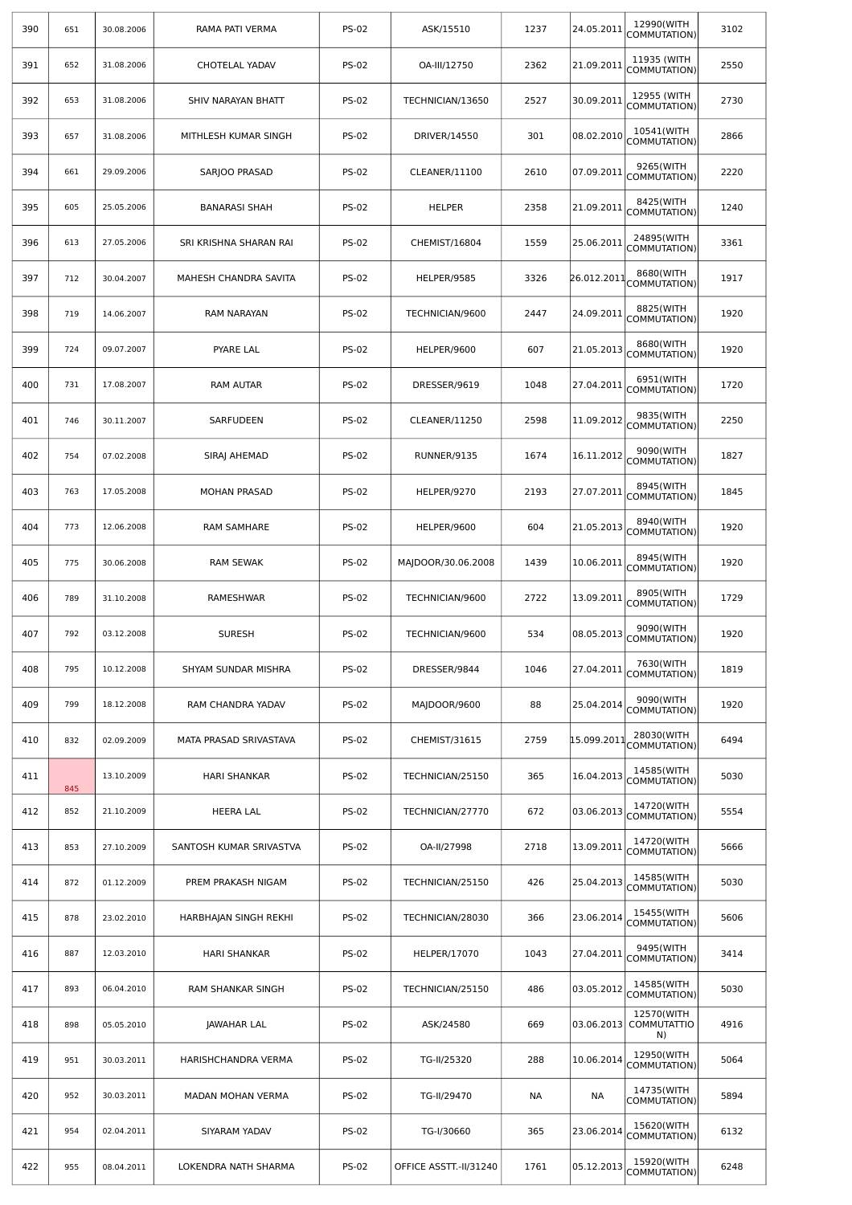| 390 | 651 | 30.08.2006 | RAMA PATI VERMA         | <b>PS-02</b> | ASK/15510              | 1237 | 24.05.2011  | 12990(WITH<br>COMMUTATION)             | 3102 |
|-----|-----|------------|-------------------------|--------------|------------------------|------|-------------|----------------------------------------|------|
| 391 | 652 | 31.08.2006 | <b>CHOTELAL YADAV</b>   | <b>PS-02</b> | OA-III/12750           | 2362 | 21.09.2011  | 11935 (WITH<br>COMMUTATION)            | 2550 |
| 392 | 653 | 31.08.2006 | SHIV NARAYAN BHATT      | <b>PS-02</b> | TECHNICIAN/13650       | 2527 | 30.09.2011  | 12955 (WITH<br>COMMUTATION)            | 2730 |
| 393 | 657 | 31.08.2006 | MITHLESH KUMAR SINGH    | <b>PS-02</b> | DRIVER/14550           | 301  | 08.02.2010  | 10541(WITH<br>COMMUTATION)             | 2866 |
| 394 | 661 | 29.09.2006 | SARJOO PRASAD           | <b>PS-02</b> | CLEANER/11100          | 2610 | 07.09.2011  | 9265(WITH<br>COMMUTATION)              | 2220 |
| 395 | 605 | 25.05.2006 | <b>BANARASI SHAH</b>    | <b>PS-02</b> | <b>HELPER</b>          | 2358 | 21.09.2011  | 8425(WITH<br>COMMUTATION)              | 1240 |
| 396 | 613 | 27.05.2006 | SRI KRISHNA SHARAN RAI  | <b>PS-02</b> | CHEMIST/16804          | 1559 | 25.06.2011  | 24895(WITH<br>COMMUTATION)             | 3361 |
| 397 | 712 | 30.04.2007 | MAHESH CHANDRA SAVITA   | <b>PS-02</b> | HELPER/9585            | 3326 | 26.012.2011 | 8680(WITH<br>COMMUTATION)              | 1917 |
| 398 | 719 | 14.06.2007 | RAM NARAYAN             | <b>PS-02</b> | TECHNICIAN/9600        | 2447 | 24.09.2011  | 8825(WITH<br>COMMUTATION)              | 1920 |
| 399 | 724 | 09.07.2007 | PYARE LAL               | <b>PS-02</b> | HELPER/9600            | 607  | 21.05.2013  | 8680(WITH<br>COMMUTATION)              | 1920 |
| 400 | 731 | 17.08.2007 | RAM AUTAR               | <b>PS-02</b> | DRESSER/9619           | 1048 | 27.04.2011  | 6951(WITH<br>COMMUTATION)              | 1720 |
| 401 | 746 | 30.11.2007 | SARFUDEEN               | <b>PS-02</b> | CLEANER/11250          | 2598 | 11.09.2012  | 9835(WITH<br>COMMUTATION)              | 2250 |
| 402 | 754 | 07.02.2008 | SIRAJ AHEMAD            | <b>PS-02</b> | RUNNER/9135            | 1674 | 16.11.2012  | 9090(WITH<br>COMMUTATION)              | 1827 |
| 403 | 763 | 17.05.2008 | MOHAN PRASAD            | <b>PS-02</b> | HELPER/9270            | 2193 | 27.07.2011  | 8945(WITH<br>COMMUTATION)              | 1845 |
| 404 | 773 | 12.06.2008 | <b>RAM SAMHARE</b>      | <b>PS-02</b> | HELPER/9600            | 604  | 21.05.2013  | 8940(WITH<br>COMMUTATION)              | 1920 |
| 405 | 775 | 30.06.2008 | RAM SEWAK               | <b>PS-02</b> | MAJDOOR/30.06.2008     | 1439 | 10.06.2011  | 8945(WITH<br>COMMUTATION)              | 1920 |
| 406 | 789 | 31.10.2008 | RAMESHWAR               | <b>PS-02</b> | TECHNICIAN/9600        | 2722 | 13.09.2011  | 8905(WITH<br>COMMUTATION)              | 1729 |
| 407 | 792 | 03.12.2008 | <b>SURESH</b>           | <b>PS-02</b> | TECHNICIAN/9600        | 534  | 08.05.2013  | 9090(WITH<br>COMMUTATION)              | 1920 |
| 408 | 795 | 10.12.2008 | SHYAM SUNDAR MISHRA     | <b>PS-02</b> | DRESSER/9844           | 1046 | 27.04.2011  | 7630(WITH<br>COMMUTATION)              | 1819 |
| 409 | 799 | 18.12.2008 | RAM CHANDRA YADAV       | <b>PS-02</b> | MAJDOOR/9600           | 88   | 25.04.2014  | 9090(WITH<br>COMMUTATION)              | 1920 |
| 410 | 832 | 02.09.2009 | MATA PRASAD SRIVASTAVA  | <b>PS-02</b> | CHEMIST/31615          | 2759 | 15.099.2011 | 28030(WITH<br>COMMUTATION)             | 6494 |
| 411 | 845 | 13.10.2009 | HARI SHANKAR            | <b>PS-02</b> | TECHNICIAN/25150       | 365  | 16.04.2013  | 14585(WITH<br>COMMUTATION)             | 5030 |
| 412 | 852 | 21.10.2009 | <b>HEERA LAL</b>        | <b>PS-02</b> | TECHNICIAN/27770       | 672  | 03.06.2013  | 14720(WITH<br>COMMUTATION)             | 5554 |
| 413 | 853 | 27.10.2009 | SANTOSH KUMAR SRIVASTVA | <b>PS-02</b> | OA-II/27998            | 2718 | 13.09.2011  | 14720(WITH<br>COMMUTATION)             | 5666 |
| 414 | 872 | 01.12.2009 | PREM PRAKASH NIGAM      | <b>PS-02</b> | TECHNICIAN/25150       | 426  | 25.04.2013  | 14585(WITH<br>COMMUTATION)             | 5030 |
| 415 | 878 | 23.02.2010 | HARBHAJAN SINGH REKHI   | <b>PS-02</b> | TECHNICIAN/28030       | 366  | 23.06.2014  | 15455(WITH<br>COMMUTATION)             | 5606 |
| 416 | 887 | 12.03.2010 | HARI SHANKAR            | <b>PS-02</b> | HELPER/17070           | 1043 | 27.04.2011  | 9495(WITH<br>COMMUTATION)              | 3414 |
| 417 | 893 | 06.04.2010 | RAM SHANKAR SINGH       | <b>PS-02</b> | TECHNICIAN/25150       | 486  | 03.05.2012  | 14585(WITH<br>COMMUTATION)             | 5030 |
| 418 | 898 | 05.05.2010 | JAWAHAR LAL             | <b>PS-02</b> | ASK/24580              | 669  | 03.06.2013  | 12570(WITH<br><b>COMMUTATTIO</b><br>N) | 4916 |
| 419 | 951 | 30.03.2011 | HARISHCHANDRA VERMA     | <b>PS-02</b> | TG-II/25320            | 288  | 10.06.2014  | 12950(WITH<br>COMMUTATION)             | 5064 |
| 420 | 952 | 30.03.2011 | MADAN MOHAN VERMA       | <b>PS-02</b> | TG-II/29470            | NА   | NА          | 14735(WITH<br>COMMUTATION)             | 5894 |
| 421 | 954 | 02.04.2011 | SIYARAM YADAV           | <b>PS-02</b> | TG-I/30660             | 365  | 23.06.2014  | 15620(WITH<br>COMMUTATION)             | 6132 |
| 422 | 955 | 08.04.2011 | LOKENDRA NATH SHARMA    | <b>PS-02</b> | OFFICE ASSTT.-II/31240 | 1761 | 05.12.2013  | 15920(WITH<br>COMMUTATION)             | 6248 |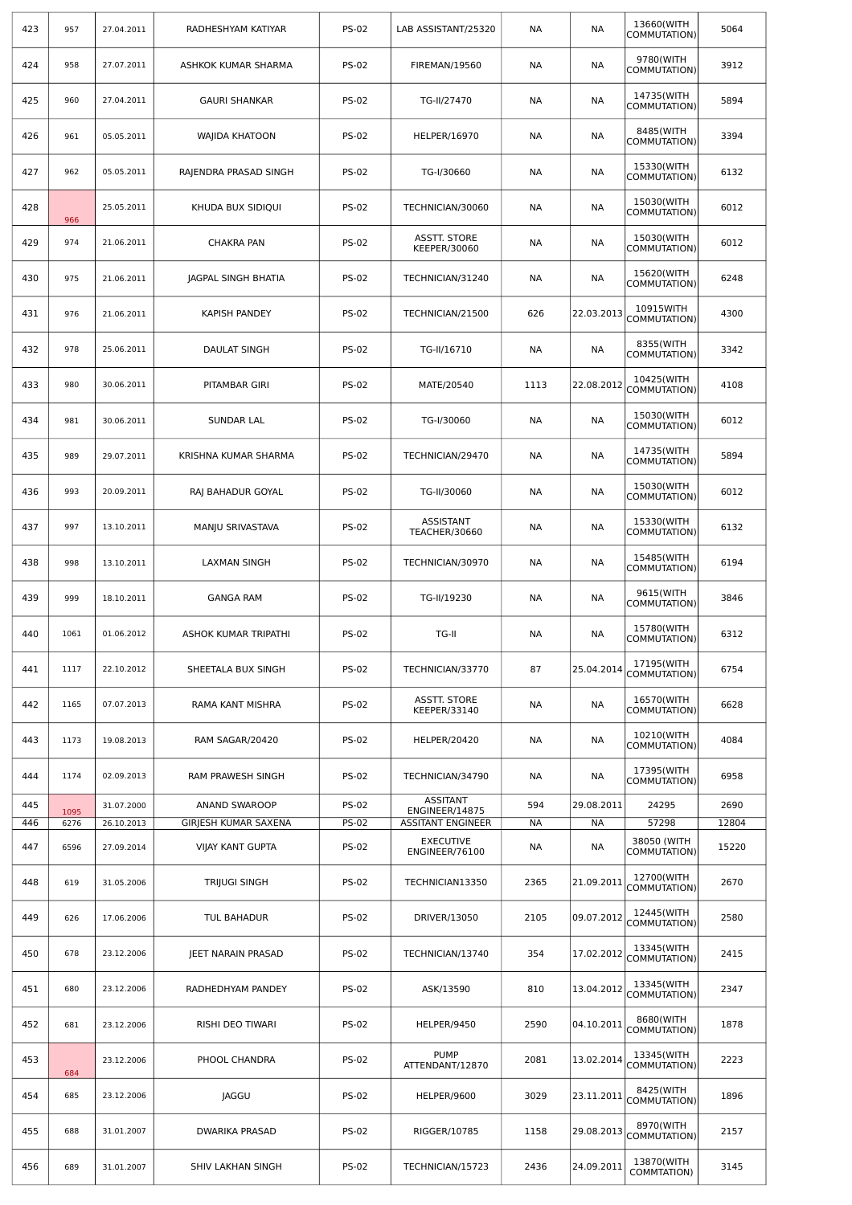| 423        | 957          | 27.04.2011               | RADHESHYAM KATIYAR                           | <b>PS-02</b>                 | LAB ASSISTANT/25320                                           | <b>NA</b> | <b>NA</b>        | 13660(WITH<br>COMMUTATION)  | 5064          |
|------------|--------------|--------------------------|----------------------------------------------|------------------------------|---------------------------------------------------------------|-----------|------------------|-----------------------------|---------------|
| 424        | 958          | 27.07.2011               | ASHKOK KUMAR SHARMA                          | <b>PS-02</b>                 | <b>FIREMAN/19560</b>                                          | <b>NA</b> | <b>NA</b>        | 9780(WITH<br>COMMUTATION)   | 3912          |
| 425        | 960          | 27.04.2011               | <b>GAURI SHANKAR</b>                         | <b>PS-02</b>                 | TG-II/27470                                                   | NА        | <b>NA</b>        | 14735(WITH<br>COMMUTATION)  | 5894          |
| 426        | 961          | 05.05.2011               | <b>WAJIDA KHATOON</b>                        | <b>PS-02</b>                 | <b>HELPER/16970</b>                                           | NА        | <b>NA</b>        | 8485(WITH<br>COMMUTATION)   | 3394          |
| 427        | 962          | 05.05.2011               | RAJENDRA PRASAD SINGH                        | <b>PS-02</b>                 | TG-I/30660                                                    | NА        | NА               | 15330(WITH<br>COMMUTATION)  | 6132          |
| 428        | 966          | 25.05.2011               | KHUDA BUX SIDIQUI                            | <b>PS-02</b>                 | TECHNICIAN/30060                                              | NА        | NА               | 15030(WITH<br>COMMUTATION)  | 6012          |
| 429        | 974          | 21.06.2011               | CHAKRA PAN                                   | <b>PS-02</b>                 | <b>ASSTT. STORE</b><br>KEEPER/30060                           | NА        | NА               | 15030(WITH<br>COMMUTATION)  | 6012          |
| 430        | 975          | 21.06.2011               | JAGPAL SINGH BHATIA                          | <b>PS-02</b>                 | TECHNICIAN/31240                                              | NА        | NA               | 15620(WITH<br>COMMUTATION)  | 6248          |
| 431        | 976          | 21.06.2011               | KAPISH PANDEY                                | <b>PS-02</b>                 | TECHNICIAN/21500                                              | 626       | 22.03.2013       | 10915WITH<br>COMMUTATION)   | 4300          |
| 432        | 978          | 25.06.2011               | DAULAT SINGH                                 | <b>PS-02</b>                 | TG-II/16710                                                   | NА        | NА               | 8355(WITH<br>COMMUTATION)   | 3342          |
| 433        | 980          | 30.06.2011               | PITAMBAR GIRI                                | <b>PS-02</b>                 | MATE/20540                                                    | 1113      | 22.08.2012       | 10425(WITH<br>COMMUTATION)  | 4108          |
| 434        | 981          | 30.06.2011               | <b>SUNDAR LAL</b>                            | <b>PS-02</b>                 | TG-I/30060                                                    | NА        | NА               | 15030(WITH<br>COMMUTATION)  | 6012          |
| 435        | 989          | 29.07.2011               | KRISHNA KUMAR SHARMA                         | <b>PS-02</b>                 | TECHNICIAN/29470                                              | NА        | <b>NA</b>        | 14735(WITH<br>COMMUTATION)  | 5894          |
| 436        | 993          | 20.09.2011               | RAJ BAHADUR GOYAL                            | <b>PS-02</b>                 | TG-II/30060                                                   | NА        | <b>NA</b>        | 15030(WITH<br>COMMUTATION)  | 6012          |
| 437        | 997          | 13.10.2011               | MANJU SRIVASTAVA                             | <b>PS-02</b>                 | ASSISTANT<br>TEACHER/30660                                    | NА        | <b>NA</b>        | 15330(WITH<br>COMMUTATION)  | 6132          |
| 438        | 998          | 13.10.2011               | <b>LAXMAN SINGH</b>                          | <b>PS-02</b>                 | TECHNICIAN/30970                                              | NА        | NА               | 15485(WITH<br>COMMUTATION)  | 6194          |
| 439        | 999          | 18.10.2011               | <b>GANGA RAM</b>                             | <b>PS-02</b>                 | TG-II/19230                                                   | NА        | <b>NA</b>        | 9615(WITH<br>COMMUTATION)   | 3846          |
| 440        | 1061         | 01.06.2012               | ASHOK KUMAR TRIPATHI                         | <b>PS-02</b>                 | TG-II                                                         | <b>NA</b> | <b>NA</b>        | 15780(WITH<br>COMMUTATION)  | 6312          |
| 441        | 1117         | 22.10.2012               | SHEETALA BUX SINGH                           | <b>PS-02</b>                 | TECHNICIAN/33770                                              | 87        | 25.04.2014       | 17195(WITH<br>COMMUTATION)  | 6754          |
| 442        | 1165         | 07.07.2013               | RAMA KANT MISHRA                             | <b>PS-02</b>                 | ASSTT. STORE<br>KEEPER/33140                                  | NА        | NА               | 16570(WITH<br>COMMUTATION)  | 6628          |
| 443        | 1173         | 19.08.2013               | RAM SAGAR/20420                              | <b>PS-02</b>                 | <b>HELPER/20420</b>                                           | NА        | <b>NA</b>        | 10210(WITH<br>COMMUTATION)  | 4084          |
| 444        | 1174         | 02.09.2013               | RAM PRAWESH SINGH                            | <b>PS-02</b>                 | TECHNICIAN/34790                                              | NА        | NА               | 17395(WITH<br>COMMUTATION)  | 6958          |
| 445<br>446 | 1095<br>6276 | 31.07.2000<br>26.10.2013 | <b>ANAND SWAROOP</b><br>GIRJESH KUMAR SAXENA | <b>PS-02</b><br><b>PS-02</b> | <b>ASSITANT</b><br>ENGINEER/14875<br><b>ASSITANT ENGINEER</b> | 594<br>NА | 29.08.2011<br>NА | 24295<br>57298              | 2690<br>12804 |
| 447        | 6596         | 27.09.2014               | <b>VIJAY KANT GUPTA</b>                      | <b>PS-02</b>                 | <b>EXECUTIVE</b><br>ENGINEER/76100                            | NА        | ΝA               | 38050 (WITH<br>COMMUTATION) | 15220         |
| 448        | 619          | 31.05.2006               | TRIJUGI SINGH                                | <b>PS-02</b>                 | TECHNICIAN13350                                               | 2365      | 21.09.2011       | 12700(WITH<br>COMMUTATION)  | 2670          |
| 449        | 626          | 17.06.2006               | TUL BAHADUR                                  | <b>PS-02</b>                 | DRIVER/13050                                                  | 2105      | 09.07.2012       | 12445(WITH<br>COMMUTATION)  | 2580          |
| 450        | 678          | 23.12.2006               | JEET NARAIN PRASAD                           | <b>PS-02</b>                 | TECHNICIAN/13740                                              | 354       | 17.02.2012       | 13345(WITH<br>COMMUTATION)  | 2415          |
| 451        | 680          | 23.12.2006               | RADHEDHYAM PANDEY                            | <b>PS-02</b>                 | ASK/13590                                                     | 810       | 13.04.2012       | 13345(WITH<br>COMMUTATION)  | 2347          |
| 452        | 681          | 23.12.2006               | RISHI DEO TIWARI                             | <b>PS-02</b>                 | HELPER/9450                                                   | 2590      | 04.10.2011       | 8680(WITH<br>COMMUTATION)   | 1878          |
| 453        |              | 23.12.2006               | PHOOL CHANDRA                                | <b>PS-02</b>                 | <b>PUMP</b><br>ATTENDANT/12870                                | 2081      | 13.02.2014       | 13345(WITH<br>COMMUTATION)  | 2223          |
| 454        | 684<br>685   | 23.12.2006               | JAGGU                                        | <b>PS-02</b>                 | HELPER/9600                                                   | 3029      | 23.11.2011       | 8425(WITH<br>COMMUTATION)   | 1896          |
| 455        | 688          | 31.01.2007               | DWARIKA PRASAD                               | <b>PS-02</b>                 | RIGGER/10785                                                  | 1158      | 29.08.2013       | 8970(WITH<br>COMMUTATION)   | 2157          |
| 456        | 689          | 31.01.2007               | SHIV LAKHAN SINGH                            | <b>PS-02</b>                 | TECHNICIAN/15723                                              | 2436      | 24.09.2011       | 13870(WITH<br>COMMTATION)   | 3145          |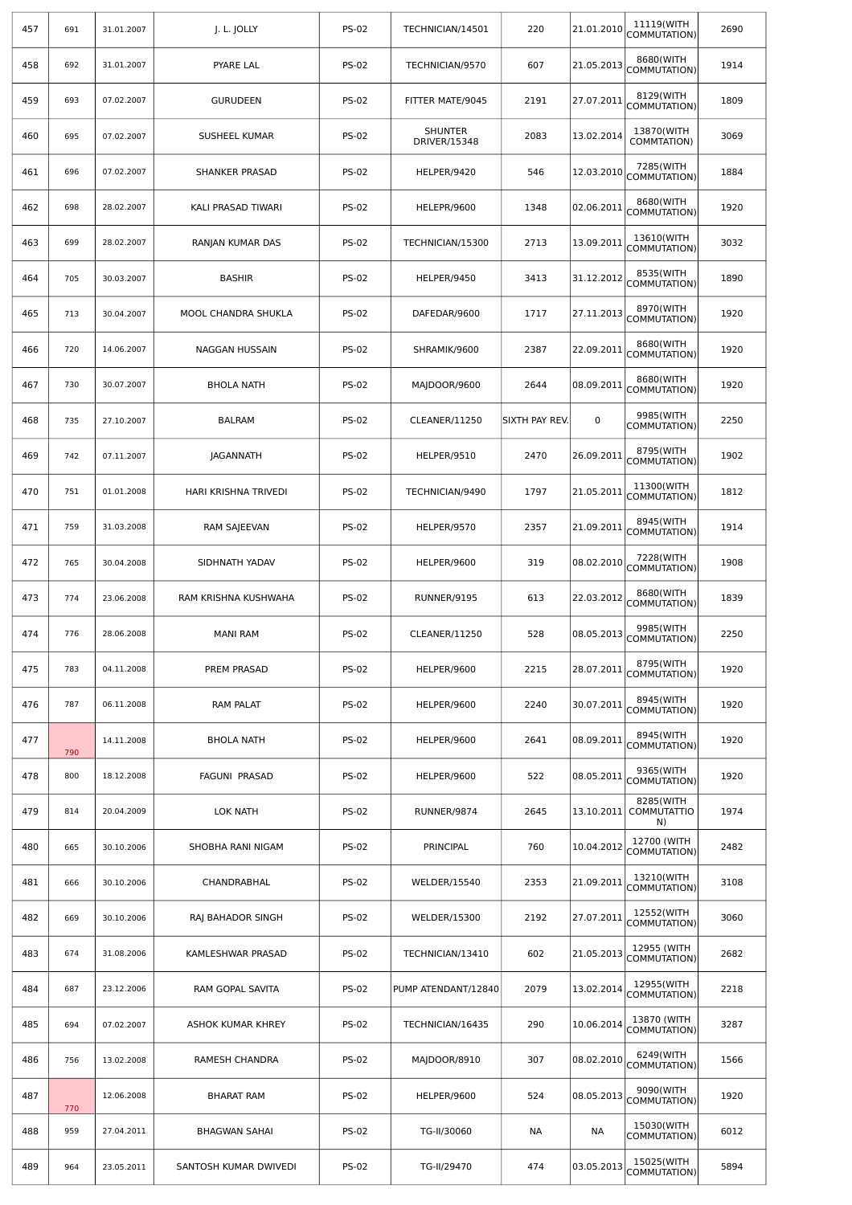| 457 | 691 | 31.01.2007 | J. L. JOLLY           | <b>PS-02</b> | TECHNICIAN/14501                      | 220            | 21.01.2010 | 11119(WITH<br>COMMUTATION)            | 2690 |
|-----|-----|------------|-----------------------|--------------|---------------------------------------|----------------|------------|---------------------------------------|------|
| 458 | 692 | 31.01.2007 | PYARE LAL             | <b>PS-02</b> | TECHNICIAN/9570                       | 607            | 21.05.2013 | 8680(WITH<br>COMMUTATION)             | 1914 |
| 459 | 693 | 07.02.2007 | <b>GURUDEEN</b>       | <b>PS-02</b> | FITTER MATE/9045                      | 2191           | 27.07.2011 | 8129(WITH<br>COMMUTATION)             | 1809 |
| 460 | 695 | 07.02.2007 | SUSHEEL KUMAR         | <b>PS-02</b> | <b>SHUNTER</b><br><b>DRIVER/15348</b> | 2083           | 13.02.2014 | 13870(WITH<br>COMMTATION)             | 3069 |
| 461 | 696 | 07.02.2007 | <b>SHANKER PRASAD</b> | <b>PS-02</b> | HELPER/9420                           | 546            | 12.03.2010 | 7285(WITH<br>COMMUTATION)             | 1884 |
| 462 | 698 | 28.02.2007 | KALI PRASAD TIWARI    | <b>PS-02</b> | HELEPR/9600                           | 1348           | 02.06.2011 | 8680(WITH<br>COMMUTATION)             | 1920 |
| 463 | 699 | 28.02.2007 | RANJAN KUMAR DAS      | <b>PS-02</b> | TECHNICIAN/15300                      | 2713           | 13.09.2011 | 13610(WITH<br>COMMUTATION)            | 3032 |
| 464 | 705 | 30.03.2007 | <b>BASHIR</b>         | <b>PS-02</b> | HELPER/9450                           | 3413           | 31.12.2012 | 8535(WITH<br>COMMUTATION)             | 1890 |
| 465 | 713 | 30.04.2007 | MOOL CHANDRA SHUKLA   | <b>PS-02</b> | DAFEDAR/9600                          | 1717           | 27.11.2013 | 8970(WITH<br>COMMUTATION)             | 1920 |
| 466 | 720 | 14.06.2007 | NAGGAN HUSSAIN        | <b>PS-02</b> | SHRAMIK/9600                          | 2387           | 22.09.2011 | 8680(WITH<br>COMMUTATION)             | 1920 |
| 467 | 730 | 30.07.2007 | <b>BHOLA NATH</b>     | <b>PS-02</b> | MAJDOOR/9600                          | 2644           | 08.09.2011 | 8680(WITH<br>COMMUTATION)             | 1920 |
| 468 | 735 | 27.10.2007 | <b>BALRAM</b>         | <b>PS-02</b> | CLEANER/11250                         | SIXTH PAY REV. | 0          | 9985(WITH<br>COMMUTATION)             | 2250 |
| 469 | 742 | 07.11.2007 | <b>JAGANNATH</b>      | <b>PS-02</b> | HELPER/9510                           | 2470           | 26.09.2011 | 8795(WITH<br>COMMUTATION)             | 1902 |
| 470 | 751 | 01.01.2008 | HARI KRISHNA TRIVEDI  | <b>PS-02</b> | TECHNICIAN/9490                       | 1797           | 21.05.2011 | 11300(WITH<br>COMMUTATION)            | 1812 |
| 471 | 759 | 31.03.2008 | RAM SAJEEVAN          | <b>PS-02</b> | HELPER/9570                           | 2357           | 21.09.2011 | 8945(WITH<br>COMMUTATION)             | 1914 |
| 472 | 765 | 30.04.2008 | SIDHNATH YADAV        | <b>PS-02</b> | HELPER/9600                           | 319            | 08.02.2010 | 7228(WITH<br>COMMUTATION)             | 1908 |
| 473 | 774 | 23.06.2008 | RAM KRISHNA KUSHWAHA  | <b>PS-02</b> | RUNNER/9195                           | 613            | 22.03.2012 | 8680(WITH<br>COMMUTATION)             | 1839 |
| 474 | 776 | 28.06.2008 | <b>MANI RAM</b>       | <b>PS-02</b> | CLEANER/11250                         | 528            | 08.05.2013 | 9985(WITH<br>COMMUTATION)             | 2250 |
| 475 | 783 | 04.11.2008 | PREM PRASAD           | <b>PS-02</b> | HELPER/9600                           | 2215           | 28.07.2011 | 8795(WITH<br>COMMUTATION)             | 1920 |
| 476 | 787 | 06.11.2008 | <b>RAM PALAT</b>      | <b>PS-02</b> | HELPER/9600                           | 2240           | 30.07.2011 | 8945(WITH<br>COMMUTATION)             | 1920 |
| 477 | 790 | 14.11.2008 | <b>BHOLA NATH</b>     | <b>PS-02</b> | HELPER/9600                           | 2641           | 08.09.2011 | 8945(WITH<br>COMMUTATION)             | 1920 |
| 478 | 800 | 18.12.2008 | FAGUNI PRASAD         | <b>PS-02</b> | HELPER/9600                           | 522            | 08.05.2011 | 9365(WITH<br>COMMUTATION)             | 1920 |
| 479 | 814 | 20.04.2009 | <b>LOK NATH</b>       | <b>PS-02</b> | RUNNER/9874                           | 2645           | 13.10.2011 | 8285(WITH<br><b>COMMUTATTIO</b><br>N) | 1974 |
| 480 | 665 | 30.10.2006 | SHOBHA RANI NIGAM     | <b>PS-02</b> | PRINCIPAL                             | 760            | 10.04.2012 | 12700 (WITH<br>COMMUTATION)           | 2482 |
| 481 | 666 | 30.10.2006 | CHANDRABHAL           | <b>PS-02</b> | WELDER/15540                          | 2353           | 21.09.2011 | 13210(WITH<br>COMMUTATION)            | 3108 |
| 482 | 669 | 30.10.2006 | RAJ BAHADOR SINGH     | <b>PS-02</b> | <b>WELDER/15300</b>                   | 2192           | 27.07.2011 | 12552(WITH<br>COMMUTATION)            | 3060 |
| 483 | 674 | 31.08.2006 | KAMLESHWAR PRASAD     | <b>PS-02</b> | TECHNICIAN/13410                      | 602            | 21.05.2013 | 12955 (WITH<br>COMMUTATION)           | 2682 |
| 484 | 687 | 23.12.2006 | RAM GOPAL SAVITA      | <b>PS-02</b> | PUMP ATENDANT/12840                   | 2079           | 13.02.2014 | 12955(WITH<br>COMMUTATION)            | 2218 |
| 485 | 694 | 07.02.2007 | ASHOK KUMAR KHREY     | <b>PS-02</b> | TECHNICIAN/16435                      | 290            | 10.06.2014 | 13870 (WITH<br>COMMUTATION)           | 3287 |
| 486 | 756 | 13.02.2008 | RAMESH CHANDRA        | <b>PS-02</b> | MAJDOOR/8910                          | 307            | 08.02.2010 | 6249(WITH<br>COMMUTATION)             | 1566 |
| 487 | 770 | 12.06.2008 | <b>BHARAT RAM</b>     | <b>PS-02</b> | HELPER/9600                           | 524            | 08.05.2013 | 9090(WITH<br>COMMUTATION)             | 1920 |
| 488 | 959 | 27.04.2011 | <b>BHAGWAN SAHAI</b>  | <b>PS-02</b> | TG-II/30060                           | NА             | NА         | 15030(WITH<br>COMMUTATION)            | 6012 |
| 489 | 964 | 23.05.2011 | SANTOSH KUMAR DWIVEDI | <b>PS-02</b> | TG-II/29470                           | 474            | 03.05.2013 | 15025(WITH<br>COMMUTATION)            | 5894 |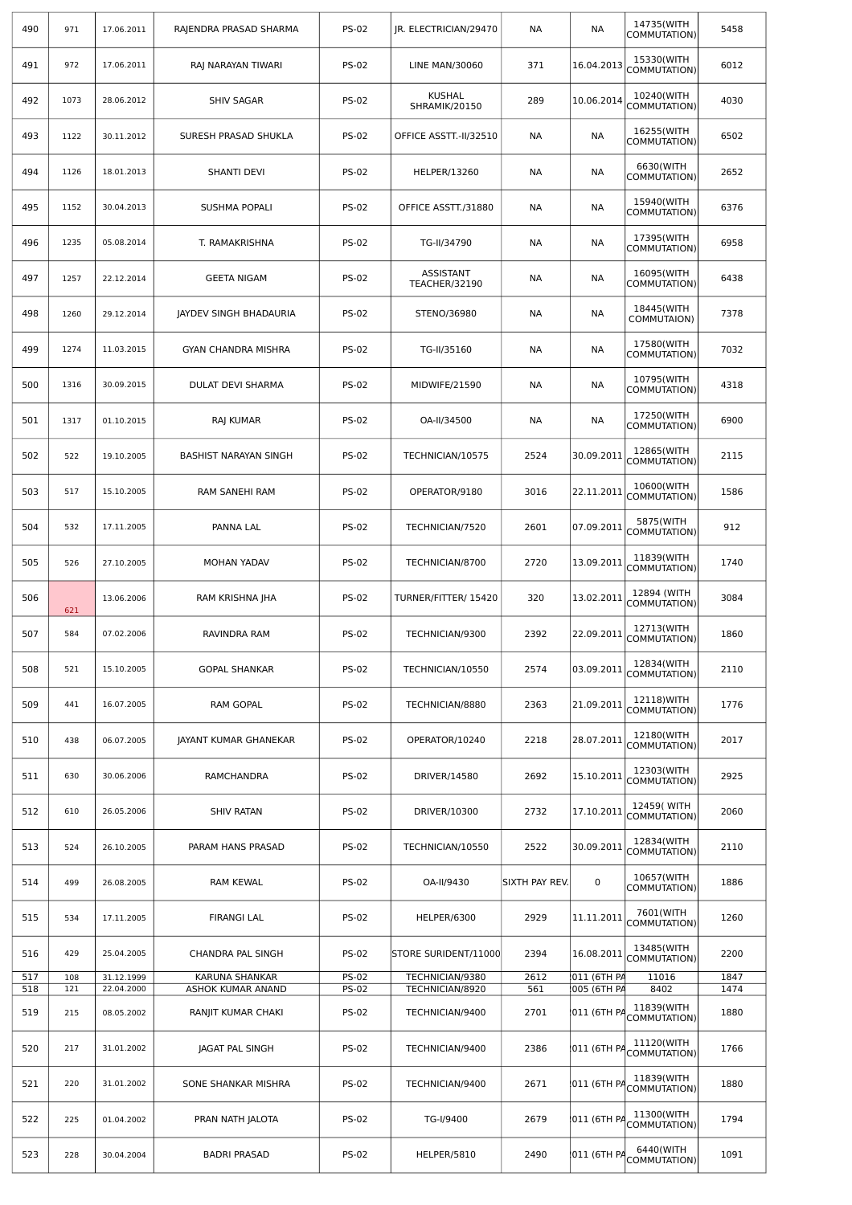| 490        | 971        | 17.06.2011               | RAJENDRA PRASAD SHARMA              | <b>PS-02</b>                 | JR. ELECTRICIAN/29470                 | <b>NA</b>      | NА                         | 14735(WITH<br>COMMUTATION)  | 5458         |
|------------|------------|--------------------------|-------------------------------------|------------------------------|---------------------------------------|----------------|----------------------------|-----------------------------|--------------|
| 491        | 972        | 17.06.2011               | RAJ NARAYAN TIWARI                  | <b>PS-02</b>                 | <b>LINE MAN/30060</b>                 | 371            | 16.04.2013                 | 15330(WITH<br>COMMUTATION)  | 6012         |
| 492        | 1073       | 28.06.2012               | <b>SHIV SAGAR</b>                   | <b>PS-02</b>                 | <b>KUSHAL</b><br><b>SHRAMIK/20150</b> | 289            | 10.06.2014                 | 10240(WITH<br>COMMUTATION)  | 4030         |
| 493        | 1122       | 30.11.2012               | SURESH PRASAD SHUKLA                | <b>PS-02</b>                 | OFFICE ASSTT.-II/32510                | NА             | NА                         | 16255(WITH<br>COMMUTATION)  | 6502         |
| 494        | 1126       | 18.01.2013               | <b>SHANTI DEVI</b>                  | <b>PS-02</b>                 | <b>HELPER/13260</b>                   | <b>NA</b>      | NА                         | 6630(WITH<br>COMMUTATION)   | 2652         |
| 495        | 1152       | 30.04.2013               | <b>SUSHMA POPALI</b>                | <b>PS-02</b>                 | OFFICE ASSTT./31880                   | NА             | NА                         | 15940(WITH<br>COMMUTATION)  | 6376         |
| 496        | 1235       | 05.08.2014               | T. RAMAKRISHNA                      | <b>PS-02</b>                 | TG-II/34790                           | NА             | NА                         | 17395(WITH<br>COMMUTATION)  | 6958         |
| 497        | 1257       | 22.12.2014               | <b>GEETA NIGAM</b>                  | <b>PS-02</b>                 | ASSISTANT<br>TEACHER/32190            | NА             | NА                         | 16095(WITH<br>COMMUTATION)  | 6438         |
| 498        | 1260       | 29.12.2014               | <b>JAYDEV SINGH BHADAURIA</b>       | <b>PS-02</b>                 | STENO/36980                           | NА             | <b>NA</b>                  | 18445(WITH<br>COMMUTAION)   | 7378         |
| 499        | 1274       | 11.03.2015               | GYAN CHANDRA MISHRA                 | <b>PS-02</b>                 | TG-II/35160                           | <b>NA</b>      | <b>NA</b>                  | 17580(WITH<br>COMMUTATION)  | 7032         |
| 500        | 1316       | 30.09.2015               | <b>DULAT DEVI SHARMA</b>            | <b>PS-02</b>                 | MIDWIFE/21590                         | <b>NA</b>      | NА                         | 10795(WITH<br>COMMUTATION)  | 4318         |
| 501        | 1317       | 01.10.2015               | RAJ KUMAR                           | <b>PS-02</b>                 | OA-II/34500                           | NА             | <b>NA</b>                  | 17250(WITH<br>COMMUTATION)  | 6900         |
| 502        | 522        | 19.10.2005               | <b>BASHIST NARAYAN SINGH</b>        | <b>PS-02</b>                 | TECHNICIAN/10575                      | 2524           | 30.09.2011                 | 12865(WITH<br>COMMUTATION)  | 2115         |
| 503        | 517        | 15.10.2005               | RAM SANEHI RAM                      | <b>PS-02</b>                 | OPERATOR/9180                         | 3016           | 22.11.2011                 | 10600(WITH<br>COMMUTATION)  | 1586         |
| 504        | 532        | 17.11.2005               | PANNA LAL                           | <b>PS-02</b>                 | TECHNICIAN/7520                       | 2601           | 07.09.2011                 | 5875(WITH<br>COMMUTATION)   | 912          |
| 505        | 526        | 27.10.2005               | MOHAN YADAV                         | <b>PS-02</b>                 | TECHNICIAN/8700                       | 2720           | 13.09.2011                 | 11839(WITH<br>COMMUTATION)  | 1740         |
| 506        | 621        | 13.06.2006               | RAM KRISHNA JHA                     | <b>PS-02</b>                 | TURNER/FITTER/ 15420                  | 320            | 13.02.2011                 | 12894 (WITH<br>COMMUTATION) | 3084         |
| 507        | 584        | 07.02.2006               | RAVINDRA RAM                        | <b>PS-02</b>                 | TECHNICIAN/9300                       | 2392           | 22.09.2011                 | 12713(WITH<br>COMMUTATION)  | 1860         |
| 508        | 521        | 15.10.2005               | <b>GOPAL SHANKAR</b>                | <b>PS-02</b>                 | TECHNICIAN/10550                      | 2574           | 03.09.2011                 | 12834(WITH<br>COMMUTATION)  | 2110         |
| 509        | 441        | 16.07.2005               | RAM GOPAL                           | <b>PS-02</b>                 | TECHNICIAN/8880                       | 2363           | 21.09.2011                 | 12118) WITH<br>COMMUTATION) | 1776         |
| 510        | 438        | 06.07.2005               | JAYANT KUMAR GHANEKAR               | <b>PS-02</b>                 | OPERATOR/10240                        | 2218           | 28.07.2011                 | 12180(WITH<br>COMMUTATION)  | 2017         |
| 511        | 630        | 30.06.2006               | RAMCHANDRA                          | <b>PS-02</b>                 | DRIVER/14580                          | 2692           | 15.10.2011                 | 12303(WITH<br>COMMUTATION)  | 2925         |
| 512        | 610        | 26.05.2006               | <b>SHIV RATAN</b>                   | <b>PS-02</b>                 | DRIVER/10300                          | 2732           | 17.10.2011                 | 12459(WITH<br>COMMUTATION)  | 2060         |
| 513        | 524        | 26.10.2005               | PARAM HANS PRASAD                   | <b>PS-02</b>                 | TECHNICIAN/10550                      | 2522           | 30.09.2011                 | 12834(WITH<br>COMMUTATION)  | 2110         |
| 514        | 499        | 26.08.2005               | RAM KEWAL                           | <b>PS-02</b>                 | OA-II/9430                            | SIXTH PAY REV. | 0                          | 10657(WITH<br>COMMUTATION)  | 1886         |
| 515        | 534        | 17.11.2005               | <b>FIRANGI LAL</b>                  | <b>PS-02</b>                 | HELPER/6300                           | 2929           | 11.11.2011                 | 7601(WITH<br>COMMUTATION)   | 1260         |
| 516        | 429        | 25.04.2005               | CHANDRA PAL SINGH                   | <b>PS-02</b>                 | STORE SURIDENT/11000                  | 2394           | 16.08.2011                 | 13485(WITH<br>COMMUTATION)  | 2200         |
| 517<br>518 | 108<br>121 | 31.12.1999<br>22.04.2000 | KARUNA SHANKAR<br>ASHOK KUMAR ANAND | <b>PS-02</b><br><b>PS-02</b> | TECHNICIAN/9380<br>TECHNICIAN/8920    | 2612<br>561    | 011 (6TH PA<br>005 (6TH PA | 11016<br>8402               | 1847<br>1474 |
| 519        | 215        | 08.05.2002               | RANJIT KUMAR CHAKI                  | <b>PS-02</b>                 | TECHNICIAN/9400                       | 2701           | 011 (6TH PA                | 11839(WITH<br>COMMUTATION)  | 1880         |
| 520        | 217        | 31.01.2002               | JAGAT PAL SINGH                     | <b>PS-02</b>                 | TECHNICIAN/9400                       | 2386           | 011 (6TH PA                | 11120(WITH<br>COMMUTATION)  | 1766         |
| 521        | 220        | 31.01.2002               | SONE SHANKAR MISHRA                 | <b>PS-02</b>                 | TECHNICIAN/9400                       | 2671           | 011 (6TH PA                | 11839(WITH<br>COMMUTATION)  | 1880         |
| 522        | 225        | 01.04.2002               | PRAN NATH JALOTA                    | <b>PS-02</b>                 | TG-I/9400                             | 2679           | 011 (6TH PA                | 11300(WITH<br>COMMUTATION)  | 1794         |
| 523        | 228        | 30.04.2004               | <b>BADRI PRASAD</b>                 | <b>PS-02</b>                 | HELPER/5810                           | 2490           | 011 (6TH PA                | 6440(WITH<br>COMMUTATION)   | 1091         |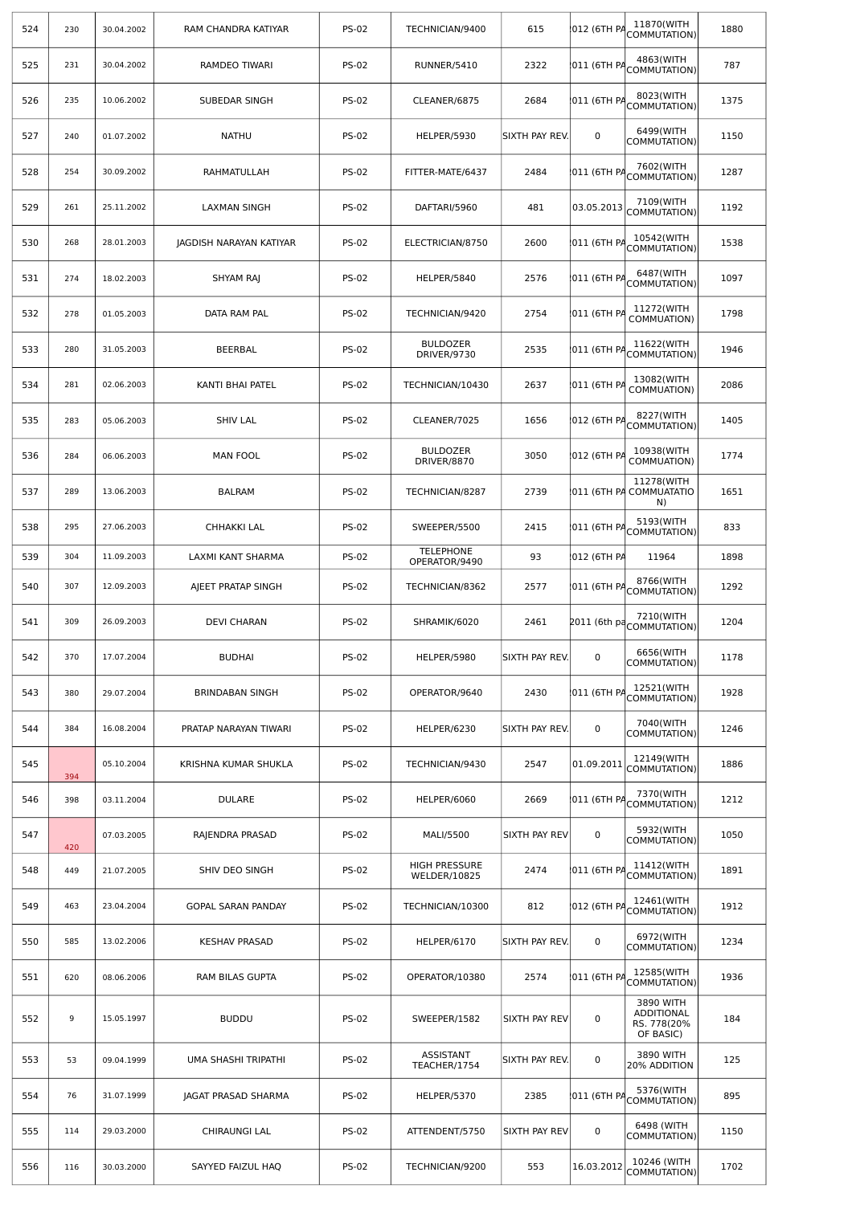| 524 | 230 | 30.04.2002 | RAM CHANDRA KATIYAR     | <b>PS-02</b> | TECHNICIAN/9400                      | 615            | 012 (6TH PA  | 11870(WITH<br>COMMUTATION)                          | 1880 |
|-----|-----|------------|-------------------------|--------------|--------------------------------------|----------------|--------------|-----------------------------------------------------|------|
| 525 | 231 | 30.04.2002 | RAMDEO TIWARI           | <b>PS-02</b> | RUNNER/5410                          | 2322           | 011 (6TH PA  | 4863(WITH<br>COMMUTATION)                           | 787  |
| 526 | 235 | 10.06.2002 | SUBEDAR SINGH           | <b>PS-02</b> | CLEANER/6875                         | 2684           | 011 (6TH PA  | 8023(WITH<br>COMMUTATION)                           | 1375 |
| 527 | 240 | 01.07.2002 | <b>NATHU</b>            | <b>PS-02</b> | HELPER/5930                          | SIXTH PAY REV. | $\mathbf 0$  | 6499(WITH<br>COMMUTATION)                           | 1150 |
| 528 | 254 | 30.09.2002 | RAHMATULLAH             | <b>PS-02</b> | FITTER-MATE/6437                     | 2484           | 011 (6TH PA  | 7602(WITH<br>COMMUTATION)                           | 1287 |
| 529 | 261 | 25.11.2002 | <b>LAXMAN SINGH</b>     | <b>PS-02</b> | DAFTARI/5960                         | 481            | 03.05.2013   | 7109(WITH<br>COMMUTATION)                           | 1192 |
| 530 | 268 | 28.01.2003 | JAGDISH NARAYAN KATIYAR | <b>PS-02</b> | ELECTRICIAN/8750                     | 2600           | 011 (6TH PA  | 10542(WITH<br>COMMUTATION)                          | 1538 |
| 531 | 274 | 18.02.2003 | SHYAM RAJ               | <b>PS-02</b> | HELPER/5840                          | 2576           | 011 (6TH PA  | 6487(WITH<br>COMMUTATION)                           | 1097 |
| 532 | 278 | 01.05.2003 | DATA RAM PAL            | <b>PS-02</b> | TECHNICIAN/9420                      | 2754           | 011 (6TH PA  | 11272(WITH<br>COMMUATION)                           | 1798 |
| 533 | 280 | 31.05.2003 | BEERBAL                 | <b>PS-02</b> | <b>BULDOZER</b><br>DRIVER/9730       | 2535           | 011 (6TH PA  | 11622(WITH<br>COMMUTATION)                          | 1946 |
| 534 | 281 | 02.06.2003 | KANTI BHAI PATEL        | <b>PS-02</b> | TECHNICIAN/10430                     | 2637           | 011 (6TH PA  | 13082(WITH<br>COMMUATION)                           | 2086 |
| 535 | 283 | 05.06.2003 | <b>SHIV LAL</b>         | <b>PS-02</b> | CLEANER/7025                         | 1656           | 012 (6TH PA  | 8227(WITH<br>COMMUTATION)                           | 1405 |
| 536 | 284 | 06.06.2003 | <b>MAN FOOL</b>         | <b>PS-02</b> | <b>BULDOZER</b><br>DRIVER/8870       | 3050           | 012 (6TH PA  | 10938(WITH<br>COMMUATION)                           | 1774 |
| 537 | 289 | 13.06.2003 | <b>BALRAM</b>           | <b>PS-02</b> | TECHNICIAN/8287                      | 2739           |              | 11278(WITH<br>011 (6TH PA COMMUATATIO<br>N)         | 1651 |
| 538 | 295 | 27.06.2003 | CHHAKKI LAL             | <b>PS-02</b> | SWEEPER/5500                         | 2415           | 011 (6TH PA  | 5193(WITH<br>COMMUTATION)                           | 833  |
| 539 | 304 | 11.09.2003 | LAXMI KANT SHARMA       | <b>PS-02</b> | <b>TELEPHONE</b><br>OPERATOR/9490    | 93             | 012 (6TH PA  | 11964                                               | 1898 |
| 540 | 307 | 12.09.2003 | AJEET PRATAP SINGH      | <b>PS-02</b> | TECHNICIAN/8362                      | 2577           | 011 (6TH PA  | 8766(WITH<br>COMMUTATION)                           | 1292 |
| 541 | 309 | 26.09.2003 | <b>DEVI CHARAN</b>      | <b>PS-02</b> | SHRAMIK/6020                         | 2461           | 2011 (6th pa | 7210(WITH<br>COMMUTATION)                           | 1204 |
| 542 | 370 | 17.07.2004 | <b>BUDHAI</b>           | <b>PS-02</b> | HELPER/5980                          | SIXTH PAY REV. | $\mathbf 0$  | 6656(WITH<br>COMMUTATION)                           | 1178 |
| 543 | 380 | 29.07.2004 | <b>BRINDABAN SINGH</b>  | <b>PS-02</b> | OPERATOR/9640                        | 2430           | 011 (6TH PA  | 12521(WITH<br>COMMUTATION)                          | 1928 |
| 544 | 384 | 16.08.2004 | PRATAP NARAYAN TIWARI   | <b>PS-02</b> | HELPER/6230                          | SIXTH PAY REV. | $\mathbf 0$  | 7040(WITH<br>COMMUTATION)                           | 1246 |
| 545 | 394 | 05.10.2004 | KRISHNA KUMAR SHUKLA    | <b>PS-02</b> | TECHNICIAN/9430                      | 2547           | 01.09.2011   | 12149(WITH<br>COMMUTATION)                          | 1886 |
| 546 | 398 | 03.11.2004 | <b>DULARE</b>           | <b>PS-02</b> | HELPER/6060                          | 2669           | 011 (6TH PA  | 7370(WITH<br>COMMUTATION)                           | 1212 |
| 547 | 420 | 07.03.2005 | RAJENDRA PRASAD         | <b>PS-02</b> | MALI/5500                            | SIXTH PAY REV  | 0            | 5932(WITH<br>COMMUTATION)                           | 1050 |
| 548 | 449 | 21.07.2005 | SHIV DEO SINGH          | <b>PS-02</b> | <b>HIGH PRESSURE</b><br>WELDER/10825 | 2474           | 011 (6TH PA  | 11412(WITH<br>COMMUTATION)                          | 1891 |
| 549 | 463 | 23.04.2004 | GOPAL SARAN PANDAY      | <b>PS-02</b> | TECHNICIAN/10300                     | 812            | 012 (6TH PA  | 12461(WITH<br>COMMUTATION)                          | 1912 |
| 550 | 585 | 13.02.2006 | <b>KESHAV PRASAD</b>    | <b>PS-02</b> | HELPER/6170                          | SIXTH PAY REV. | 0            | 6972(WITH<br>COMMUTATION)                           | 1234 |
| 551 | 620 | 08.06.2006 | RAM BILAS GUPTA         | <b>PS-02</b> | OPERATOR/10380                       | 2574           | 011 (6TH PA  | 12585(WITH<br>COMMUTATION)                          | 1936 |
| 552 | 9   | 15.05.1997 | <b>BUDDU</b>            | <b>PS-02</b> | SWEEPER/1582                         | SIXTH PAY REV  | 0            | 3890 WITH<br>ADDITIONAL<br>RS. 778(20%<br>OF BASIC) | 184  |
| 553 | 53  | 09.04.1999 | UMA SHASHI TRIPATHI     | <b>PS-02</b> | ASSISTANT<br>TEACHER/1754            | SIXTH PAY REV. | 0            | 3890 WITH<br>20% ADDITION                           | 125  |
| 554 | 76  | 31.07.1999 | JAGAT PRASAD SHARMA     | <b>PS-02</b> | HELPER/5370                          | 2385           | 011 (6TH PA  | 5376(WITH<br>COMMUTATION)                           | 895  |
| 555 | 114 | 29.03.2000 | CHIRAUNGI LAL           | <b>PS-02</b> | ATTENDENT/5750                       | SIXTH PAY REV  | 0            | 6498 (WITH<br>COMMUTATION)                          | 1150 |
| 556 | 116 | 30.03.2000 | SAYYED FAIZUL HAQ       | <b>PS-02</b> | TECHNICIAN/9200                      | 553            | 16.03.2012   | 10246 (WITH<br>COMMUTATION)                         | 1702 |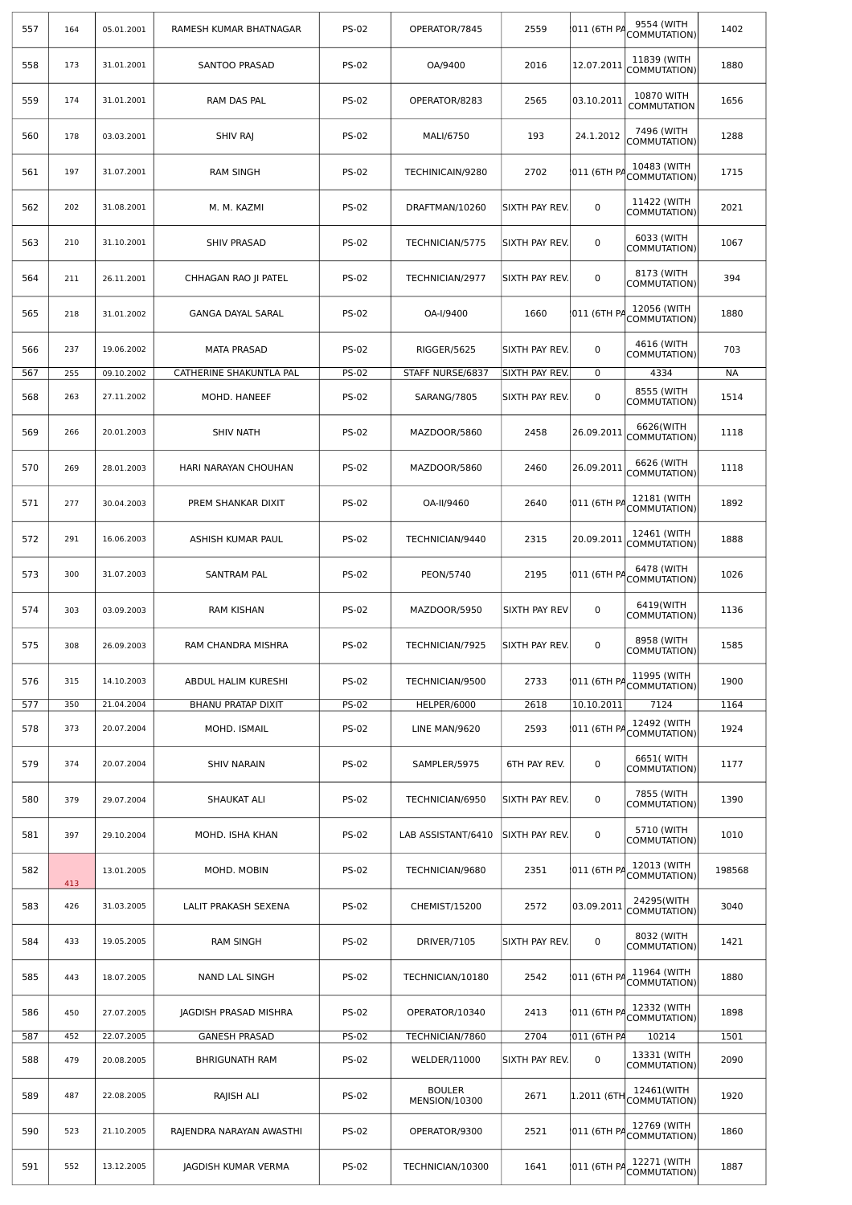| 557 | 164 | 05.01.2001 | RAMESH KUMAR BHATNAGAR                                                     | <b>PS-02</b> | OPERATOR/7845                  | 2559           | 011 (6TH PA | 9554 (WITH<br>COMMUTATION)       | 1402      |
|-----|-----|------------|----------------------------------------------------------------------------|--------------|--------------------------------|----------------|-------------|----------------------------------|-----------|
| 558 | 173 | 31.01.2001 | SANTOO PRASAD                                                              | <b>PS-02</b> | OA/9400                        | 2016           | 12.07.2011  | 11839 (WITH<br>COMMUTATION)      | 1880      |
| 559 | 174 | 31.01.2001 | RAM DAS PAL                                                                | <b>PS-02</b> | OPERATOR/8283                  | 2565           | 03.10.2011  | 10870 WITH<br><b>COMMUTATION</b> | 1656      |
| 560 | 178 | 03.03.2001 | SHIV RAJ                                                                   | <b>PS-02</b> | MALI/6750                      | 193            | 24.1.2012   | 7496 (WITH<br>COMMUTATION)       | 1288      |
| 561 | 197 | 31.07.2001 | <b>RAM SINGH</b>                                                           | <b>PS-02</b> | TECHINICAIN/9280               | 2702           | 011 (6TH PA | 10483 (WITH<br>COMMUTATION)      | 1715      |
| 562 | 202 | 31.08.2001 | M. M. KAZMI                                                                | <b>PS-02</b> | DRAFTMAN/10260                 | SIXTH PAY REV. | 0           | 11422 (WITH<br>COMMUTATION)      | 2021      |
| 563 | 210 | 31.10.2001 | <b>SHIV PRASAD</b>                                                         | <b>PS-02</b> | TECHNICIAN/5775                | sixth pay rev. | 0           | 6033 (WITH<br>COMMUTATION)       | 1067      |
| 564 | 211 | 26.11.2001 | CHHAGAN RAO JI PATEL                                                       | <b>PS-02</b> | TECHNICIAN/2977                | SIXTH PAY REV. | 0           | 8173 (WITH<br>COMMUTATION)       | 394       |
| 565 | 218 | 31.01.2002 | <b>GANGA DAYAL SARAL</b>                                                   | <b>PS-02</b> | OA-I/9400                      | 1660           | 011 (6TH PA | 12056 (WITH<br>COMMUTATION)      | 1880      |
| 566 | 237 | 19.06.2002 | <b>MATA PRASAD</b>                                                         | <b>PS-02</b> | RIGGER/5625                    | SIXTH PAY REV. | 0           | 4616 (WITH<br>COMMUTATION)       | 703       |
| 567 | 255 | 09.10.2002 | CATHERINE SHAKUNTLA PAL                                                    | <b>PS-02</b> | STAFF NURSE/6837               | SIXTH PAY REV. | 0           | 4334                             | <b>NA</b> |
| 568 | 263 | 27.11.2002 | MOHD. HANEEF                                                               | <b>PS-02</b> | SARANG/7805                    | SIXTH PAY REV. | 0           | 8555 (WITH<br>COMMUTATION)       | 1514      |
| 569 | 266 | 20.01.2003 | <b>SHIV NATH</b><br><b>PS-02</b><br>MAZDOOR/5860<br>2458<br>26.09.2011     |              | 6626(WITH<br>COMMUTATION)      | 1118           |             |                                  |           |
| 570 | 269 | 28.01.2003 | <b>PS-02</b><br>26.09.2011<br>2460<br>HARI NARAYAN CHOUHAN<br>MAZDOOR/5860 |              | 6626 (WITH<br>COMMUTATION)     | 1118           |             |                                  |           |
| 571 | 277 | 30.04.2003 | PREM SHANKAR DIXIT                                                         | <b>PS-02</b> | OA-II/9460                     | 2640           | 011 (6TH PA | 12181 (WITH<br>COMMUTATION)      | 1892      |
| 572 | 291 | 16.06.2003 | ASHISH KUMAR PAUL                                                          | <b>PS-02</b> | TECHNICIAN/9440                | 2315           | 20.09.2011  | 12461 (WITH<br>COMMUTATION)      | 1888      |
| 573 | 300 | 31.07.2003 | SANTRAM PAL<br><b>PS-02</b><br>PEON/5740<br>2195<br>011 (6TH PA            |              | 6478 (WITH<br>COMMUTATION)     | 1026           |             |                                  |           |
| 574 | 303 | 03.09.2003 | <b>RAM KISHAN</b>                                                          | <b>PS-02</b> | MAZDOOR/5950                   | SIXTH PAY REV  | 0           | 6419(WITH<br>COMMUTATION)        | 1136      |
| 575 | 308 | 26.09.2003 | RAM CHANDRA MISHRA                                                         | <b>PS-02</b> | TECHNICIAN/7925                | SIXTH PAY REV. | 0           | 8958 (WITH<br>COMMUTATION)       | 1585      |
| 576 | 315 | 14.10.2003 | ABDUL HALIM KURESHI                                                        | <b>PS-02</b> | TECHNICIAN/9500                | 2733           | 011 (6TH PA | 11995 (WITH<br>COMMUTATION)      | 1900      |
| 577 | 350 | 21.04.2004 | <b>BHANU PRATAP DIXIT</b>                                                  | <b>PS-02</b> | HELPER/6000                    | 2618           | 10.10.2011  | 7124                             | 1164      |
| 578 | 373 | 20.07.2004 | MOHD. ISMAIL                                                               | <b>PS-02</b> | LINE MAN/9620                  | 2593           | 011 (6TH PA | 12492 (WITH<br>COMMUTATION)      | 1924      |
| 579 | 374 | 20.07.2004 | <b>SHIV NARAIN</b>                                                         | <b>PS-02</b> | SAMPLER/5975                   | 6TH PAY REV.   | 0           | 6651( WITH<br>COMMUTATION)       | 1177      |
| 580 | 379 | 29.07.2004 | SHAUKAT ALI                                                                | <b>PS-02</b> | TECHNICIAN/6950                | SIXTH PAY REV. | 0           | 7855 (WITH<br>COMMUTATION)       | 1390      |
| 581 | 397 | 29.10.2004 | MOHD. ISHA KHAN                                                            | <b>PS-02</b> | LAB ASSISTANT/6410             | SIXTH PAY REV. | 0           | 5710 (WITH<br>COMMUTATION)       | 1010      |
| 582 | 413 | 13.01.2005 | MOHD. MOBIN                                                                | <b>PS-02</b> | TECHNICIAN/9680                | 2351           | 011 (6TH PA | 12013 (WITH<br>COMMUTATION)      | 198568    |
| 583 | 426 | 31.03.2005 | LALIT PRAKASH SEXENA                                                       | <b>PS-02</b> | CHEMIST/15200                  | 2572           | 03.09.2011  | 24295(WITH<br>COMMUTATION)       | 3040      |
| 584 | 433 | 19.05.2005 | <b>RAM SINGH</b>                                                           | <b>PS-02</b> | DRIVER/7105                    | SIXTH PAY REV. | $\mathbf 0$ | 8032 (WITH<br>COMMUTATION)       | 1421      |
| 585 | 443 | 18.07.2005 | NAND LAL SINGH                                                             | <b>PS-02</b> | TECHNICIAN/10180               | 2542           | 011 (6TH PA | 11964 (WITH<br>COMMUTATION)      | 1880      |
| 586 | 450 | 27.07.2005 | JAGDISH PRASAD MISHRA                                                      | <b>PS-02</b> | OPERATOR/10340                 | 2413           | 011 (6TH PA | 12332 (WITH<br>COMMUTATION)      | 1898      |
| 587 | 452 | 22.07.2005 | <b>GANESH PRASAD</b>                                                       | <b>PS-02</b> | TECHNICIAN/7860                | 2704           | 011 (6TH PA | 10214                            | 1501      |
| 588 | 479 | 20.08.2005 | <b>BHRIGUNATH RAM</b>                                                      | <b>PS-02</b> | WELDER/11000                   | SIXTH PAY REV. | 0           | 13331 (WITH<br>COMMUTATION)      | 2090      |
| 589 | 487 | 22.08.2005 | RAJISH ALI                                                                 | <b>PS-02</b> | <b>BOULER</b><br>MENSION/10300 | 2671           | 1.2011 (6TH | 12461(WITH<br>COMMUTATION)       | 1920      |
| 590 | 523 | 21.10.2005 | RAJENDRA NARAYAN AWASTHI                                                   | <b>PS-02</b> | OPERATOR/9300                  | 2521           | 011 (6TH PA | 12769 (WITH<br>COMMUTATION)      | 1860      |
| 591 | 552 | 13.12.2005 | JAGDISH KUMAR VERMA                                                        | <b>PS-02</b> | TECHNICIAN/10300               | 1641           | 011 (6TH PA | 12271 (WITH<br>COMMUTATION)      | 1887      |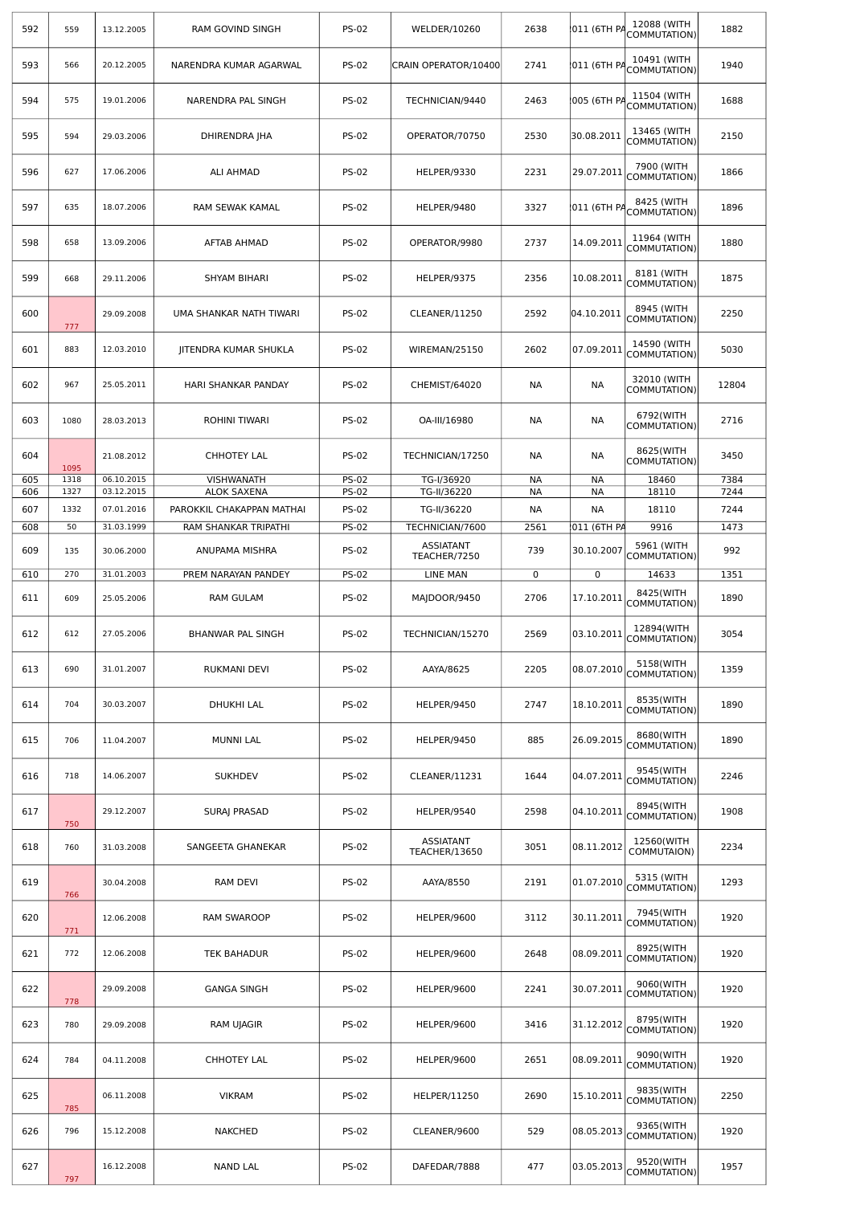| 592 | 559  | 13.12.2005 | <b>RAM GOVIND SINGH</b>   | <b>PS-02</b> | WELDER/10260                     | 2638      | 011 (6TH PA | 12088 (WITH<br>COMMUTATION) | 1882  |
|-----|------|------------|---------------------------|--------------|----------------------------------|-----------|-------------|-----------------------------|-------|
| 593 | 566  | 20.12.2005 | NARENDRA KUMAR AGARWAL    | <b>PS-02</b> | CRAIN OPERATOR/10400             | 2741      | 011 (6TH PA | 10491 (WITH<br>COMMUTATION) | 1940  |
| 594 | 575  | 19.01.2006 | NARENDRA PAL SINGH        | <b>PS-02</b> | TECHNICIAN/9440                  | 2463      | 005 (6TH PA | 11504 (WITH<br>COMMUTATION) | 1688  |
| 595 | 594  | 29.03.2006 | DHIRENDRA JHA             | <b>PS-02</b> | OPERATOR/70750                   | 2530      | 30.08.2011  | 13465 (WITH<br>COMMUTATION) | 2150  |
| 596 | 627  | 17.06.2006 | <b>ALI AHMAD</b>          | <b>PS-02</b> | HELPER/9330                      | 2231      | 29.07.2011  | 7900 (WITH<br>COMMUTATION)  | 1866  |
| 597 | 635  | 18.07.2006 | RAM SEWAK KAMAL           | <b>PS-02</b> | HELPER/9480                      | 3327      | 011 (6TH PA | 8425 (WITH<br>COMMUTATION)  | 1896  |
| 598 | 658  | 13.09.2006 | AFTAB AHMAD               | <b>PS-02</b> | OPERATOR/9980                    | 2737      | 14.09.2011  | 11964 (WITH<br>COMMUTATION) | 1880  |
| 599 | 668  | 29.11.2006 | SHYAM BIHARI              | <b>PS-02</b> | HELPER/9375                      | 2356      | 10.08.2011  | 8181 (WITH<br>COMMUTATION)  | 1875  |
| 600 | 777  | 29.09.2008 | UMA SHANKAR NATH TIWARI   | <b>PS-02</b> | CLEANER/11250                    | 2592      | 04.10.2011  | 8945 (WITH<br>COMMUTATION)  | 2250  |
| 601 | 883  | 12.03.2010 | JITENDRA KUMAR SHUKLA     | <b>PS-02</b> | WIREMAN/25150                    | 2602      | 07.09.2011  | 14590 (WITH<br>COMMUTATION) | 5030  |
| 602 | 967  | 25.05.2011 | HARI SHANKAR PANDAY       | <b>PS-02</b> | CHEMIST/64020                    | <b>NA</b> | <b>NA</b>   | 32010 (WITH<br>COMMUTATION) | 12804 |
| 603 | 1080 | 28.03.2013 | ROHINI TIWARI             | <b>PS-02</b> | OA-III/16980                     | NА        | <b>NA</b>   | 6792(WITH<br>COMMUTATION)   | 2716  |
| 604 | 1095 | 21.08.2012 | <b>CHHOTEY LAL</b>        | <b>PS-02</b> | TECHNICIAN/17250                 | NА        | <b>NA</b>   | 8625(WITH<br>COMMUTATION)   | 3450  |
| 605 | 1318 | 06.10.2015 | VISHWANATH                | <b>PS-02</b> | TG-I/36920                       | NА        | <b>NA</b>   | 18460                       | 7384  |
| 606 | 1327 | 03.12.2015 | <b>ALOK SAXENA</b>        | <b>PS-02</b> | TG-II/36220                      | <b>NA</b> | <b>NA</b>   | 18110                       | 7244  |
| 607 | 1332 | 07.01.2016 | PAROKKIL CHAKAPPAN MATHAI | <b>PS-02</b> | TG-II/36220                      | NА        | NА          | 18110                       | 7244  |
| 608 | 50   | 31.03.1999 | RAM SHANKAR TRIPATHI      | <b>PS-02</b> | TECHNICIAN/7600                  | 2561      | 011 (6TH PA | 9916                        | 1473  |
| 609 | 135  | 30.06.2000 | ANUPAMA MISHRA            | <b>PS-02</b> | <b>ASSIATANT</b><br>TEACHER/7250 | 739       | 30.10.2007  | 5961 (WITH<br>COMMUTATION)  | 992   |
| 610 | 270  | 31.01.2003 | PREM NARAYAN PANDEY       | <b>PS-02</b> | <b>LINE MAN</b>                  | 0         | $\mathbf 0$ | 14633                       | 1351  |
| 611 | 609  | 25.05.2006 | <b>RAM GULAM</b>          | <b>PS-02</b> | MAJDOOR/9450                     | 2706      | 17.10.2011  | 8425(WITH<br>COMMUTATION)   | 1890  |
| 612 | 612  | 27.05.2006 | BHANWAR PAL SINGH         | <b>PS-02</b> | TECHNICIAN/15270                 | 2569      | 03.10.2011  | 12894(WITH<br>COMMUTATION)  | 3054  |
| 613 | 690  | 31.01.2007 | <b>RUKMANI DEVI</b>       | <b>PS-02</b> | AAYA/8625                        | 2205      | 08.07.2010  | 5158(WITH<br>COMMUTATION)   | 1359  |
| 614 | 704  | 30.03.2007 | DHUKHI LAL                | <b>PS-02</b> | HELPER/9450                      | 2747      | 18.10.2011  | 8535(WITH<br>COMMUTATION)   | 1890  |
| 615 | 706  | 11.04.2007 | <b>MUNNI LAL</b>          | <b>PS-02</b> | HELPER/9450                      | 885       | 26.09.2015  | 8680(WITH<br>COMMUTATION)   | 1890  |
| 616 | 718  | 14.06.2007 | <b>SUKHDEV</b>            | <b>PS-02</b> | CLEANER/11231                    | 1644      | 04.07.2011  | 9545(WITH<br>COMMUTATION)   | 2246  |
| 617 | 750  | 29.12.2007 | <b>SURAI PRASAD</b>       | <b>PS-02</b> | HELPER/9540                      | 2598      | 04.10.2011  | 8945(WITH<br>COMMUTATION)   | 1908  |
| 618 | 760  | 31.03.2008 | SANGEETA GHANEKAR         | <b>PS-02</b> | ASSIATANT<br>TEACHER/13650       | 3051      | 08.11.2012  | 12560(WITH<br>COMMUTAION)   | 2234  |
| 619 | 766  | 30.04.2008 | <b>RAM DEVI</b>           | <b>PS-02</b> | AAYA/8550                        | 2191      | 01.07.2010  | 5315 (WITH<br>COMMUTATION)  | 1293  |
| 620 | 771  | 12.06.2008 | RAM SWAROOP               | <b>PS-02</b> | HELPER/9600                      | 3112      | 30.11.2011  | 7945(WITH<br>COMMUTATION)   | 1920  |
| 621 | 772  | 12.06.2008 | TEK BAHADUR               | <b>PS-02</b> | HELPER/9600                      | 2648      | 08.09.2011  | 8925(WITH<br>COMMUTATION)   | 1920  |
| 622 | 778  | 29.09.2008 | <b>GANGA SINGH</b>        | <b>PS-02</b> | HELPER/9600                      | 2241      | 30.07.2011  | 9060(WITH<br>COMMUTATION)   | 1920  |
| 623 | 780  | 29.09.2008 | <b>RAM UJAGIR</b>         | <b>PS-02</b> | HELPER/9600                      | 3416      | 31.12.2012  | 8795(WITH<br>COMMUTATION)   | 1920  |
| 624 | 784  | 04.11.2008 | <b>CHHOTEY LAL</b>        | <b>PS-02</b> | HELPER/9600                      | 2651      | 08.09.2011  | 9090(WITH<br>COMMUTATION)   | 1920  |
| 625 | 785  | 06.11.2008 | <b>VIKRAM</b>             | <b>PS-02</b> | <b>HELPER/11250</b>              | 2690      | 15.10.2011  | 9835(WITH<br>COMMUTATION)   | 2250  |
| 626 | 796  | 15.12.2008 | <b>NAKCHED</b>            | <b>PS-02</b> | CLEANER/9600                     | 529       | 08.05.2013  | 9365(WITH<br>COMMUTATION)   | 1920  |
| 627 | 797  | 16.12.2008 | <b>NAND LAL</b>           | <b>PS-02</b> | DAFEDAR/7888                     | 477       | 03.05.2013  | 9520(WITH<br>COMMUTATION)   | 1957  |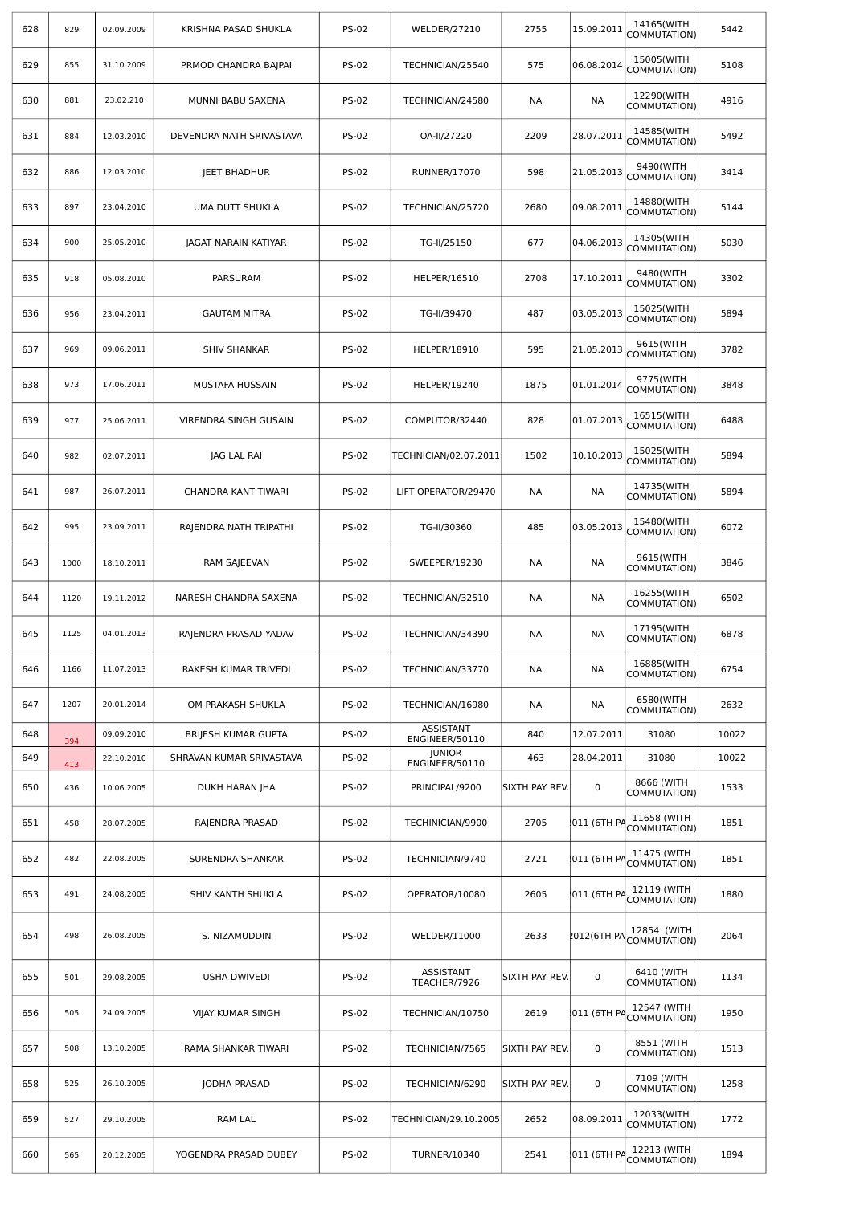| 628 | 829  | 02.09.2009 | KRISHNA PASAD SHUKLA     | <b>PS-02</b> | <b>WELDER/27210</b>                | 2755           | 15.09.2011  | 14165(WITH<br>COMMUTATION)  | 5442  |
|-----|------|------------|--------------------------|--------------|------------------------------------|----------------|-------------|-----------------------------|-------|
| 629 | 855  | 31.10.2009 | PRMOD CHANDRA BAJPAI     | <b>PS-02</b> | TECHNICIAN/25540                   | 575            | 06.08.2014  | 15005(WITH<br>COMMUTATION)  | 5108  |
| 630 | 881  | 23.02.210  | MUNNI BABU SAXENA        | <b>PS-02</b> | TECHNICIAN/24580                   | NА             | NА          | 12290(WITH<br>COMMUTATION)  | 4916  |
| 631 | 884  | 12.03.2010 | DEVENDRA NATH SRIVASTAVA | <b>PS-02</b> | OA-II/27220                        | 2209           | 28.07.2011  | 14585(WITH<br>COMMUTATION)  | 5492  |
| 632 | 886  | 12.03.2010 | <b>JEET BHADHUR</b>      | <b>PS-02</b> | <b>RUNNER/17070</b>                | 598            | 21.05.2013  | 9490(WITH<br>COMMUTATION)   | 3414  |
| 633 | 897  | 23.04.2010 | UMA DUTT SHUKLA          | <b>PS-02</b> | TECHNICIAN/25720                   | 2680           | 09.08.2011  | 14880(WITH<br>COMMUTATION)  | 5144  |
| 634 | 900  | 25.05.2010 | JAGAT NARAIN KATIYAR     | <b>PS-02</b> | TG-II/25150                        | 677            | 04.06.2013  | 14305(WITH<br>COMMUTATION)  | 5030  |
| 635 | 918  | 05.08.2010 | PARSURAM                 | <b>PS-02</b> | HELPER/16510                       | 2708           | 17.10.2011  | 9480(WITH<br>COMMUTATION)   | 3302  |
| 636 | 956  | 23.04.2011 | <b>GAUTAM MITRA</b>      | <b>PS-02</b> | TG-II/39470                        | 487            | 03.05.2013  | 15025(WITH<br>COMMUTATION)  | 5894  |
| 637 | 969  | 09.06.2011 | <b>SHIV SHANKAR</b>      | <b>PS-02</b> | HELPER/18910                       | 595            | 21.05.2013  | 9615(WITH<br>COMMUTATION)   | 3782  |
| 638 | 973  | 17.06.2011 | MUSTAFA HUSSAIN          | <b>PS-02</b> | <b>HELPER/19240</b>                | 1875           | 01.01.2014  | 9775(WITH<br>COMMUTATION)   | 3848  |
| 639 | 977  | 25.06.2011 | VIRENDRA SINGH GUSAIN    | <b>PS-02</b> | COMPUTOR/32440                     | 828            | 01.07.2013  | 16515(WITH<br>COMMUTATION)  | 6488  |
| 640 | 982  | 02.07.2011 | JAG LAL RAI              | <b>PS-02</b> | TECHNICIAN/02.07.2011              | 1502           | 10.10.2013  | 15025(WITH<br>COMMUTATION)  | 5894  |
| 641 | 987  | 26.07.2011 | CHANDRA KANT TIWARI      | <b>PS-02</b> | LIFT OPERATOR/29470                | NА             | NА          | 14735(WITH<br>COMMUTATION)  | 5894  |
| 642 | 995  | 23.09.2011 | RAJENDRA NATH TRIPATHI   | <b>PS-02</b> | TG-II/30360                        | 485            | 03.05.2013  | 15480(WITH<br>COMMUTATION)  | 6072  |
| 643 | 1000 | 18.10.2011 | RAM SAJEEVAN             | <b>PS-02</b> | SWEEPER/19230                      | NА             | NА          | 9615(WITH<br>COMMUTATION)   | 3846  |
| 644 | 1120 | 19.11.2012 | NARESH CHANDRA SAXENA    | <b>PS-02</b> | TECHNICIAN/32510                   | NА             | NА          | 16255(WITH<br>COMMUTATION)  | 6502  |
| 645 | 1125 | 04.01.2013 | RAJENDRA PRASAD YADAV    | <b>PS-02</b> | TECHNICIAN/34390                   | NА             | NА          | 17195(WITH<br>COMMUTATION)  | 6878  |
| 646 | 1166 | 11.07.2013 | RAKESH KUMAR TRIVEDI     | <b>PS-02</b> | TECHNICIAN/33770                   | <b>NA</b>      | <b>NA</b>   | 16885(WITH<br>COMMUTATION)  | 6754  |
| 647 | 1207 | 20.01.2014 | OM PRAKASH SHUKLA        | <b>PS-02</b> | TECHNICIAN/16980                   | NА             | NА          | 6580(WITH<br>COMMUTATION)   | 2632  |
| 648 | 394  | 09.09.2010 | BRIJESH KUMAR GUPTA      | <b>PS-02</b> | <b>ASSISTANT</b><br>ENGINEER/50110 | 840            | 12.07.2011  | 31080                       | 10022 |
| 649 | 413  | 22.10.2010 | SHRAVAN KUMAR SRIVASTAVA | <b>PS-02</b> | <b>JUNIOR</b><br>ENGINEER/50110    | 463            | 28.04.2011  | 31080                       | 10022 |
| 650 | 436  | 10.06.2005 | DUKH HARAN JHA           | <b>PS-02</b> | PRINCIPAL/9200                     | SIXTH PAY REV. | $\mathbf 0$ | 8666 (WITH<br>COMMUTATION)  | 1533  |
| 651 | 458  | 28.07.2005 | RAJENDRA PRASAD          | <b>PS-02</b> | TECHINICIAN/9900                   | 2705           | 011 (6TH PA | 11658 (WITH<br>COMMUTATION) | 1851  |
| 652 | 482  | 22.08.2005 | SURENDRA SHANKAR         | <b>PS-02</b> | TECHNICIAN/9740                    | 2721           | 011 (6TH PA | 11475 (WITH<br>COMMUTATION) | 1851  |
| 653 | 491  | 24.08.2005 | SHIV KANTH SHUKLA        | <b>PS-02</b> | OPERATOR/10080                     | 2605           | 011 (6TH PA | 12119 (WITH<br>COMMUTATION) | 1880  |
| 654 | 498  | 26.08.2005 | S. NIZAMUDDIN            | <b>PS-02</b> | WELDER/11000                       | 2633           | 2012(6TH PA | 12854 (WITH<br>COMMUTATION) | 2064  |
| 655 | 501  | 29.08.2005 | <b>USHA DWIVEDI</b>      | <b>PS-02</b> | ASSISTANT<br>TEACHER/7926          | SIXTH PAY REV. | $\mathbf 0$ | 6410 (WITH<br>COMMUTATION)  | 1134  |
| 656 | 505  | 24.09.2005 | <b>VIJAY KUMAR SINGH</b> | <b>PS-02</b> | TECHNICIAN/10750                   | 2619           | 011 (6TH PA | 12547 (WITH<br>COMMUTATION) | 1950  |
| 657 | 508  | 13.10.2005 | RAMA SHANKAR TIWARI      | <b>PS-02</b> | TECHNICIAN/7565                    | SIXTH PAY REV. | $\pmb{0}$   | 8551 (WITH<br>COMMUTATION)  | 1513  |
| 658 | 525  | 26.10.2005 | JODHA PRASAD             | <b>PS-02</b> | TECHNICIAN/6290                    | SIXTH PAY REV. | 0           | 7109 (WITH<br>COMMUTATION)  | 1258  |
| 659 | 527  | 29.10.2005 | RAM LAL                  | <b>PS-02</b> | TECHNICIAN/29.10.2005              | 2652           | 08.09.2011  | 12033(WITH<br>COMMUTATION)  | 1772  |
| 660 | 565  | 20.12.2005 | YOGENDRA PRASAD DUBEY    | <b>PS-02</b> | <b>TURNER/10340</b>                | 2541           | 011 (6TH PA | 12213 (WITH<br>COMMUTATION) | 1894  |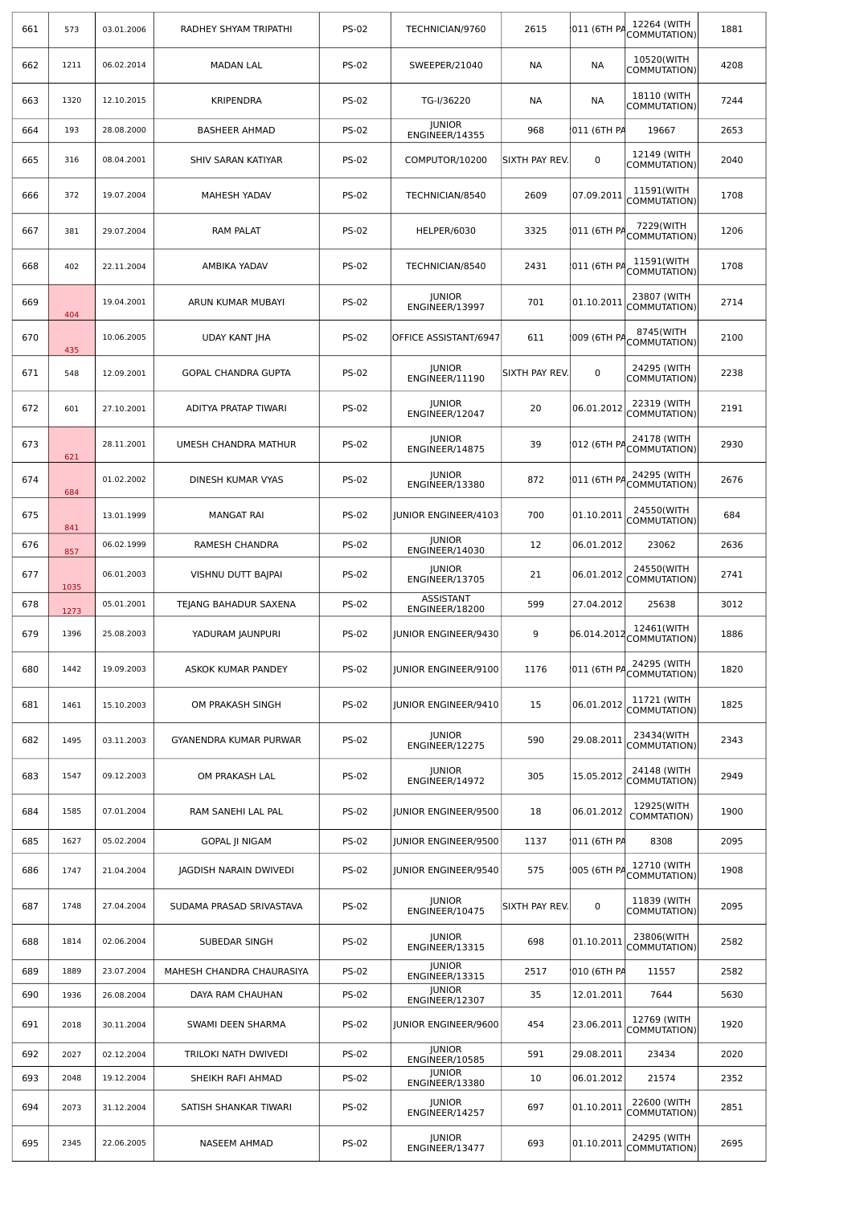| 661 | 573  | 03.01.2006 | RADHEY SHYAM TRIPATHI      | <b>PS-02</b>                          | TECHNICIAN/9760                    | 2615           | 011 (6TH PA | 12264 (WITH<br>COMMUTATION) | 1881 |
|-----|------|------------|----------------------------|---------------------------------------|------------------------------------|----------------|-------------|-----------------------------|------|
| 662 | 1211 | 06.02.2014 | <b>MADAN LAL</b>           | <b>PS-02</b>                          | SWEEPER/21040                      | NА             | NА          | 10520(WITH<br>COMMUTATION)  | 4208 |
| 663 | 1320 | 12.10.2015 | <b>KRIPENDRA</b>           | <b>PS-02</b>                          | TG-I/36220                         | NА             | NА          | 18110 (WITH<br>COMMUTATION) | 7244 |
| 664 | 193  | 28.08.2000 | <b>BASHEER AHMAD</b>       | <b>PS-02</b>                          | <b>JUNIOR</b><br>ENGINEER/14355    | 968            | 011 (6TH PA | 19667                       | 2653 |
| 665 | 316  | 08.04.2001 | SHIV SARAN KATIYAR         | <b>PS-02</b>                          | COMPUTOR/10200                     | SIXTH PAY REV. | 0           | 12149 (WITH<br>COMMUTATION) | 2040 |
| 666 | 372  | 19.07.2004 | <b>MAHESH YADAV</b>        | <b>PS-02</b>                          | TECHNICIAN/8540                    | 2609           | 07.09.2011  | 11591(WITH<br>COMMUTATION)  | 1708 |
| 667 | 381  | 29.07.2004 | <b>RAM PALAT</b>           | <b>PS-02</b>                          | HELPER/6030                        | 3325           | 011 (6TH PA | 7229(WITH<br>COMMUTATION)   | 1206 |
| 668 | 402  | 22.11.2004 | AMBIKA YADAV               | <b>PS-02</b>                          | TECHNICIAN/8540                    | 2431           | 011 (6TH PA | 11591(WITH<br>COMMUTATION)  | 1708 |
| 669 | 404  | 19.04.2001 | ARUN KUMAR MUBAYI          | <b>PS-02</b>                          | <b>JUNIOR</b><br>ENGINEER/13997    | 701            | 01.10.2011  | 23807 (WITH<br>COMMUTATION) | 2714 |
| 670 | 435  | 10.06.2005 | <b>UDAY KANT JHA</b>       | <b>PS-02</b><br>OFFICE ASSISTANT/6947 |                                    | 611            | 009 (6TH PA | 8745(WITH<br>COMMUTATION)   | 2100 |
| 671 | 548  | 12.09.2001 | <b>GOPAL CHANDRA GUPTA</b> | <b>PS-02</b>                          | <b>JUNIOR</b><br>ENGINEER/11190    | SIXTH PAY REV. | 0           | 24295 (WITH<br>COMMUTATION) | 2238 |
| 672 | 601  | 27.10.2001 | ADITYA PRATAP TIWARI       | <b>PS-02</b>                          | <b>JUNIOR</b><br>ENGINEER/12047    | 20             | 06.01.2012  | 22319 (WITH<br>COMMUTATION) | 2191 |
| 673 | 621  | 28.11.2001 | UMESH CHANDRA MATHUR       | <b>PS-02</b>                          | <b>JUNIOR</b><br>ENGINEER/14875    | 39             | 012 (6TH PA | 24178 (WITH<br>COMMUTATION) | 2930 |
| 674 | 684  | 01.02.2002 | DINESH KUMAR VYAS          | <b>PS-02</b>                          | <b>JUNIOR</b><br>ENGINEER/13380    | 872            | 011 (6TH PA | 24295 (WITH<br>COMMUTATION) | 2676 |
| 675 | 841  | 13.01.1999 | <b>MANGAT RAI</b>          | <b>PS-02</b>                          | <b>JUNIOR ENGINEER/4103</b>        | 700            | 01.10.2011  | 24550(WITH<br>COMMUTATION)  | 684  |
| 676 | 857  | 06.02.1999 | RAMESH CHANDRA             | <b>PS-02</b>                          | <b>JUNIOR</b><br>ENGINEER/14030    | 12             | 06.01.2012  | 23062                       | 2636 |
| 677 | 1035 | 06.01.2003 | VISHNU DUTT BAJPAI         | <b>PS-02</b>                          | <b>JUNIOR</b><br>ENGINEER/13705    | 21             | 06.01.2012  | 24550(WITH<br>COMMUTATION)  | 2741 |
| 678 | 1273 | 05.01.2001 | TEJANG BAHADUR SAXENA      | <b>PS-02</b>                          | <b>ASSISTANT</b><br>ENGINEER/18200 | 599            | 27.04.2012  | 25638                       | 3012 |
| 679 | 1396 | 25.08.2003 | YADURAM JAUNPURI           | <b>PS-02</b>                          | JUNIOR ENGINEER/9430               | 9              | 06.014.2012 | 12461(WITH<br>COMMUTATION)  | 1886 |
| 680 | 1442 | 19.09.2003 | ASKOK KUMAR PANDEY         | <b>PS-02</b>                          | JUNIOR ENGINEER/9100               | 1176           | 011 (6TH PA | 24295 (WITH<br>COMMUTATION) | 1820 |
| 681 | 1461 | 15.10.2003 | OM PRAKASH SINGH           | <b>PS-02</b>                          | JUNIOR ENGINEER/9410               | 15             | 06.01.2012  | 11721 (WITH<br>COMMUTATION) | 1825 |
| 682 | 1495 | 03.11.2003 | GYANENDRA KUMAR PURWAR     | <b>PS-02</b>                          | <b>JUNIOR</b><br>ENGINEER/12275    | 590            | 29.08.2011  | 23434(WITH<br>COMMUTATION)  | 2343 |
| 683 | 1547 | 09.12.2003 | OM PRAKASH LAL             | <b>PS-02</b>                          | <b>JUNIOR</b><br>ENGINEER/14972    | 305            | 15.05.2012  | 24148 (WITH<br>COMMUTATION) | 2949 |
| 684 | 1585 | 07.01.2004 | RAM SANEHI LAL PAL         | <b>PS-02</b>                          | <b>JUNIOR ENGINEER/9500</b>        | 18             | 06.01.2012  | 12925(WITH<br>COMMTATION)   | 1900 |
| 685 | 1627 | 05.02.2004 | <b>GOPAL JI NIGAM</b>      | <b>PS-02</b>                          | JUNIOR ENGINEER/9500               | 1137           | 011 (6TH PA | 8308                        | 2095 |
| 686 | 1747 | 21.04.2004 | JAGDISH NARAIN DWIVEDI     | <b>PS-02</b>                          | JUNIOR ENGINEER/9540               | 575            | 005 (6TH PA | 12710 (WITH<br>COMMUTATION) | 1908 |
| 687 | 1748 | 27.04.2004 | SUDAMA PRASAD SRIVASTAVA   | <b>PS-02</b>                          | <b>JUNIOR</b><br>ENGINEER/10475    | SIXTH PAY REV. | $\mathbf 0$ | 11839 (WITH<br>COMMUTATION) | 2095 |
| 688 | 1814 | 02.06.2004 | SUBEDAR SINGH              | <b>PS-02</b>                          | <b>JUNIOR</b><br>ENGINEER/13315    | 698            | 01.10.2011  | 23806(WITH<br>COMMUTATION)  | 2582 |
| 689 | 1889 | 23.07.2004 | MAHESH CHANDRA CHAURASIYA  | <b>PS-02</b>                          | <b>JUNIOR</b><br>ENGINEER/13315    | 2517           | 010 (6TH PA | 11557                       | 2582 |
| 690 | 1936 | 26.08.2004 | DAYA RAM CHAUHAN           | <b>PS-02</b>                          | <b>JUNIOR</b><br>ENGINEER/12307    | 35             | 12.01.2011  | 7644                        | 5630 |
| 691 | 2018 | 30.11.2004 | SWAMI DEEN SHARMA          | <b>PS-02</b>                          | JUNIOR ENGINEER/9600               | 454            | 23.06.2011  | 12769 (WITH<br>COMMUTATION) | 1920 |
| 692 | 2027 | 02.12.2004 | TRILOKI NATH DWIVEDI       | <b>PS-02</b>                          | <b>JUNIOR</b><br>ENGINEER/10585    | 591            | 29.08.2011  | 23434                       | 2020 |
| 693 | 2048 | 19.12.2004 | SHEIKH RAFI AHMAD          | <b>PS-02</b>                          | <b>JUNIOR</b><br>ENGINEER/13380    | 10             | 06.01.2012  | 21574                       | 2352 |
| 694 | 2073 | 31.12.2004 | SATISH SHANKAR TIWARI      | <b>PS-02</b>                          | <b>JUNIOR</b><br>ENGINEER/14257    | 697            | 01.10.2011  | 22600 (WITH<br>COMMUTATION) | 2851 |
| 695 | 2345 | 22.06.2005 | NASEEM AHMAD               | <b>PS-02</b>                          | <b>JUNIOR</b><br>ENGINEER/13477    | 693            | 01.10.2011  | 24295 (WITH<br>COMMUTATION) | 2695 |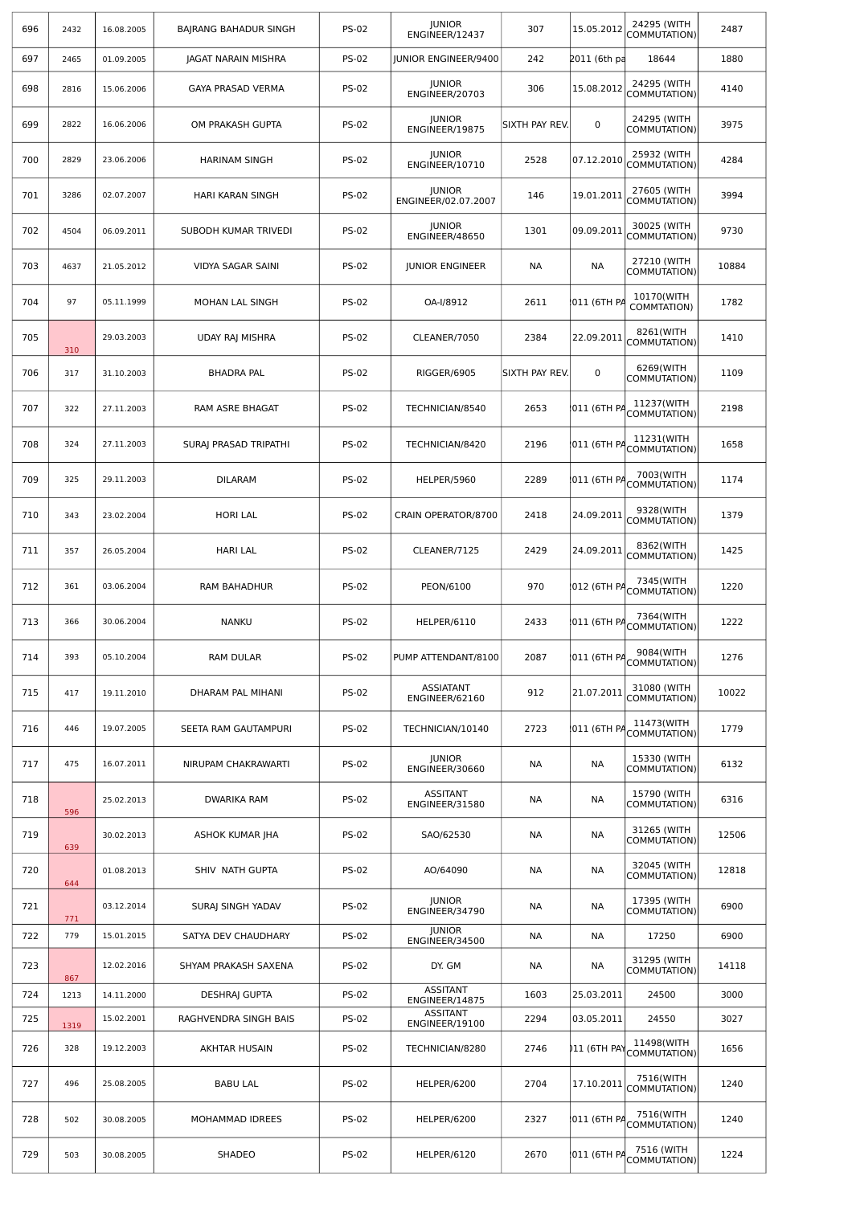| 696 | 2432 | 16.08.2005 | BAJRANG BAHADUR SINGH      | <b>PS-02</b> | <b>JUNIOR</b><br>ENGINEER/12437      | 307            | 15.05.2012   | 24295 (WITH<br>COMMUTATION)          | 2487  |
|-----|------|------------|----------------------------|--------------|--------------------------------------|----------------|--------------|--------------------------------------|-------|
| 697 | 2465 | 01.09.2005 | <b>JAGAT NARAIN MISHRA</b> | <b>PS-02</b> | <b>JUNIOR ENGINEER/9400</b>          | 242            | 2011 (6th pa | 18644                                | 1880  |
| 698 | 2816 | 15.06.2006 | <b>GAYA PRASAD VERMA</b>   | <b>PS-02</b> | <b>JUNIOR</b><br>ENGINEER/20703      | 306            | 15.08.2012   | 24295 (WITH<br>COMMUTATION)          | 4140  |
| 699 | 2822 | 16.06.2006 | OM PRAKASH GUPTA           | <b>PS-02</b> | <b>JUNIOR</b><br>ENGINEER/19875      | SIXTH PAY REV. | $\mathbf 0$  | 24295 (WITH<br>COMMUTATION)          | 3975  |
| 700 | 2829 | 23.06.2006 | <b>HARINAM SINGH</b>       | <b>PS-02</b> | <b>JUNIOR</b><br>ENGINEER/10710      | 2528           | 07.12.2010   | 25932 (WITH<br>COMMUTATION)          | 4284  |
| 701 | 3286 | 02.07.2007 | HARI KARAN SINGH           | <b>PS-02</b> | <b>JUNIOR</b><br>ENGINEER/02.07.2007 | 146            | 19.01.2011   | 27605 (WITH<br>COMMUTATION)          | 3994  |
| 702 | 4504 | 06.09.2011 | SUBODH KUMAR TRIVEDI       | <b>PS-02</b> | <b>JUNIOR</b><br>ENGINEER/48650      | 1301           | 09.09.2011   | 30025 (WITH<br>COMMUTATION)          | 9730  |
| 703 | 4637 | 21.05.2012 | VIDYA SAGAR SAINI          | <b>PS-02</b> | <b>JUNIOR ENGINEER</b>               | <b>NA</b>      | NА           | 27210 (WITH<br>COMMUTATION)          | 10884 |
| 704 | 97   | 05.11.1999 | MOHAN LAL SINGH            | <b>PS-02</b> | OA-I/8912                            | 2611           | 011 (6TH PA  | 10170(WITH<br>COMMTATION)            | 1782  |
| 705 | 310  | 29.03.2003 | <b>UDAY RAJ MISHRA</b>     | <b>PS-02</b> | CLEANER/7050                         | 2384           | 22.09.2011   | 8261(WITH<br>COMMUTATION)            | 1410  |
| 706 | 317  | 31.10.2003 | <b>BHADRA PAL</b>          | <b>PS-02</b> | RIGGER/6905                          | SIXTH PAY REV. | 0            | 6269(WITH<br>COMMUTATION)            | 1109  |
| 707 | 322  | 27.11.2003 | <b>RAM ASRE BHAGAT</b>     | <b>PS-02</b> | TECHNICIAN/8540                      | 2653           | 011 (6TH PA  | 11237(WITH<br>COMMUTATION)           | 2198  |
| 708 | 324  | 27.11.2003 | SURAJ PRASAD TRIPATHI      | <b>PS-02</b> | TECHNICIAN/8420                      | 2196           | 011 (6TH PA  | 11231(WITH<br>COMMUTATION)           | 1658  |
| 709 | 325  | 29.11.2003 | <b>DILARAM</b>             | <b>PS-02</b> | HELPER/5960                          | 2289           |              | 7003(WITH<br>011 (6TH PACOMMUTATION) | 1174  |
| 710 | 343  | 23.02.2004 | <b>HORI LAL</b>            | <b>PS-02</b> | CRAIN OPERATOR/8700                  | 2418           | 24.09.2011   | 9328(WITH<br>COMMUTATION)            | 1379  |
| 711 | 357  | 26.05.2004 | <b>HARI LAL</b>            | <b>PS-02</b> | CLEANER/7125                         | 2429           | 24.09.2011   | 8362(WITH<br>COMMUTATION)            | 1425  |
| 712 | 361  | 03.06.2004 | RAM BAHADHUR               | <b>PS-02</b> | PEON/6100                            | 970            | 012 (6TH PA  | 7345(WITH<br>COMMUTATION)            | 1220  |
| 713 | 366  | 30.06.2004 | <b>NANKU</b>               | <b>PS-02</b> | HELPER/6110                          | 2433           | 011 (6TH PA  | 7364(WITH<br>COMMUTATION)            | 1222  |
| 714 | 393  | 05.10.2004 | RAM DULAR                  | <b>PS-02</b> | PUMP ATTENDANT/8100                  | 2087           | 011 (6TH PA  | 9084(WITH<br>COMMUTATION)            | 1276  |
| 715 | 417  | 19.11.2010 | DHARAM PAL MIHANI          | <b>PS-02</b> | <b>ASSIATANT</b><br>ENGINEER/62160   | 912            | 21.07.2011   | 31080 (WITH<br>COMMUTATION)          | 10022 |
| 716 | 446  | 19.07.2005 | SEETA RAM GAUTAMPURI       | <b>PS-02</b> | TECHNICIAN/10140                     | 2723           | 011 (6TH PA  | 11473(WITH<br>COMMUTATION)           | 1779  |
| 717 | 475  | 16.07.2011 | NIRUPAM CHAKRAWARTI        | <b>PS-02</b> | <b>JUNIOR</b><br>ENGINEER/30660      | <b>NA</b>      | NА           | 15330 (WITH<br>COMMUTATION)          | 6132  |
| 718 | 596  | 25.02.2013 | <b>DWARIKA RAM</b>         | <b>PS-02</b> | <b>ASSITANT</b><br>ENGINEER/31580    | NА             | NА           | 15790 (WITH<br>COMMUTATION)          | 6316  |
| 719 | 639  | 30.02.2013 | ASHOK KUMAR JHA            | <b>PS-02</b> | SAO/62530                            | <b>NA</b>      | NA           | 31265 (WITH<br>COMMUTATION)          | 12506 |
| 720 | 644  | 01.08.2013 | SHIV NATH GUPTA            | <b>PS-02</b> | AO/64090                             | NА             | NА           | 32045 (WITH<br>COMMUTATION)          | 12818 |
| 721 | 771  | 03.12.2014 | SURAJ SINGH YADAV          | <b>PS-02</b> | <b>JUNIOR</b><br>ENGINEER/34790      | <b>NA</b>      | NA           | 17395 (WITH<br>COMMUTATION)          | 6900  |
| 722 | 779  | 15.01.2015 | SATYA DEV CHAUDHARY        | <b>PS-02</b> | <b>JUNIOR</b><br>ENGINEER/34500      | NА             | NА           | 17250                                | 6900  |
| 723 | 867  | 12.02.2016 | SHYAM PRAKASH SAXENA       | <b>PS-02</b> | DY. GM                               | NА             | NА           | 31295 (WITH<br>COMMUTATION)          | 14118 |
| 724 | 1213 | 14.11.2000 | <b>DESHRAJ GUPTA</b>       | <b>PS-02</b> | <b>ASSITANT</b><br>ENGINEER/14875    | 1603           | 25.03.2011   | 24500                                | 3000  |
| 725 | 1319 | 15.02.2001 | RAGHVENDRA SINGH BAIS      | <b>PS-02</b> | <b>ASSITANT</b><br>ENGINEER/19100    | 2294           | 03.05.2011   | 24550                                | 3027  |
| 726 | 328  | 19.12.2003 | AKHTAR HUSAIN              | <b>PS-02</b> | TECHNICIAN/8280                      | 2746           | )11 (6TH PAY | 11498(WITH<br>COMMUTATION)           | 1656  |
| 727 | 496  | 25.08.2005 | <b>BABU LAL</b>            | <b>PS-02</b> | HELPER/6200                          | 2704           | 17.10.2011   | 7516(WITH<br>COMMUTATION)            | 1240  |
| 728 | 502  | 30.08.2005 | MOHAMMAD IDREES            | <b>PS-02</b> | HELPER/6200                          | 2327           | 011 (6TH PA  | 7516(WITH<br>COMMUTATION)            | 1240  |
| 729 | 503  | 30.08.2005 | SHADEO                     | <b>PS-02</b> | HELPER/6120                          | 2670           | 011 (6TH PA  | 7516 (WITH<br>COMMUTATION)           | 1224  |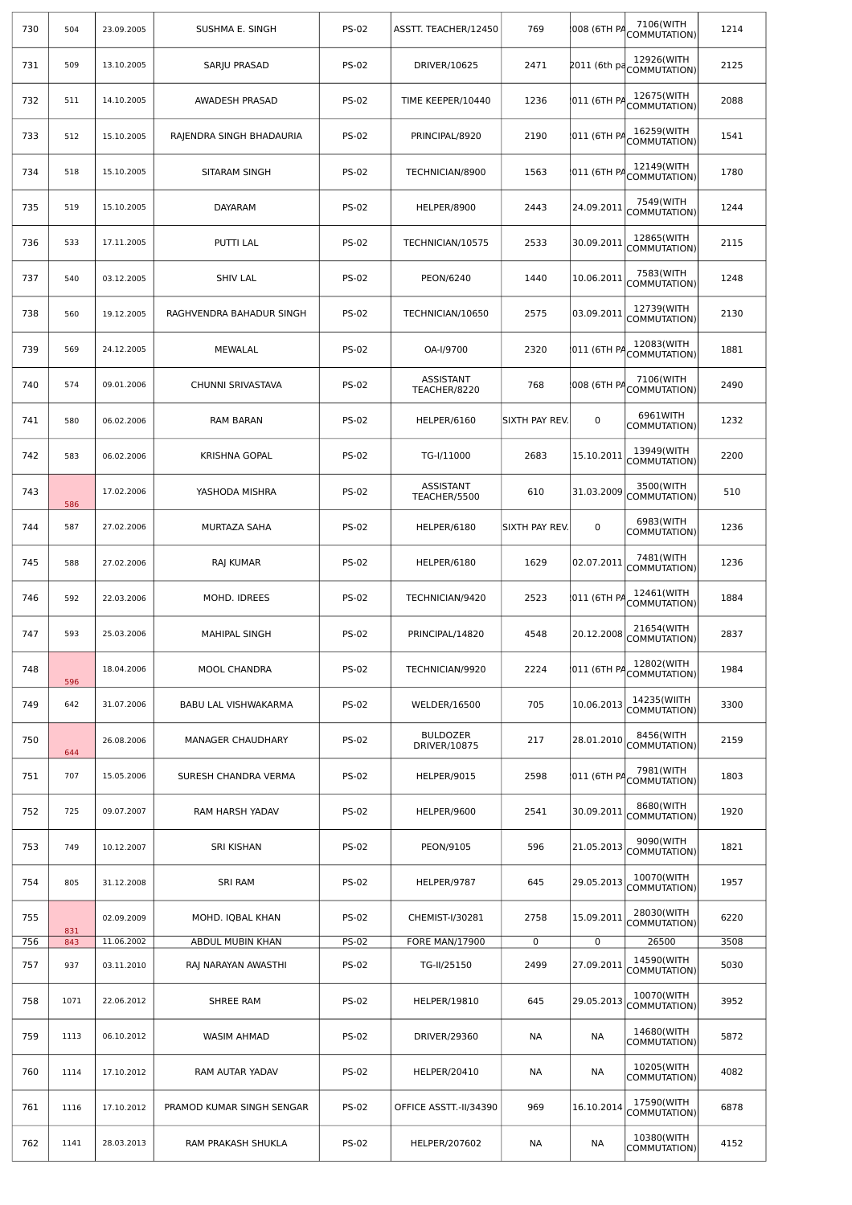| 730 | 504  | 23.09.2005 | SUSHMA E. SINGH           | <b>PS-02</b> | ASSTT. TEACHER/12450            | 769            | 1008 (6TH PA | 7106(WITH<br>COMMUTATION)               | 1214 |
|-----|------|------------|---------------------------|--------------|---------------------------------|----------------|--------------|-----------------------------------------|------|
| 731 | 509  | 13.10.2005 | SARJU PRASAD              | <b>PS-02</b> | DRIVER/10625                    | 2471           |              | 12926(WITH<br>2011 (6th pd COMMUTATION) | 2125 |
| 732 | 511  | 14.10.2005 | AWADESH PRASAD            | <b>PS-02</b> | TIME KEEPER/10440               | 1236           | 011 (6TH PA  | 12675(WITH<br>COMMUTATION)              | 2088 |
| 733 | 512  | 15.10.2005 | RAJENDRA SINGH BHADAURIA  | <b>PS-02</b> | PRINCIPAL/8920                  | 2190           | 011 (6TH PA  | 16259(WITH<br>COMMUTATION)              | 1541 |
| 734 | 518  | 15.10.2005 | SITARAM SINGH             | <b>PS-02</b> | TECHNICIAN/8900                 | 1563           | 011 (6TH PA  | 12149(WITH<br>COMMUTATION)              | 1780 |
| 735 | 519  | 15.10.2005 | <b>DAYARAM</b>            | <b>PS-02</b> | HELPER/8900                     | 2443           | 24.09.2011   | 7549(WITH<br>COMMUTATION)               | 1244 |
| 736 | 533  | 17.11.2005 | <b>PUTTI LAL</b>          | <b>PS-02</b> | TECHNICIAN/10575                | 2533           | 30.09.2011   | 12865(WITH<br>COMMUTATION)              | 2115 |
| 737 | 540  | 03.12.2005 | <b>SHIV LAL</b>           | <b>PS-02</b> | PEON/6240                       | 1440           | 10.06.2011   | 7583(WITH<br>COMMUTATION)               | 1248 |
| 738 | 560  | 19.12.2005 | RAGHVENDRA BAHADUR SINGH  | <b>PS-02</b> | TECHNICIAN/10650                | 2575           | 03.09.2011   | 12739(WITH<br>COMMUTATION)              | 2130 |
| 739 | 569  | 24.12.2005 | <b>MEWALAL</b>            | <b>PS-02</b> | OA-I/9700                       | 2320           | 011 (6TH PA  | 12083(WITH<br>COMMUTATION)              | 1881 |
| 740 | 574  | 09.01.2006 | CHUNNI SRIVASTAVA         | <b>PS-02</b> | ASSISTANT<br>TEACHER/8220       | 768            | 008 (6TH PA  | 7106(WITH<br>COMMUTATION)               | 2490 |
| 741 | 580  | 06.02.2006 | <b>RAM BARAN</b>          | <b>PS-02</b> | HELPER/6160                     | SIXTH PAY REV. | 0            | 6961WITH<br>COMMUTATION)                | 1232 |
| 742 | 583  | 06.02.2006 | KRISHNA GOPAL             | <b>PS-02</b> | TG-I/11000                      | 2683           | 15.10.2011   | 13949(WITH<br>COMMUTATION)              | 2200 |
| 743 | 586  | 17.02.2006 | YASHODA MISHRA            | <b>PS-02</b> | ASSISTANT<br>TEACHER/5500       | 610            | 31.03.2009   | 3500(WITH<br>COMMUTATION)               | 510  |
| 744 | 587  | 27.02.2006 | MURTAZA SAHA              | <b>PS-02</b> | HELPER/6180                     | SIXTH PAY REV. | $\mathbf 0$  | 6983(WITH<br>COMMUTATION)               | 1236 |
| 745 | 588  | 27.02.2006 | RAJ KUMAR                 | <b>PS-02</b> | HELPER/6180                     | 1629           | 02.07.2011   | 7481(WITH<br>COMMUTATION)               | 1236 |
| 746 | 592  | 22.03.2006 | MOHD. IDREES              | <b>PS-02</b> | TECHNICIAN/9420                 | 2523           | 011 (6TH PA  | 12461(WITH<br>COMMUTATION)              | 1884 |
| 747 | 593  | 25.03.2006 | <b>MAHIPAL SINGH</b>      | <b>PS-02</b> | PRINCIPAL/14820                 | 4548           | 20.12.2008   | 21654(WITH<br>COMMUTATION)              | 2837 |
| 748 | 596  | 18.04.2006 | MOOL CHANDRA              | <b>PS-02</b> | TECHNICIAN/9920                 | 2224           | 011 (6TH PA  | 12802(WITH<br>COMMUTATION)              | 1984 |
| 749 | 642  | 31.07.2006 | BABU LAL VISHWAKARMA      | <b>PS-02</b> | <b>WELDER/16500</b>             | 705            | 10.06.2013   | 14235(WIITH<br>COMMUTATION)             | 3300 |
| 750 | 644  | 26.08.2006 | MANAGER CHAUDHARY         | <b>PS-02</b> | <b>BULDOZER</b><br>DRIVER/10875 | 217            | 28.01.2010   | 8456(WITH<br>COMMUTATION)               | 2159 |
| 751 | 707  | 15.05.2006 | SURESH CHANDRA VERMA      | <b>PS-02</b> | HELPER/9015                     | 2598           | 011 (6TH PA  | 7981(WITH<br>COMMUTATION)               | 1803 |
| 752 | 725  | 09.07.2007 | RAM HARSH YADAV           | <b>PS-02</b> | HELPER/9600                     | 2541           | 30.09.2011   | 8680(WITH<br>COMMUTATION)               | 1920 |
| 753 | 749  | 10.12.2007 | SRI KISHAN                | <b>PS-02</b> | PEON/9105                       | 596            | 21.05.2013   | 9090(WITH<br>COMMUTATION)               | 1821 |
| 754 | 805  | 31.12.2008 | <b>SRI RAM</b>            | <b>PS-02</b> | HELPER/9787                     | 645            | 29.05.2013   | 10070(WITH<br>COMMUTATION)              | 1957 |
| 755 | 831  | 02.09.2009 | MOHD. IQBAL KHAN          | <b>PS-02</b> | CHEMIST-I/30281                 | 2758           | 15.09.2011   | 28030(WITH<br>COMMUTATION)              | 6220 |
| 756 | 843  | 11.06.2002 | ABDUL MUBIN KHAN          | <b>PS-02</b> | <b>FORE MAN/17900</b>           | 0              | 0            | 26500                                   | 3508 |
| 757 | 937  | 03.11.2010 | RAJ NARAYAN AWASTHI       | <b>PS-02</b> | TG-II/25150                     | 2499           | 27.09.2011   | 14590(WITH<br>COMMUTATION)              | 5030 |
| 758 | 1071 | 22.06.2012 | SHREE RAM                 | <b>PS-02</b> | <b>HELPER/19810</b>             | 645            | 29.05.2013   | 10070(WITH<br>COMMUTATION)              | 3952 |
| 759 | 1113 | 06.10.2012 | WASIM AHMAD               | <b>PS-02</b> | DRIVER/29360                    | NА             | NА           | 14680(WITH<br>COMMUTATION)              | 5872 |
| 760 | 1114 | 17.10.2012 | RAM AUTAR YADAV           | <b>PS-02</b> | <b>HELPER/20410</b>             | NА             | NА           | 10205(WITH<br>COMMUTATION)              | 4082 |
| 761 | 1116 | 17.10.2012 | PRAMOD KUMAR SINGH SENGAR | <b>PS-02</b> | OFFICE ASSTT.-II/34390          | 969            | 16.10.2014   | 17590(WITH<br>COMMUTATION)              | 6878 |
| 762 | 1141 | 28.03.2013 | RAM PRAKASH SHUKLA        | <b>PS-02</b> | HELPER/207602                   | NА             | NА           | 10380(WITH<br>COMMUTATION)              | 4152 |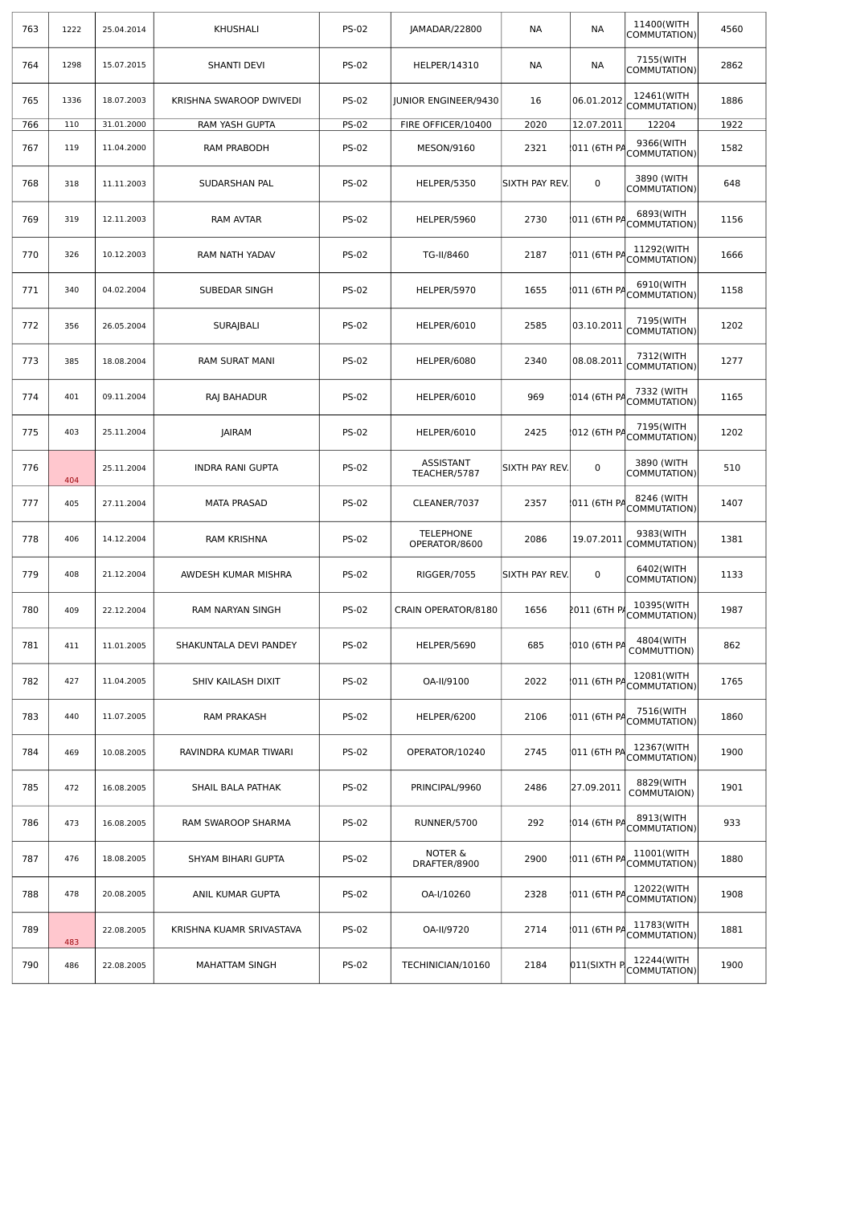| 763 | 1222 | 25.04.2014 | <b>KHUSHALI</b>                                                                      | <b>PS-02</b> | JAMADAR/22800                     | NА                         | NА           | 11400(WITH<br>COMMUTATION)            | 4560 |
|-----|------|------------|--------------------------------------------------------------------------------------|--------------|-----------------------------------|----------------------------|--------------|---------------------------------------|------|
| 764 | 1298 | 15.07.2015 | <b>SHANTI DEVI</b>                                                                   | <b>PS-02</b> | HELPER/14310                      | NА                         | NА           | 7155(WITH<br>COMMUTATION)             | 2862 |
| 765 | 1336 | 18.07.2003 | KRISHNA SWAROOP DWIVEDI                                                              | <b>PS-02</b> | JUNIOR ENGINEER/9430              | 16                         | 06.01.2012   | 12461(WITH<br>COMMUTATION)            | 1886 |
| 766 | 110  | 31.01.2000 | RAM YASH GUPTA                                                                       | <b>PS-02</b> | FIRE OFFICER/10400                | 2020                       | 12.07.2011   | 12204                                 | 1922 |
| 767 | 119  | 11.04.2000 | RAM PRABODH                                                                          | <b>PS-02</b> | MESON/9160                        | 2321                       | 011 (6TH PA  | 9366(WITH<br>COMMUTATION)             | 1582 |
| 768 | 318  | 11.11.2003 | SUDARSHAN PAL                                                                        | <b>PS-02</b> | HELPER/5350                       | SIXTH PAY REV.             | 0            | 3890 (WITH<br>COMMUTATION)            | 648  |
| 769 | 319  | 12.11.2003 | RAM AVTAR                                                                            | <b>PS-02</b> | HELPER/5960                       | 2730                       | 011 (6TH PA  | 6893(WITH<br>COMMUTATION)             | 1156 |
| 770 | 326  | 10.12.2003 | RAM NATH YADAV                                                                       | <b>PS-02</b> | TG-II/8460                        | 2187                       | 011 (6TH PA  | 11292(WITH<br>COMMUTATION)            | 1666 |
| 771 | 340  | 04.02.2004 | SUBEDAR SINGH                                                                        | <b>PS-02</b> | HELPER/5970                       | 1655                       | 011 (6TH PA  | 6910(WITH<br>COMMUTATION)             | 1158 |
| 772 | 356  | 26.05.2004 | SURAJBALI                                                                            | <b>PS-02</b> | HELPER/6010                       | 2585                       | 03.10.2011   | 7195(WITH<br>COMMUTATION)             | 1202 |
| 773 | 385  | 18.08.2004 | RAM SURAT MANI                                                                       | <b>PS-02</b> | HELPER/6080                       | 2340                       | 08.08.2011   | 7312(WITH<br>COMMUTATION)             | 1277 |
| 774 | 401  | 09.11.2004 | RAJ BAHADUR                                                                          | <b>PS-02</b> | HELPER/6010                       | 969                        | 1014 (6TH PA | 7332 (WITH<br>COMMUTATION)            | 1165 |
| 775 | 403  | 25.11.2004 | <b>PS-02</b><br>2425<br><b>JAIRAM</b><br>HELPER/6010                                 |              | 012 (6TH PA                       | 7195(WITH<br>COMMUTATION)  | 1202         |                                       |      |
| 776 | 404  | 25.11.2004 | ASSISTANT<br><b>PS-02</b><br>SIXTH PAY REV.<br>0<br>INDRA RANI GUPTA<br>TEACHER/5787 |              |                                   | 3890 (WITH<br>COMMUTATION) | 510          |                                       |      |
| 777 | 405  | 27.11.2004 | <b>MATA PRASAD</b>                                                                   | <b>PS-02</b> | CLEANER/7037                      | 2357                       |              | 8246 (WITH<br>011 (6TH PACOMMUTATION) | 1407 |
| 778 | 406  | 14.12.2004 | RAM KRISHNA                                                                          | <b>PS-02</b> | <b>TELEPHONE</b><br>OPERATOR/8600 | 2086                       | 19.07.2011   | 9383(WITH<br>COMMUTATION)             | 1381 |
| 779 | 408  | 21.12.2004 | AWDESH KUMAR MISHRA                                                                  | <b>PS-02</b> | RIGGER/7055                       | SIXTH PAY REV.             | 0            | 6402(WITH<br>COMMUTATION)             | 1133 |
| 780 | 409  | 22.12.2004 | RAM NARYAN SINGH                                                                     | <b>PS-02</b> | CRAIN OPERATOR/8180               | 1656                       | 2011 (6TH P  | 10395(WITH<br>COMMUTATION)            | 1987 |
| 781 | 411  | 11.01.2005 | SHAKUNTALA DEVI PANDEY                                                               | <b>PS-02</b> | HELPER/5690                       | 685                        | 010 (6TH PA  | 4804(WITH<br>COMMUTTION)              | 862  |
| 782 | 427  | 11.04.2005 | SHIV KAILASH DIXIT                                                                   | <b>PS-02</b> | OA-II/9100                        | 2022                       | 011 (6TH PA  | 12081(WITH<br>COMMUTATION)            | 1765 |
| 783 | 440  | 11.07.2005 | <b>RAM PRAKASH</b>                                                                   | <b>PS-02</b> | HELPER/6200                       | 2106                       | 011 (6TH PA  | 7516(WITH<br>COMMUTATION)             | 1860 |
| 784 | 469  | 10.08.2005 | RAVINDRA KUMAR TIWARI                                                                | <b>PS-02</b> | OPERATOR/10240                    | 2745                       | 011 (6TH PA  | 12367(WITH<br>COMMUTATION)            | 1900 |
| 785 | 472  | 16.08.2005 | SHAIL BALA PATHAK                                                                    | <b>PS-02</b> | PRINCIPAL/9960                    | 2486                       | 27.09.2011   | 8829(WITH<br>COMMUTAION)              | 1901 |
| 786 | 473  | 16.08.2005 | RAM SWAROOP SHARMA                                                                   | <b>PS-02</b> | RUNNER/5700                       | 292                        | 014 (6TH PA  | 8913(WITH<br>COMMUTATION)             | 933  |
| 787 | 476  | 18.08.2005 | SHYAM BIHARI GUPTA                                                                   | <b>PS-02</b> | NOTER &<br>DRAFTER/8900           | 2900                       | 011 (6TH PA  | 11001(WITH<br>COMMUTATION)            | 1880 |
| 788 | 478  | 20.08.2005 | ANIL KUMAR GUPTA                                                                     | <b>PS-02</b> | OA-I/10260                        | 2328                       | 011 (6TH P   | 12022(WITH<br>COMMUTATION)            | 1908 |
| 789 | 483  | 22.08.2005 | KRISHNA KUAMR SRIVASTAVA                                                             | <b>PS-02</b> | OA-II/9720                        | 2714                       | 011 (6TH PA  | 11783(WITH<br>COMMUTATION)            | 1881 |
| 790 | 486  | 22.08.2005 | <b>MAHATTAM SINGH</b>                                                                | <b>PS-02</b> | TECHINICIAN/10160                 | 2184                       | 011(SIXTH P  | 12244(WITH<br>COMMUTATION)            | 1900 |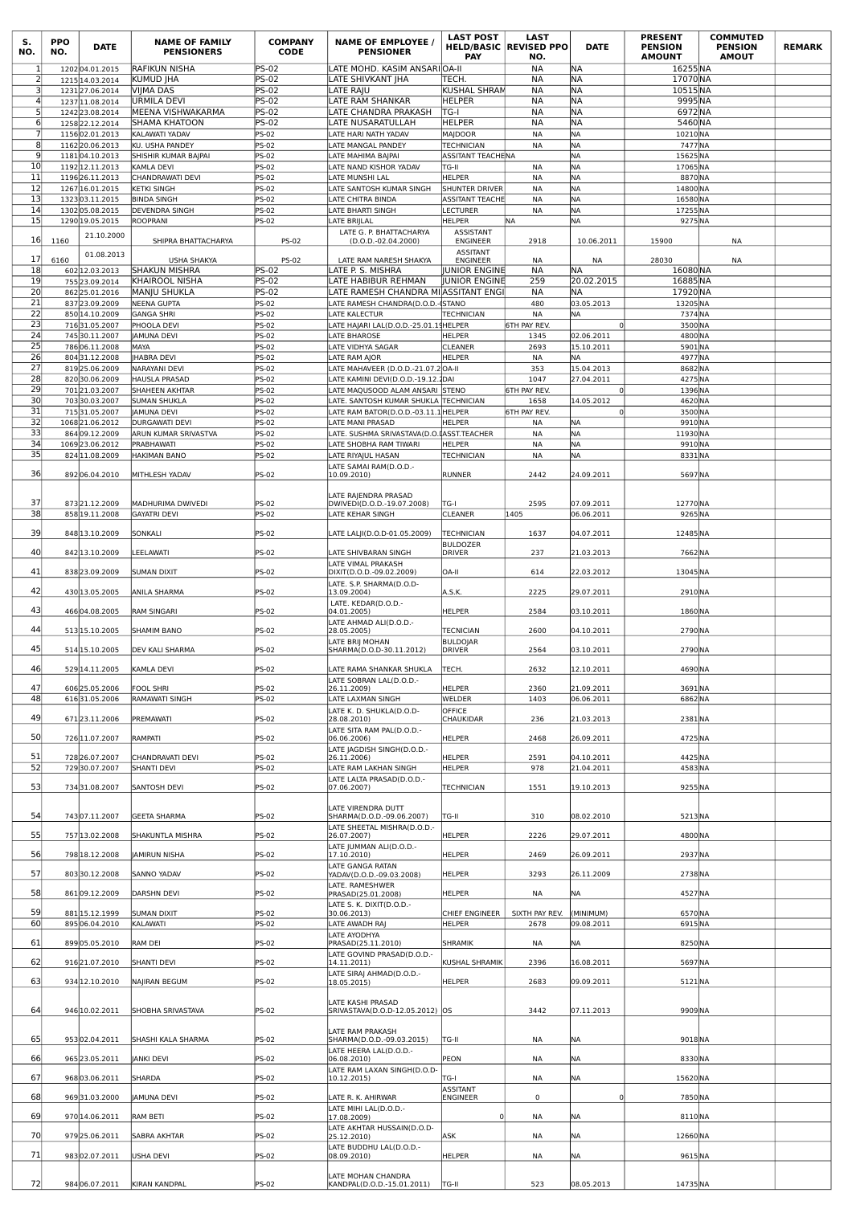| S.<br>NO.           | <b>PPO</b><br>NO. | <b>DATE</b>                        | <b>NAME OF FAMILY</b><br><b>PENSIONERS</b>   | <b>COMPANY</b><br><b>CODE</b> | <b>NAME OF EMPLOYEE /</b><br><b>PENSIONER</b>                           | <b>LAST POST</b><br><b>PAY</b>                  | <b>LAST</b><br><b>HELD/BASIC REVISED PPO</b><br>NO. | <b>DATE</b>              | <b>PRESENT</b><br><b>PENSION</b><br><b>AMOUNT</b> | <b>COMMUTED</b><br><b>PENSION</b><br><b>AMOUT</b> | <b>REMARK</b> |
|---------------------|-------------------|------------------------------------|----------------------------------------------|-------------------------------|-------------------------------------------------------------------------|-------------------------------------------------|-----------------------------------------------------|--------------------------|---------------------------------------------------|---------------------------------------------------|---------------|
| 1<br>$\overline{2}$ |                   | 120204.01.2015<br>1215 14.03.2014  | <b>RAFIKUN NISHA</b><br>KUMUD   HA           | <b>PS-02</b><br><b>PS-02</b>  | ATE MOHD. KASIM ANSARI OA-II<br>LATE SHIVKANT JHA                       | TECH.                                           | <b>NA</b><br><b>NA</b>                              | <b>NA</b><br><b>NA</b>   | 16255NA<br>17070NA                                |                                                   |               |
| 3                   |                   | 1231 27.06.2014                    | VIIMA DAS                                    | <b>PS-02</b>                  | LATE RAJU                                                               | KUSHAL SHRAM                                    | <b>NA</b>                                           | <b>NA</b>                | 10515NA                                           |                                                   |               |
| $\overline{4}$<br>5 |                   | 1237 11.08.2014                    | URMILA DEVI                                  | <b>PS-02</b>                  | LATE RAM SHANKAR                                                        | <b>HELPER</b>                                   | <b>NA</b>                                           | <b>NA</b>                | 9995NA                                            |                                                   |               |
| $6 \mid$            |                   | 1242 23.08.2014<br>1258 22.12.2014 | MEENA VISHWAKARMA<br>SHAMA KHATOON           | <b>PS-02</b><br><b>PS-02</b>  | ATE CHANDRA PRAKASH<br>ATE NUSARATULLAH.                                | TG-I<br><b>HELPER</b>                           | <b>NA</b><br><b>NA</b>                              | <b>NA</b><br><b>NA</b>   | 6972NA<br>5460 NA                                 |                                                   |               |
| $\overline{7}$      |                   | 115602.01.2013                     | KALAWATI YADAV                               | <b>PS-02</b>                  | ATE HARI NATH YADAV                                                     | MAJDOOR                                         | <b>NA</b>                                           | <b>NA</b>                | 10210NA                                           |                                                   |               |
| 8<br>9              |                   | 116220.06.2013<br>118104.10.2013   | KU. USHA PANDEY                              | <b>PS-02</b>                  | ATE MANGAL PANDEY                                                       | <b>TECHNICIAN</b><br>ASSITANT TEACHENA          | NA                                                  | <b>NA</b><br><b>NA</b>   | 7477NA                                            |                                                   |               |
| 10                  |                   | 1192 12.11.2013                    | SHISHIR KUMAR BAJPAI<br>KAMLA DEVI           | <b>PS-02</b><br><b>PS-02</b>  | ATE MAHIMA BAJPAI<br>LATE NAND KISHOR YADAV                             | TG-II                                           | <b>NA</b>                                           | <b>NA</b>                | 15625NA<br>17065NA                                |                                                   |               |
| 11                  |                   | 119626.11.2013                     | CHANDRAWATI DEVI                             | PS-02                         | ATE MUNSHI LAL                                                          | <b>HELPER</b>                                   | <b>NA</b>                                           | NA                       | 8870 NA                                           |                                                   |               |
| 12<br>13            |                   | 1267 16.01.2015<br>132303.11.2015  | <b>KETKI SINGH</b><br><b>BINDA SINGH</b>     | PS-02<br>PS-02                | ATE SANTOSH KUMAR SINGH<br>ATE CHITRA BINDA                             | <b>SHUNTER DRIVER</b><br><b>ASSITANT TEACHE</b> | NA<br><b>NA</b>                                     | <b>NA</b><br><b>NA</b>   | 14800 NA<br>16580 NA                              |                                                   |               |
| 14                  |                   | 130205.08.2015                     | DEVENDRA SINGH                               | PS-02                         | LATE BHARTI SINGH                                                       | LECTURER                                        | <b>NA</b>                                           | <b>NA</b>                | 17255NA                                           |                                                   |               |
| 15                  |                   | 1290 19.05.2015                    | <b>ROOPRANI</b>                              | <b>PS-02</b>                  | ATE BRIJLAL                                                             | <b>HELPER</b>                                   | <b>NA</b>                                           | <b>NA</b>                | 9275 NA                                           |                                                   |               |
| 16                  | 1160              | 21.10.2000                         | SHIPRA BHATTACHARYA                          | PS-02                         | LATE G. P. BHATTACHARYA<br>(D.O.D.-02.04.2000)                          | <b>ASSISTANT</b><br><b>ENGINEER</b>             | 2918                                                | 10.06.2011               | 15900                                             | NA                                                |               |
| 17                  |                   | 01.08.2013                         |                                              |                               |                                                                         | <b>ASSITANT</b>                                 |                                                     |                          |                                                   |                                                   |               |
| 18                  | 6160              | 602 12.03.2013                     | <b>USHA SHAKYA</b><br>SHAKUN MISHRA          | <b>PS-02</b><br><b>PS-02</b>  | LATE RAM NARESH SHAKYA<br>.ate P. S. Mishra                             | <b>ENGINEER</b><br>JUNIOR ENGINE                | NA<br>NА                                            | NA<br>ΝA                 | 28030<br>16080 NA                                 | NA                                                |               |
| 19                  |                   | 755 23.09.2014                     | KHAIROOL NISHA                               | <b>PS-02</b>                  | ATE HABIBUR REHMAN                                                      | <b>JUNIOR ENGINE</b>                            | 259                                                 | 20.02.2015               | 16885NA                                           |                                                   |               |
| 20<br>21            |                   | 862 25.01.2016<br>837 23.09.2009   | MANJU SHUKLA<br><b>NEENA GUPTA</b>           | <b>PS-02</b><br><b>PS-02</b>  | ATE RAMESH CHANDRA MI ASSITANT ENG <br>ATE RAMESH CHANDRA(D.O.D.-(STANO |                                                 | NA<br>480                                           | ΝA<br>03.05.2013         | 17920NA<br>13205 NA                               |                                                   |               |
| 22                  |                   | 850 14.10.2009                     | <b>GANGA SHRI</b>                            | <b>PS-02</b>                  | ATE KALECTUR                                                            | <b>TECHNICIAN</b>                               | <b>NA</b>                                           | NA                       | 7374NA                                            |                                                   |               |
| 23<br>24            |                   | 71631.05.2007<br>74530.11.2007     | PHOOLA DEVI                                  | <b>PS-02</b><br><b>PS-02</b>  | LATE HAJARI LAL(D.O.D.-25.01.19HELPER                                   |                                                 | <b>6TH PAY REV.</b>                                 | $\Omega$<br>02.06.2011   | 3500 NA                                           |                                                   |               |
| 25                  |                   | 78606.11.2008                      | <b>JAMUNA DEVI</b><br>MAYA                   | PS-02                         | ATE BHAROSE<br>ATE VIDHYA SAGAR                                         | <b>HELPER</b><br><b>CLEANER</b>                 | 1345<br>2693                                        | 15.10.2011               | 4800 NA<br>5901 NA                                |                                                   |               |
| 26                  |                   | 80431.12.2008                      | <b>HABRA DEVI</b>                            | <b>PS-02</b>                  | ATE RAM AJOR                                                            | <b>HELPER</b>                                   | <b>NA</b>                                           | <b>NA</b>                | 4977NA                                            |                                                   |               |
| 27<br>28            |                   | 81925.06.2009<br>82030.06.2009     | <b>NARAYANI DEVI</b><br><b>HAUSLA PRASAD</b> | <b>PS-02</b><br><b>PS-02</b>  | ATE MAHAVEER (D.O.D.-21.07.2OA-II<br>ATE KAMINI DEVI(D.O.D.-19.12.2DAI  |                                                 | 353<br>1047                                         | 15.04.2013<br>27.04.2011 | 8682NA<br>4275 NA                                 |                                                   |               |
| 29                  |                   | 70121.03.2007                      | <b>SHAHEEN AKHTAR</b>                        | <b>PS-02</b>                  | ATE MAQUSOOD ALAM ANSARI STENO                                          |                                                 | 6TH PAY REV.                                        | $\Omega$                 | 1396 NA                                           |                                                   |               |
| 30                  |                   | 70330.03.2007                      | <b>SUMAN SHUKLA</b>                          | PS-02                         | ATE. SANTOSH KUMAR SHUKLA TECHNICIAN                                    |                                                 | 1658                                                | 14.05.2012               | 4620NA                                            |                                                   |               |
| 31<br>32            |                   | 71531.05.2007<br>106821.06.2012    | JAMUNA DEVI<br><b>DURGAWATI DEVI</b>         | PS-02<br>PS-02                | LATE RAM BATOR(D.O.D.-03.11.1 HELPER<br>ATE MANI PRASAD                 | <b>HELPER</b>                                   | 6TH PAY REV.<br>NA                                  | <b>NA</b>                | 3500 NA<br>9910 NA                                |                                                   |               |
| 33                  |                   | 864 09.12.2009                     | ARUN KUMAR SRIVASTVA                         | PS-02                         | LATE. SUSHMA SRIVASTAVA(D.O.ĽASST.TEACHER                               |                                                 | NA                                                  | <b>NA</b>                | 11930 NA                                          |                                                   |               |
| 34<br>35            |                   | 1069 23.06.2012<br>824 11.08.2009  | PRABHAWATI<br>HAKIMAN BANO                   | <b>PS-02</b><br>PS-02         | ATE SHOBHA RAM TIWARI                                                   | <b>HELPER</b><br><b>TECHNICIAN</b>              | <b>NA</b><br>NA                                     | NA<br>NA                 | 9910 NA<br>8331NA                                 |                                                   |               |
|                     |                   |                                    |                                              |                               | ATE RIYAJUL HASAN<br>ATE SAMAI RAM(D.O.D.-                              |                                                 |                                                     |                          |                                                   |                                                   |               |
| 36                  |                   | 892 06.04.2010                     | MITHLESH YADAV                               | <b>PS-02</b>                  | 10.09.2010)                                                             | <b>RUNNER</b>                                   | 2442                                                | 24.09.2011               | 5697NA                                            |                                                   |               |
|                     |                   |                                    |                                              |                               | LATE RAJENDRA PRASAD                                                    |                                                 |                                                     |                          |                                                   |                                                   |               |
| 37<br>38            |                   | 87321.12.2009<br>858 19.11.2008    | MADHURIMA DWIVEDI<br><b>GAYATRI DEVI</b>     | <b>PS-02</b><br><b>PS-02</b>  | DWIVEDI(D.O.D.-19.07.2008)<br>LATE KEHAR SINGH                          | TG-I<br><b>CLEANER</b>                          | 2595<br>1405                                        | 07.09.2011<br>06.06.2011 | 12770 NA<br>9265 NA                               |                                                   |               |
|                     |                   |                                    |                                              |                               |                                                                         |                                                 |                                                     |                          |                                                   |                                                   |               |
| 39                  |                   | 848 13.10.2009                     | SONKALI                                      | PS-02                         | ATE LALJI(D.O.D-01.05.2009)                                             | <b>TECHNICIAN</b><br><b>BULDOZER</b>            | 1637                                                | 04.07.2011               | 12485 NA                                          |                                                   |               |
| 40                  |                   | 842 13.10.2009                     | LEELAWATI                                    | PS-02                         | ATE SHIVBARAN SINGH                                                     | <b>DRIVER</b>                                   | 237                                                 | 21.03.2013               | 7662NA                                            |                                                   |               |
| 41                  |                   | 83823.09.2009                      | <b>SUMAN DIXIT</b>                           | PS-02                         | LATE VIMAL PRAKASH<br>DIXIT(D.O.D.-09.02.2009)                          | OA-II                                           | 614                                                 | 22.03.2012               | 13045NA                                           |                                                   |               |
| 42                  |                   | 430 13.05.2005                     | <b>ANILA SHARMA</b>                          | PS-02                         | LATE. S.P. SHARMA(D.O.D-<br>13.09.2004)                                 | A.S.K.                                          | 2225                                                | 29.07.2011               | 2910 NA                                           |                                                   |               |
|                     |                   |                                    |                                              |                               | LATE. KEDAR(D.O.D.-                                                     |                                                 |                                                     |                          |                                                   |                                                   |               |
| 43                  |                   | 46604.08.2005                      | <b>RAM SINGARI</b>                           | PS-02                         | 04.01.2005)<br>ATE AHMAD ALI(D.O.D.-                                    | <b>HELPER</b>                                   | 2584                                                | 03.10.2011               | 1860 NA                                           |                                                   |               |
| 44                  |                   | 513 15.10.2005                     | <b>SHAMIM BANO</b>                           | <b>PS-02</b>                  | 28.05.2005)                                                             | <b>TECNICIAN</b>                                | 2600                                                | 04.10.2011               | 2790 NA                                           |                                                   |               |
| 45                  |                   | 514 15.10.2005                     | DEV KALI SHARMA                              | PS-02                         | ATE BRIJ MOHAN<br>SHARMA(D.O.D-30.11.2012)                              | <b>BULDOIAR</b><br><b>DRIVER</b>                | 2564                                                | 03.10.2011               | 2790 NA                                           |                                                   |               |
| 46                  |                   | 529 14.11.2005                     | KAMLA DEVI                                   | PS-02                         | LATE RAMA SHANKAR SHUKLA                                                | TECH.                                           | 2632                                                | 12.10.2011               | 4690 NA                                           |                                                   |               |
|                     |                   |                                    |                                              |                               | LATE SOBRAN LAL(D.O.D.-                                                 |                                                 |                                                     |                          |                                                   |                                                   |               |
| 47<br>48            |                   | 606 25.05.2006<br>61631.05.2006    | <b>FOOL SHRI</b><br>RAMAWATI SINGH           | PS-02<br><b>PS-02</b>         | 26.11.2009)<br><b>ATE LAXMAN SINGH</b>                                  | <b>HELPER</b><br>WELDER                         | 2360<br>1403                                        | 21.09.2011<br>06.06.2011 | 3691NA<br>6862 NA                                 |                                                   |               |
| 49                  |                   | 67123.11.2006                      | PREMAWATI                                    | PS-02                         | ATE K. D. SHUKLA(D.O.D-<br>28.08.2010)                                  | OFFICE<br>CHAUKIDAR                             | 236                                                 | 21.03.2013               | 2381NA                                            |                                                   |               |
|                     |                   |                                    |                                              |                               | ATE SITA RAM PAL(D.O.D.-                                                |                                                 |                                                     |                          |                                                   |                                                   |               |
| 50                  |                   | 726 11.07.2007                     | RAMPATI                                      | PS-02                         | 06.06.2006)<br>LATE JAGDISH SINGH(D.O.D.-                               | <b>HELPER</b>                                   | 2468                                                | 26.09.2011               | 4725 NA                                           |                                                   |               |
| 51                  |                   | 72826.07.2007                      | CHANDRAVATI DEVI                             | <b>PS-02</b>                  | 26.11.2006)                                                             | <b>HELPER</b>                                   | 2591                                                | 04.10.2011               | 4425 NA                                           |                                                   |               |
| 52                  |                   | 72930.07.2007                      | <b>SHANTI DEVI</b>                           | PS-02                         | LATE RAM LAKHAN SINGH<br>LATE LALTA PRASAD(D.O.D.-                      | <b>HELPER</b>                                   | 978                                                 | 21.04.2011               | 4583NA                                            |                                                   |               |
| 53                  |                   | 73431.08.2007                      | SANTOSH DEVI                                 | PS-02                         | 07.06.2007)                                                             | <b>TECHNICIAN</b>                               | 1551                                                | 19.10.2013               | 9255 NA                                           |                                                   |               |
|                     |                   |                                    |                                              |                               | ATE VIRENDRA DUTT                                                       |                                                 |                                                     |                          |                                                   |                                                   |               |
| 54                  |                   | 74307.11.2007                      | <b>GEETA SHARMA</b>                          | <b>PS-02</b>                  | SHARMA(D.O.D.-09.06.2007)<br>LATE SHEETAL MISHRA(D.O.D.-                | TG-II                                           | 310                                                 | 08.02.2010               | 5213 NA                                           |                                                   |               |
| 55                  |                   | 757 13.02.2008                     | SHAKUNTLA MISHRA                             | PS-02                         | 26.07.2007)                                                             | <b>HELPER</b>                                   | 2226                                                | 29.07.2011               | 4800 NA                                           |                                                   |               |
| 56                  |                   | 798 18.12.2008                     | <b>JAMIRUN NISHA</b>                         | PS-02                         | ATE JUMMAN ALI(D.O.D.-<br>17.10.2010)                                   | <b>HELPER</b>                                   | 2469                                                | 26.09.2011               | 2937 NA                                           |                                                   |               |
| 57                  |                   | 80330.12.2008                      | <b>SANNO YADAV</b>                           | PS-02                         | <b>ATE GANGA RATAN</b><br>YADAV(D.O.D.-09.03.2008)                      | <b>HELPER</b>                                   | 3293                                                | 26.11.2009               | 2738 NA                                           |                                                   |               |
|                     |                   |                                    |                                              |                               | ATE. RAMESHWER                                                          |                                                 |                                                     |                          |                                                   |                                                   |               |
| 58                  |                   | 86109.12.2009                      | <b>DARSHN DEVI</b>                           | <b>PS-02</b>                  | PRASAD(25.01.2008)<br>ATE S. K. DIXIT(D.O.D.-                           | <b>HELPER</b>                                   | NA                                                  | NA                       | 4527NA                                            |                                                   |               |
| 59<br>60            |                   | 881 15.12.1999                     | <b>SUMAN DIXIT</b>                           | PS-02<br><b>PS-02</b>         | 30.06.2013)                                                             | CHIEF ENGINEER                                  | SIXTH PAY REV.                                      | (MINIMUM)<br>09.08.2011  | 6570 NA<br>6915 NA                                |                                                   |               |
|                     |                   | 89506.04.2010                      | KALAWATI                                     |                               | ATE AWADH RAJ<br><b>ATE AYODHYA</b>                                     | <b>HELPER</b>                                   | 2678                                                |                          |                                                   |                                                   |               |
| 61                  |                   | 89905.05.2010                      | <b>RAM DEI</b>                               | PS-02                         | PRASAD(25.11.2010)<br>ATE GOVIND PRASAD(D.O.D.-                         | <b>SHRAMIK</b>                                  | NA                                                  | <b>NA</b>                | 8250 NA                                           |                                                   |               |
| 62                  |                   | 916 21.07.2010                     | <b>SHANTI DEVI</b>                           | <b>PS-02</b>                  | 14.11.2011)                                                             | <b>KUSHAL SHRAMIK</b>                           | 2396                                                | 16.08.2011               | 5697NA                                            |                                                   |               |
| 63                  |                   | 934 12.10.2010                     | <b>NAJIRAN BEGUM</b>                         | PS-02                         | LATE SIRAJ AHMAD(D.O.D.-<br>18.05.2015)                                 | <b>HELPER</b>                                   | 2683                                                | 09.09.2011               | 5121NA                                            |                                                   |               |
|                     |                   |                                    |                                              |                               | LATE KASHI PRASAD                                                       |                                                 |                                                     |                          |                                                   |                                                   |               |
| 64                  |                   | 946 10.02.2011                     | SHOBHA SRIVASTAVA                            | PS-02                         | SRIVASTAVA(D.O.D-12.05.2012) OS                                         |                                                 | 3442                                                | 07.11.2013               | 9909 NA                                           |                                                   |               |
|                     |                   |                                    |                                              |                               | ATE RAM PRAKASH                                                         |                                                 |                                                     |                          |                                                   |                                                   |               |
| 65                  |                   | 95302.04.2011                      | SHASHI KALA SHARMA                           | <b>PS-02</b>                  | SHARMA(D.O.D.-09.03.2015)                                               | TG-II                                           | NA                                                  | <b>NA</b>                | 9018NA                                            |                                                   |               |
| 66                  |                   | 965 23.05.2011                     | <b>JANKI DEVI</b>                            | PS-02                         | LATE HEERA LAL(D.O.D.-<br>06.08.2010)                                   | PEON                                            | ΝA                                                  | <b>NA</b>                | 8330 NA                                           |                                                   |               |
| 67                  |                   | 96803.06.2011                      | <b>SHARDA</b>                                | PS-02                         | ATE RAM LAXAN SINGH(D.O.D-<br>10.12.2015)                               | TG-I                                            | NA                                                  | <b>NA</b>                | 15620 NA                                          |                                                   |               |
| 68                  |                   |                                    |                                              |                               |                                                                         | <b>ASSITANT</b>                                 |                                                     | $\Omega$                 |                                                   |                                                   |               |
|                     |                   | 96931.03.2000                      | <b>JAMUNA DEVI</b>                           | PS-02                         | LATE R. K. AHIRWAR<br>ATE MIHI LAL(D.O.D.-                              | <b>ENGINEER</b>                                 | 0                                                   |                          | 7850 NA                                           |                                                   |               |
| 69                  |                   | 970 14.06.2011                     | <b>RAM BETI</b>                              | <b>PS-02</b>                  | 17.08.2009)<br>LATE AKHTAR HUSSAIN(D.O.D-                               | O                                               | NA                                                  | <b>NA</b>                | 8110NA                                            |                                                   |               |
| 70                  |                   | 979 25.06.2011                     | <b>SABRA AKHTAR</b>                          | PS-02                         | 25.12.2010)                                                             | ASK                                             | ΝA                                                  | <b>NA</b>                | 12660 NA                                          |                                                   |               |
| 71                  |                   | 98302.07.2011                      | <b>USHA DEVI</b>                             | PS-02                         | ATE BUDDHU LAL(D.O.D.-<br>08.09.2010)                                   | <b>HELPER</b>                                   | NA                                                  | <b>NA</b>                | 9615 NA                                           |                                                   |               |
|                     |                   |                                    |                                              |                               | LATE MOHAN CHANDRA                                                      |                                                 |                                                     |                          |                                                   |                                                   |               |
| 72                  |                   | 98406.07.2011                      | KIRAN KANDPAL                                | PS-02                         | KANDPAL(D.O.D.-15.01.2011)                                              | TG-II                                           | 523                                                 | 08.05.2013               | 14735 NA                                          |                                                   |               |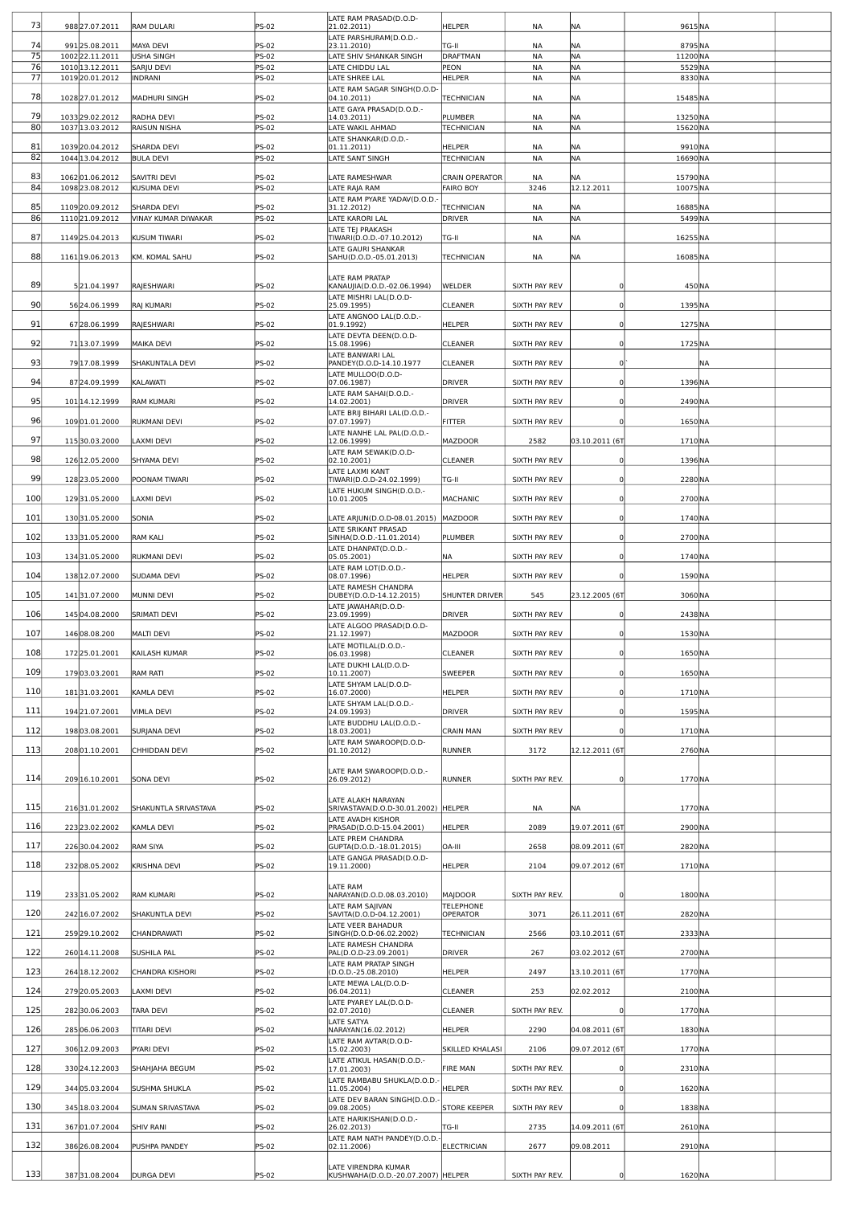| 73       | 988 27.07.2011                     | RAM DULARI              | PS-02          | LATE RAM PRASAD(D.O.D-<br>21.02.2011)                     | <b>HELPER</b>               | NA             | <b>NA</b>              | 9615NA            |           |  |
|----------|------------------------------------|-------------------------|----------------|-----------------------------------------------------------|-----------------------------|----------------|------------------------|-------------------|-----------|--|
| 74       | 991 25.08.2011                     | <b>MAYA DEVI</b>        | PS-02          | LATE PARSHURAM(D.O.D.-<br>23.11.2010)                     | TG-II                       | ΝA             | <b>NA</b>              | 8795 NA           |           |  |
| 75       | 100222.11.2011                     | USHA SINGH              | PS-02          | LATE SHIV SHANKAR SINGH                                   | <b>DRAFTMAN</b>             | <b>NA</b>      | <b>NA</b>              | 11200 NA          |           |  |
| 76<br>77 | 1010 13.12.2011<br>1019 20.01.2012 | SARJU DEVI<br>INDRANI   | PS-02<br>PS-02 | LATE CHIDDU LAL<br>LATE SHREE LAL                         | PEON<br><b>HELPER</b>       | NA<br>ΝA       | <b>NA</b><br><b>NA</b> | 5529NA<br>8330 NA |           |  |
|          |                                    |                         |                | LATE RAM SAGAR SINGH(D.O.D-                               |                             |                |                        |                   |           |  |
| 78       | 1028 27.01.2012                    | <b>MADHURI SINGH</b>    | PS-02          | 04.10.2011)<br>LATE GAYA PRASAD(D.O.D.-                   | TECHNICIAN                  | ΝA             | <b>NA</b>              | 15485 NA          |           |  |
| 79       | 1033 29.02.2012                    | RADHA DEVI              | PS-02          | 14.03.2011)                                               | PLUMBER                     | ΝA             | <b>NA</b>              | 13250 NA          |           |  |
| 80       | 1037 13.03.2012                    | <b>RAISUN NISHA</b>     | <b>PS-02</b>   | LATE WAKIL AHMAD                                          | <b>TECHNICIAN</b>           | NA             | <b>NA</b>              | 15620 NA          |           |  |
| 81       | 1039 20.04.2012                    | <b>SHARDA DEVI</b>      | PS-02          | LATE SHANKAR(D.O.D.-<br>01.11.2011)                       | HELPER                      | <b>NA</b>      | <b>NA</b>              | 9910 NA           |           |  |
| 82       | 104413.04.2012                     | <b>BULA DEVI</b>        | <b>PS-02</b>   | <b>LATE SANT SINGH</b>                                    | <b>TECHNICIAN</b>           | <b>NA</b>      | <b>NA</b>              | 16690 NA          |           |  |
| 83       | 106201.06.2012                     | SAVITRI DEVI            | PS-02          | LATE RAMESHWAR                                            | <b>CRAIN OPERATOR</b>       | NA             | <b>NA</b>              | 15790 NA          |           |  |
| 84       | 1098 23.08.2012                    | KUSUMA DEVI             | <b>PS-02</b>   | LATE RAJA RAM<br>LATE RAM PYARE YADAV(D.O.D.-             | <b>FAIRO BOY</b>            | 3246           | 12.12.2011             | 10075NA           |           |  |
| 85       | 110920.09.2012                     | <b>SHARDA DEVI</b>      | PS-02          | 31.12.2012)                                               | <b>TECHNICIAN</b>           | <b>NA</b>      | <b>NA</b>              | 16885 NA          |           |  |
| 86       | 111021.09.2012                     | VINAY KUMAR DIWAKAR     | <b>PS-02</b>   | LATE KARORI LAL<br>LATE TEJ PRAKASH                       | <b>DRIVER</b>               | <b>NA</b>      | <b>NA</b>              | 5499NA            |           |  |
| 87       | 1149 25.04.2013                    | KUSUM TIWARI            | PS-02          | TIWARI(D.O.D.-07.10.2012)                                 | TG-II                       | NA             | <b>NA</b>              | 16255NA           |           |  |
| 88       | 1161 19.06.2013                    | KM. KOMAL SAHU          | PS-02          | LATE GAURI SHANKAR<br>SAHU(D.O.D.-05.01.2013)             | <b>TECHNICIAN</b>           | NA             | NA                     | 16085NA           |           |  |
|          |                                    |                         |                |                                                           |                             |                |                        |                   |           |  |
| 89       | 521.04.1997                        | RAJESHWARI              | PS-02          | LATE RAM PRATAP<br>KANAUJIA(D.O.D.-02.06.1994)            | WELDER                      | SIXTH PAY REV  |                        | 450 NA            |           |  |
| 90       | 56 24.06.1999                      | RAJ KUMARI              | PS-02          | LATE MISHRI LAL(D.O.D-<br>25.09.1995)                     | <b>CLEANER</b>              | SIXTH PAY REV  |                        | 1395 NA           |           |  |
|          |                                    |                         |                | LATE ANGNOO LAL(D.O.D.-                                   |                             |                |                        |                   |           |  |
| 91       | 67 28.06.1999                      | RAJESHWARI              | PS-02          | 01.9.1992)<br>LATE DEVTA DEEN(D.O.D-                      | <b>HELPER</b>               | SIXTH PAY REV  |                        | 1275 NA           |           |  |
| 92       | 71 13.07.1999                      | <b>MAIKA DEVI</b>       | PS-02          | 15.08.1996)                                               | <b>CLEANER</b>              | SIXTH PAY REV  |                        | 1725 NA           |           |  |
| 93       | 79 17.08.1999                      | SHAKUNTALA DEVI         | PS-02          | LATE BANWARI LAL<br>PANDEY(D.O.D-14.10.1977               | <b>CLEANER</b>              | SIXTH PAY REV  | $\Omega$               |                   | <b>NA</b> |  |
| 94       | 87 24.09.1999                      | KALAWATI                | PS-02          | LATE MULLOO(D.O.D-                                        | <b>DRIVER</b>               | SIXTH PAY REV  |                        | 1396 NA           |           |  |
|          |                                    |                         |                | 07.06.1987)<br>LATE RAM SAHAI(D.O.D.-                     |                             |                |                        |                   |           |  |
| 95       | 101 14.12.1999                     | <b>RAM KUMARI</b>       | PS-02          | 14.02.2001)<br>LATE BRIJ BIHARI LAL(D.O.D.-               | <b>DRIVER</b>               | SIXTH PAY REV  |                        | 2490 NA           |           |  |
| 96       | 10901.01.2000                      | RUKMANI DEVI            | PS-02          | 07.07.1997)                                               | <b>FITTER</b>               | SIXTH PAY REV  |                        | 1650 NA           |           |  |
| 97       | 11530.03.2000                      | LAXMI DEVI              | PS-02          | LATE NANHE LAL PAL(D.O.D.-<br>12.06.1999)                 | MAZDOOR                     | 2582           | 03.10.2011 (67         | 1710 NA           |           |  |
| 98       |                                    |                         |                | LATE RAM SEWAK(D.O.D-                                     |                             |                |                        |                   |           |  |
|          | 126 12.05.2000                     | SHYAMA DEVI             | PS-02          | 02.10.2001)<br>LATE LAXMI KANT                            | <b>CLEANER</b>              | SIXTH PAY REV  |                        | 1396 NA           |           |  |
| 99       | 128 23.05.2000                     | POONAM TIWARI           | PS-02          | TIWARI(D.O.D-24.02.1999)                                  | TG-II                       | SIXTH PAY REV  |                        | 2280 NA           |           |  |
| 100      | 12931.05.2000                      | AXMI DEVI               | PS-02          | LATE HUKUM SINGH(D.O.D.-<br>10.01.2005                    | MACHANIC                    | SIXTH PAY REV  |                        | 2700 NA           |           |  |
| 101      | 13031.05.2000                      | SONIA                   | PS-02          | LATE ARJUN(D.O.D-08.01.2015)  MAZDOOR                     |                             | SIXTH PAY REV  |                        | 1740 NA           |           |  |
|          |                                    |                         |                | LATE SRIKANT PRASAD                                       |                             |                |                        |                   |           |  |
| 102      | 13331.05.2000                      | <b>RAM KALI</b>         | PS-02          | SINHA(D.O.D.-11.01.2014)<br>LATE DHANPAT(D.O.D.-          | PLUMBER                     | SIXTH PAY REV  |                        | 2700 NA           |           |  |
| 103      | 13431.05.2000                      | RUKMANI DEVI            | PS-02          | 05.05.2001)                                               | NA                          | SIXTH PAY REV  |                        | 1740 NA           |           |  |
| 104      | 138 12.07.2000                     | <b>SUDAMA DEVI</b>      | PS-02          | LATE RAM LOT(D.O.D.-<br>08.07.1996)                       | <b>HELPER</b>               | SIXTH PAY REV  |                        | 1590 NA           |           |  |
| 105      | 14131.07.2000                      | MUNNI DEVI              | PS-02          | LATE RAMESH CHANDRA<br>DUBEY(D.O.D-14.12.2015)            | <b>SHUNTER DRIVER</b>       | 545            | 23.12.2005 (67         | 3060 NA           |           |  |
|          |                                    |                         |                | LATE JAWAHAR(D.O.D-                                       |                             |                |                        |                   |           |  |
| 106      | 14504.08.2000                      | <b>SRIMATI DEVI</b>     | PS-02          | 23.09.1999)<br>LATE ALGOO PRASAD(D.O.D-                   | <b>DRIVER</b>               | SIXTH PAY REV  |                        | 2438 NA           |           |  |
| 107      | 14608.08.200                       | <b>MALTI DEVI</b>       | PS-02          | 21.12.1997)                                               | <b>MAZDOOR</b>              | SIXTH PAY REV  |                        | 1530 NA           |           |  |
| 108      | 17225.01.2001                      | KAILASH KUMAR           | $S-02$         | LATE MOTILAL(D.O.D.-<br>06.03.1998)                       | <b>CLEANER</b>              | SIXTH PAY REV  |                        | 1650 NA           |           |  |
| 109      | 17903.03.2001                      | RAM RATI                | PS-02          | LATE DUKHI LAL(D.O.D-<br>10.11.2007)                      | <b>SWEEPER</b>              | SIXTH PAY REV  | $\Omega$               | 1650 NA           |           |  |
|          |                                    |                         |                | LATE SHYAM LAL(D.O.D-                                     |                             |                |                        |                   |           |  |
| 110      | 18131.03.2001                      | KAMLA DEVI              | PS-02          | 16.07.2000)<br>LATE SHYAM LAL(D.O.D.-                     | HELPER                      | SIXTH PAY REV  |                        | 1710 NA           |           |  |
| 111      | 194 21.07.2001                     | <b>VIMLA DEVI</b>       | PS-02          | 24.09.1993)                                               | <b>DRIVER</b>               | SIXTH PAY REV  |                        | 1595 NA           |           |  |
| 112      | 19803.08.2001                      | <b>SURJANA DEVI</b>     | PS-02          | LATE BUDDHU LAL(D.O.D.-<br>18.03.2001)                    | <b>CRAIN MAN</b>            | SIXTH PAY REV  |                        | 1710 NA           |           |  |
| 113      | 20801.10.2001                      | CHHIDDAN DEVI           | PS-02          | LATE RAM SWAROOP(D.O.D-<br>01.10.2012)                    | <b>RUNNER</b>               | 3172           | 12.12.2011 (67         | 2760 NA           |           |  |
|          |                                    |                         |                |                                                           |                             |                |                        |                   |           |  |
| 114      | 209 16.10.2001                     | <b>SONA DEVI</b>        | PS-02          | LATE RAM SWAROOP(D.O.D.-<br>26.09.2012)                   | <b>RUNNER</b>               | SIXTH PAY REV. |                        | 1770 NA           |           |  |
|          |                                    |                         |                |                                                           |                             |                |                        |                   |           |  |
| 115      | 21631.01.2002                      | SHAKUNTLA SRIVASTAVA    | PS-02          | LATE ALAKH NARAYAN<br>SRIVASTAVA(D.O.D-30.01.2002) HELPER |                             | ΝA             | NA                     | 1770 NA           |           |  |
| 116      | 223 23.02.2002                     | KAMLA DEVI              | PS-02          | LATE AVADH KISHOR<br>PRASAD(D.O.D-15.04.2001)             | <b>HELPER</b>               | 2089           | 19.07.2011 (6T         | 2900 NA           |           |  |
|          |                                    |                         |                | LATE PREM CHANDRA                                         |                             |                |                        |                   |           |  |
| 117      | 22630.04.2002                      | <b>RAM SIYA</b>         | PS-02          | GUPTA(D.O.D.-18.01.2015)<br>LATE GANGA PRASAD(D.O.D-      | OA-III                      | 2658           | 08.09.2011 (6T         | 2820 NA           |           |  |
| 118      | 23208.05.2002                      | KRISHNA DEVI            | PS-02          | 19.11.2000)                                               | <b>HELPER</b>               | 2104           | 09.07.2012 (6T         | 1710 NA           |           |  |
|          |                                    |                         |                | LATE RAM                                                  |                             |                |                        |                   |           |  |
| 119      | 23331.05.2002                      | <b>RAM KUMARI</b>       | PS-02          | NARAYAN(D.O.D.08.03.2010)<br>LATE RAM SAJIVAN             | MAJDOOR<br><b>TELEPHONE</b> | SIXTH PAY REV. | $\Omega$               | 1800 NA           |           |  |
| 120      | 242 16.07.2002                     | <b>SHAKUNTLA DEVI</b>   | PS-02          | SAVITA(D.O.D-04.12.2001)                                  | <b>OPERATOR</b>             | 3071           | 26.11.2011 (67         | 2820 NA           |           |  |
| 121      | 259 29.10.2002                     | CHANDRAWATI             | PS-02          | LATE VEER BAHADUR<br>SINGH(D.O.D-06.02.2002)              | <b>TECHNICIAN</b>           | 2566           | 03.10.2011 (6T         | 2333 NA           |           |  |
| 122      | 260 14.11.2008                     | <b>SUSHILA PAL</b>      | PS-02          | LATE RAMESH CHANDRA<br>PAL(D.O.D-23.09.2001)              | <b>DRIVER</b>               | 267            | 03.02.2012 (6T         | 2700 NA           |           |  |
|          |                                    |                         |                | LATE RAM PRATAP SINGH                                     |                             |                |                        |                   |           |  |
| 123      | 264 18.12.2002                     | CHANDRA KISHORI         | PS-02          | (D.O.D.-25.08.2010)<br>LATE MEWA LAL(D.O.D-               | <b>HELPER</b>               | 2497           | 13.10.2011 (6T         | 1770 NA           |           |  |
| 124      | 27920.05.2003                      | <b>LAXMI DEVI</b>       | PS-02          | 06.04.2011)                                               | <b>CLEANER</b>              | 253            | 02.02.2012             | 2100 NA           |           |  |
| 125      | 28230.06.2003                      | TARA DEVI               | PS-02          | LATE PYAREY LAL(D.O.D-<br>02.07.2010)                     | <b>CLEANER</b>              | SIXTH PAY REV. |                        | 1770 NA           |           |  |
| 126      | 28506.06.2003                      | <b>TITARI DEVI</b>      | PS-02          | LATE SATYA<br>NARAYAN(16.02.2012)                         | <b>HELPER</b>               | 2290           | 04.08.2011 (6T         | 1830 NA           |           |  |
|          |                                    |                         |                | LATE RAM AVTAR(D.O.D-                                     |                             |                |                        |                   |           |  |
| 127      | 306 12.09.2003                     | PYARI DEVI              | PS-02          | 15.02.2003)<br>LATE ATIKUL HASAN(D.O.D.-                  | <b>SKILLED KHALASI</b>      | 2106           | 09.07.2012 (6T         | 1770 NA           |           |  |
| 128      | 330 24.12.2003                     | SHAHJAHA BEGUM          | PS-02          | 17.01.2003)                                               | <b>FIRE MAN</b>             | SIXTH PAY REV. | $\Omega$               | 2310 NA           |           |  |
| 129      | 344 05.03.2004                     | <b>SUSHMA SHUKLA</b>    | PS-02          | LATE RAMBABU SHUKLA(D.O.D.-<br>11.05.2004)                | <b>HELPER</b>               | SIXTH PAY REV. |                        | 1620 NA           |           |  |
|          |                                    |                         |                | LATE DEV BARAN SINGH(D.O.D.-                              |                             |                |                        |                   |           |  |
| 130      | 345 18.03.2004                     | <b>SUMAN SRIVASTAVA</b> | PS-02          | 09.08.2005)<br>LATE HARIKISHAN(D.O.D.-                    | <b>STORE KEEPER</b>         | SIXTH PAY REV  |                        | 1838 NA           |           |  |
| 131      | 36701.07.2004                      | <b>SHIV RANI</b>        | PS-02          | 26.02.2013)                                               | TG-II                       | 2735           | 14.09.2011 (6T         | 2610 NA           |           |  |
| 132      | 386 26.08.2004                     | PUSHPA PANDEY           | PS-02          | LATE RAM NATH PANDEY(D.O.D.<br>02.11.2006)                | <b>ELECTRICIAN</b>          | 2677           | 09.08.2011             | 2910 NA           |           |  |
|          |                                    |                         |                | LATE VIRENDRA KUMAR                                       |                             |                |                        |                   |           |  |
| 133      | 38731.08.2004                      | <b>DURGA DEVI</b>       | <b>PS-02</b>   | KUSHWAHA(D.O.D.-20.07.2007) HELPER                        |                             | SIXTH PAY REV. | 0                      | 1620 NA           |           |  |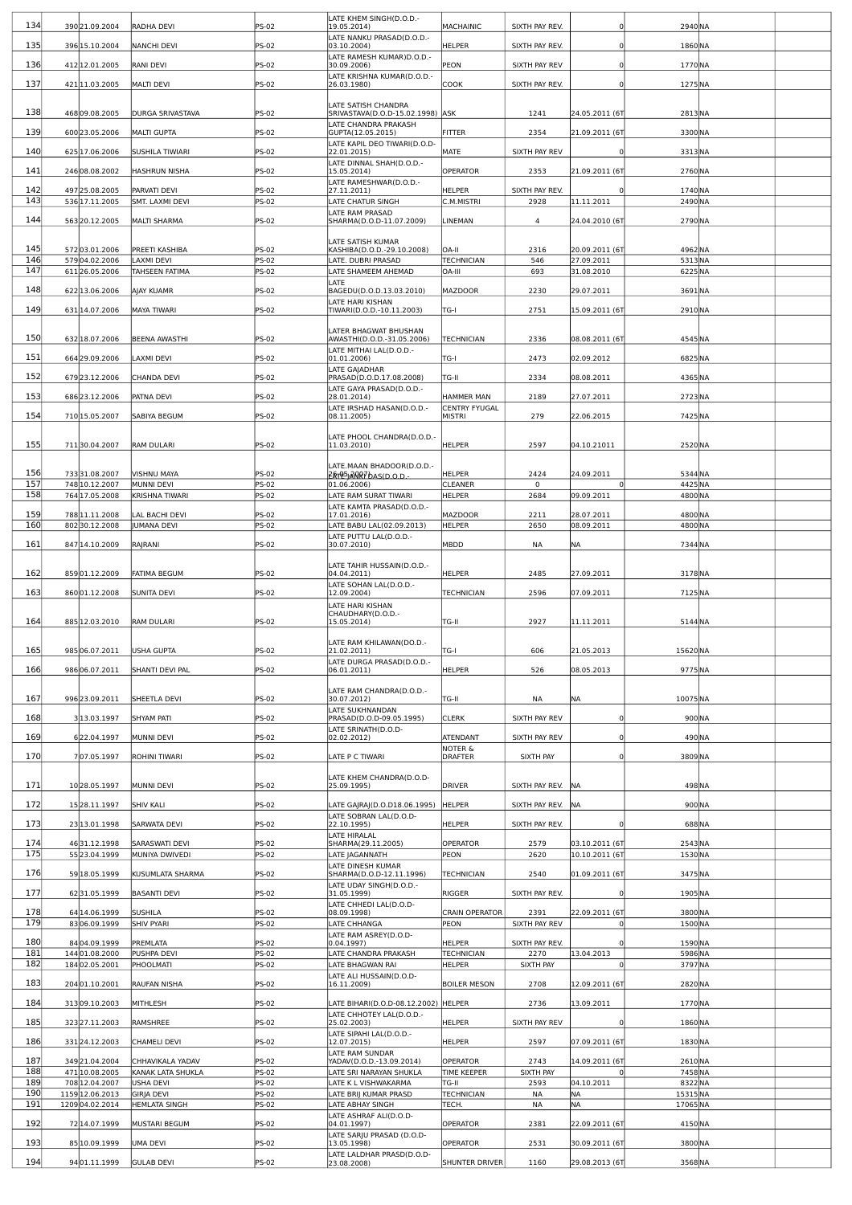|     |                 |                         |              | LATE KHEM SINGH(D.O.D.-                                 |                                      |                |                |          |  |
|-----|-----------------|-------------------------|--------------|---------------------------------------------------------|--------------------------------------|----------------|----------------|----------|--|
| 134 | 390 21.09.2004  | RADHA DEVI              | <b>PS-02</b> | 19.05.2014)                                             | MACHAINIC                            | SIXTH PAY REV. |                | 2940 NA  |  |
|     |                 |                         |              | LATE NANKU PRASAD(D.O.D.-                               |                                      |                |                |          |  |
| 135 | 396 15.10.2004  | <b>NANCHI DEVI</b>      | PS-02        | 03.10.2004)                                             | HELPER                               | SIXTH PAY REV. |                | 1860 NA  |  |
| 136 | 412 12.01.2005  | RANI DEVI               | PS-02        | LATE RAMESH KUMAR)D.O.D.-<br>30.09.2006)                | PEON                                 | SIXTH PAY REV  |                | 1770 NA  |  |
|     |                 |                         |              | LATE KRISHNA KUMAR(D.O.D.-                              |                                      |                |                |          |  |
| 137 | 421 1.03.2005   | <b>MALTI DEVI</b>       | PS-02        | 26.03.1980)                                             | COOK                                 | SIXTH PAY REV. |                | 1275 NA  |  |
|     |                 |                         |              |                                                         |                                      |                |                |          |  |
| 138 | 46809.08.2005   | <b>DURGA SRIVASTAVA</b> | PS-02        | LATE SATISH CHANDRA<br>SRIVASTAVA(D.O.D-15.02.1998) ASK |                                      | 1241           | 24.05.2011 (6T | 2813NA   |  |
|     |                 |                         |              | LATE CHANDRA PRAKASH                                    |                                      |                |                |          |  |
| 139 | 600 23.05.2006  | MALTI GUPTA             | <b>PS-02</b> | GUPTA(12.05.2015)                                       | <b>FITTER</b>                        | 2354           | 21.09.2011 (6T | 3300 NA  |  |
|     |                 |                         |              | LATE KAPIL DEO TIWARI(D.O.D-                            |                                      |                |                |          |  |
| 140 | 625 17.06.2006  | <b>SUSHILA TIWIARI</b>  | <b>PS-02</b> | 22.01.2015)                                             | MATE                                 | SIXTH PAY REV  |                | 3313NA   |  |
| 141 | 24608.08.2002   | HASHRUN NISHA           | <b>PS-02</b> | LATE DINNAL SHAH(D.O.D.-                                | OPERATOR                             | 2353           | 21.09.2011 (6T | 2760 NA  |  |
|     |                 |                         |              | 15.05.2014)<br>LATE RAMESHWAR(D.O.D.-                   |                                      |                |                |          |  |
| 142 | 497 25.08.2005  | PARVATI DEVI            | PS-02        | 27.11.2011)                                             | HELPER                               | SIXTH PAY REV. |                | 1740 NA  |  |
| 143 | 536 17.11.2005  | SMT. LAXMI DEVI         | PS-02        | LATE CHATUR SINGH                                       | C.M.MISTRI                           | 2928           | 11.11.2011     | 2490 NA  |  |
|     |                 |                         |              | LATE RAM PRASAD                                         |                                      |                |                |          |  |
| 144 | 56320.12.2005   | <b>MALTI SHARMA</b>     | PS-02        | SHARMA(D.O.D-11.07.2009)                                | LINEMAN                              | 4              | 24.04.2010 (6T | 2790 NA  |  |
|     |                 |                         |              | LATE SATISH KUMAR                                       |                                      |                |                |          |  |
| 145 | 57203.01.2006   | PREETI KASHIBA          | PS-02        | KASHIBA(D.O.D.-29.10.2008)                              | OA-II                                | 2316           | 20.09.2011 (6T | 4962 NA  |  |
| 146 | 57904.02.2006   | <b>AXMI DEVI</b>        | PS-02        | LATE. DUBRI PRASAD                                      | <b>TECHNICIAN</b>                    | 546            | 27.09.2011     | 5313 NA  |  |
| 147 | 61126.05.2006   | TAHSEEN FATIMA          | <b>PS-02</b> | LATE SHAMEEM AHEMAD                                     | OA-III                               | 693            | 31.08.2010     | 6225NA   |  |
| 148 | 622 13.06.2006  | AJAY KUAMR              | PS-02        | LATE<br>BAGEDU(D.O.D.13.03.2010)                        | <b>MAZDOOR</b>                       | 2230           | 29.07.2011     | 3691NA   |  |
|     |                 |                         |              | LATE HARI KISHAN                                        |                                      |                |                |          |  |
| 149 | 631 14.07.2006  | MAYA TIWARI             | <b>PS-02</b> | TIWARI(D.O.D.-10.11.2003)                               | TG-I                                 | 2751           | 15.09.2011 (67 | 2910 NA  |  |
|     |                 |                         |              |                                                         |                                      |                |                |          |  |
|     |                 |                         |              | LATER BHAGWAT BHUSHAN                                   |                                      |                |                |          |  |
| 150 | 632 18.07.2006  | <b>BEENA AWASTHI</b>    | PS-02        | AWASTHI(D.O.D.-31.05.2006)                              | TECHNICIAN                           | 2336           | 08.08.2011 (6T | 4545 NA  |  |
| 151 | 664 29.09.2006  | AXMI DEVI               | PS-02        | LATE MITHAI LAL(D.O.D.-<br>01.01.2006)                  | TG-I                                 | 2473           | 02.09.2012     | 6825 NA  |  |
|     |                 |                         |              | LATE GAJADHAR                                           |                                      |                |                |          |  |
| 152 | 679 23.12.2006  | CHANDA DEVI             | PS-02        | PRASAD(D.O.D.17.08.2008)                                | TG-II                                | 2334           | 08.08.2011     | 4365 NA  |  |
| 153 |                 |                         |              | LATE GAYA PRASAD(D.O.D.-                                | <b>HAMMER MAN</b>                    |                |                |          |  |
|     | 686 23.12.2006  | PATNA DEVI              | PS-02        | 28.01.2014)                                             |                                      | 2189           | 27.07.2011     | 2723NA   |  |
| 154 | 710 15.05.2007  | <b>SABIYA BEGUM</b>     | PS-02        | LATE IRSHAD HASAN(D.O.D.-<br>08.11.2005)                | <b>CENTRY FYUGAL</b><br>MISTRI       | 279            | 22.06.2015     | 7425 NA  |  |
|     |                 |                         |              |                                                         |                                      |                |                |          |  |
|     |                 |                         |              | LATE PHOOL CHANDRA(D.O.D.-                              |                                      |                |                |          |  |
| 155 | 71130.04.2007   | <b>RAM DULARI</b>       | PS-02        | 11.03.2010)                                             | HELPER                               | 2597           | 04.10.21011    | 2520NA   |  |
|     |                 |                         |              | LATE.MAAN BHADOOR(D.O.D.-                               |                                      |                |                |          |  |
| 156 | 73331.08.2007   | VISHNU MAYA             | <b>PS-02</b> | PRT95-2007 DAS(D.O.D.                                   | <b>HELPER</b>                        | 2424           | 24.09.2011     | 5344 NA  |  |
| 157 | 748 10.12.2007  | MUNNI DEVI              | PS-02        | 01.06.2006)                                             | CLEANER                              | 0              | 0              | 4425 NA  |  |
| 158 | 764 17.05.2008  | KRISHNA TIWARI          | PS-02        | LATE RAM SURAT TIWARI                                   | <b>HELPER</b>                        | 2684           | 09.09.2011     | 4800 NA  |  |
|     |                 |                         |              | LATE KAMTA PRASAD(D.O.D.-                               |                                      |                |                |          |  |
| 159 | 788 11.11.2008  | AL BACHI DEVI           | PS-02        | 17.01.2016)                                             | MAZDOOR                              | 2211           | 28.07.2011     | 4800 NA  |  |
| 160 | 80230.12.2008   | <b>JUMANA DEVI</b>      | PS-02        | LATE BABU LAL(02.09.2013)                               | <b>HELPER</b>                        | 2650           | 08.09.2011     | 4800 NA  |  |
| 161 | 847 14.10.2009  | RAJRANI                 | PS-02        | LATE PUTTU LAL(D.O.D.-<br>30.07.2010)                   | MBDD                                 | NA             | ΝA             | 7344 NA  |  |
|     |                 |                         |              |                                                         |                                      |                |                |          |  |
|     |                 |                         |              | LATE TAHIR HUSSAIN(D.O.D.-                              |                                      |                |                |          |  |
| 162 | 85901.12.2009   | <b>FATIMA BEGUM</b>     | PS-02        | 04.04.2011)                                             | HELPER                               | 2485           | 27.09.2011     | 3178NA   |  |
| 163 | 86001.12.2008   | <b>SUNITA DEVI</b>      | PS-02        | LATE SOHAN LAL(D.O.D.-<br>12.09.2004)                   | <b>TECHNICIAN</b>                    | 2596           | 07.09.2011     | 7125NA   |  |
|     |                 |                         |              | LATE HARI KISHAN                                        |                                      |                |                |          |  |
|     |                 |                         |              | CHAUDHARY(D.O.D.-                                       |                                      |                |                |          |  |
| 164 | 885 12.03.2010  | RAM DULARI              | <b>PS-02</b> | 15.05.2014)                                             | TG-II                                | 2927           | 11.11.2011     | 5144 NA  |  |
|     |                 |                         |              |                                                         |                                      |                |                |          |  |
| 165 | 98506.07.2011   | USHA GUPTA              | 25-02        | LATE RAM KHILAWAN(DO.D.-<br>ZI.02.Z0II)                 | ו-טו                                 | 606            | 21.05.2013     | 15620 NA |  |
|     |                 |                         |              | LATE DURGA PRASAD(D.O.D.-                               |                                      |                |                |          |  |
| 166 | 98606.07.2011   | SHANTI DEVI PAL         | PS-02        | 06.01.2011)                                             | HELPER                               | 526            | 08.05.2013     | 9775NA   |  |
|     |                 |                         |              |                                                         |                                      |                |                |          |  |
| 167 | 996 23.09.2011  | SHEETLA DEVI            | <b>PS-02</b> | LATE RAM CHANDRA(D.O.D.-<br>30.07.2012)                 | TG-II                                | NA             | NA             | 10075NA  |  |
|     |                 |                         |              | LATE SUKHNANDAN                                         |                                      |                |                |          |  |
| 168 | 3 13.03.1997    | <b>SHYAM PATI</b>       | PS-02        | PRASAD(D.O.D-09.05.1995)                                | <b>CLERK</b>                         | SIXTH PAY REV  | $\Omega$       | 900 NA   |  |
|     |                 |                         |              | LATE SRINATH(D.O.D-                                     |                                      |                |                |          |  |
| 169 | 622.04.1997     | MUNNI DEVI              | PS-02        | 02.02.2012)                                             | <b>ATENDANT</b>                      | SIXTH PAY REV  |                | 490 NA   |  |
| 170 | 707.05.1997     | ROHINI TIWARI           | PS-02        | LATE P C TIWARI                                         | <b>NOTER &amp;</b><br><b>DRAFTER</b> | SIXTH PAY      |                | 3809 NA  |  |
|     |                 |                         |              |                                                         |                                      |                |                |          |  |
|     |                 |                         |              | LATE KHEM CHANDRA(D.O.D-                                |                                      |                |                |          |  |
| 171 | 1028.05.1997    | MUNNI DEVI              | PS-02        | 25.09.1995)                                             | <b>DRIVER</b>                        | SIXTH PAY REV. | <b>NA</b>      | 498 NA   |  |
| 172 | 15 28.11.1997   | <b>SHIV KALI</b>        | PS-02        | LATE GAJRAJ(D.O.D18.06.1995)                            | <b>HELPER</b>                        | SIXTH PAY REV. | <b>NA</b>      | 900 NA   |  |
|     |                 |                         |              | LATE SOBRAN LAL(D.O.D-                                  |                                      |                |                |          |  |
| 173 | 23 13.01.1998   | <b>SARWATA DEVI</b>     | PS-02        | 22.10.1995)                                             | HELPER                               | SIXTH PAY REV. |                | 688 NA   |  |
|     |                 |                         |              | LATE HIRALAL                                            |                                      |                |                |          |  |
| 174 | 4631.12.1998    | SARASWATI DEVI          | PS-02        | SHARMA(29.11.2005)                                      | <b>OPERATOR</b>                      | 2579           | 03.10.2011 (6T | 2543 NA  |  |
| 175 | 55 23.04.1999   | MUNIYA DWIVEDI          | PS-02        | LATE JAGANNATH<br>LATE DINESH KUMAR                     | PEON                                 | 2620           | 10.10.2011 (6T | 1530 NA  |  |
| 176 | 59 18.05.1999   | KUSUMLATA SHARMA        | PS-02        | SHARMA(D.O.D-12.11.1996)                                | <b>TECHNICIAN</b>                    | 2540           | 01.09.2011 (6T | 3475 NA  |  |
|     |                 |                         |              | LATE UDAY SINGH(D.O.D.-                                 |                                      |                |                |          |  |
| 177 | 6231.05.1999    | <b>BASANTI DEVI</b>     | PS-02        | 31.05.1999)                                             | <b>RIGGER</b>                        | SIXTH PAY REV. |                | 1905 NA  |  |
| 178 | 64 14.06.1999   | <b>SUSHILA</b>          | PS-02        | LATE CHHEDI LAL(D.O.D-<br>08.09.1998)                   | CRAIN OPERATOR                       | 2391           | 22.09.2011 (67 | 3800 NA  |  |
| 179 | 8306.09.1999    | <b>SHIV PYARI</b>       | <b>PS-02</b> | LATE CHHANGA                                            | PEON                                 | SIXTH PAY REV  |                | 1500 NA  |  |
|     |                 |                         |              | LATE RAM ASREY(D.O.D-                                   |                                      |                |                |          |  |
| 180 | 84 04.09.1999   | PREMLATA                | PS-02        | 0.04.1997)                                              | <b>HELPER</b>                        | SIXTH PAY REV. |                | 1590 NA  |  |
| 181 |                 |                         |              |                                                         |                                      |                |                |          |  |
|     | 14401.08.2000   | PUSHPA DEVI             | PS-02        | LATE CHANDRA PRAKASH                                    | <b>TECHNICIAN</b>                    | 2270           | 13.04.2013     | 5986 NA  |  |
| 182 | 18402.05.2001   | PHOOLMATI               | PS-02        | LATE BHAGWAN RAI                                        | HELPER                               | SIXTH PAY      | $\overline{0}$ | 3797 NA  |  |
|     |                 |                         |              | LATE ALI HUSSAIN(D.O.D-                                 |                                      |                |                |          |  |
| 183 | 204 01.10.2001  | RAUFAN NISHA            | PS-02        | 16.11.2009)                                             | <b>BOILER MESON</b>                  | 2708           | 12.09.2011 (6T | 2820 NA  |  |
| 184 | 31309.10.2003   | MITHLESH                | PS-02        | LATE BIHARI(D.O.D-08.12.2002) HELPER                    |                                      | 2736           | 13.09.2011     | 1770 NA  |  |
|     |                 |                         |              | LATE CHHOTEY LAL(D.O.D.-                                |                                      |                |                |          |  |
| 185 | 323 27.11.2003  | RAMSHREE                | PS-02        | 25.02.2003)                                             | HELPER                               | SIXTH PAY REV  |                | 1860 NA  |  |
|     |                 |                         |              | LATE SIPAHI LAL(D.O.D.-                                 |                                      |                |                |          |  |
| 186 | 33124.12.2003   | <b>CHAMELI DEVI</b>     | PS-02        | 12.07.2015)                                             | HELPER                               | 2597           | 07.09.2011 (6T | 1830 NA  |  |
| 187 | 349 21.04.2004  | CHHAVIKALA YADAV        | <b>PS-02</b> | LATE RAM SUNDAR<br>YADAV(D.O.D.-13.09.2014)             | <b>OPERATOR</b>                      | 2743           | 14.09.2011 (6T | 2610 NA  |  |
| 188 | 471 10.08.2005  | KANAK LATA SHUKLA       | <b>PS-02</b> | LATE SRI NARAYAN SHUKLA                                 | TIME KEEPER                          | SIXTH PAY      |                | 7458 NA  |  |
| 189 | 708 12.04.2007  | USHA DEVI               | PS-02        | LATE K L VISHWAKARMA                                    | TG-II                                | 2593           | 04.10.2011     | 8322 NA  |  |
| 190 | 1159 12.06.2013 | <b>GIRJA DEVI</b>       | PS-02        | LATE BRIJ KUMAR PRASD                                   | <b>TECHNICIAN</b>                    | NA             | <b>NA</b>      | 15315 NA |  |
| 191 | 120904.02.2014  | <b>HEMLATA SINGH</b>    | PS-02        | LATE ABHAY SINGH                                        | TECH.                                | NA             | <b>NA</b>      | 17065NA  |  |
| 192 |                 |                         |              | LATE ASHRAF ALI(D.O.D-                                  | OPERATOR                             |                |                |          |  |
|     | 72 14.07.1999   | MUSTARI BEGUM           | PS-02        | 04.01.1997)                                             |                                      | 2381           | 22.09.2011 (6T | 4150 NA  |  |
| 193 | 85 10.09.1999   | UMA DEVI                | PS-02        | LATE SARJU PRASAD (D.O.D-<br>13.05.1998)                | <b>OPERATOR</b>                      | 2531           | 30.09.2011 (6T | 3800 NA  |  |
| 194 | 94 01.11.1999   | <b>GULAB DEVI</b>       | <b>PS-02</b> | LATE LALDHAR PRASD(D.O.D-<br>23.08.2008)                | SHUNTER DRIVER                       | 1160           | 29.08.2013 (6T | 3568 NA  |  |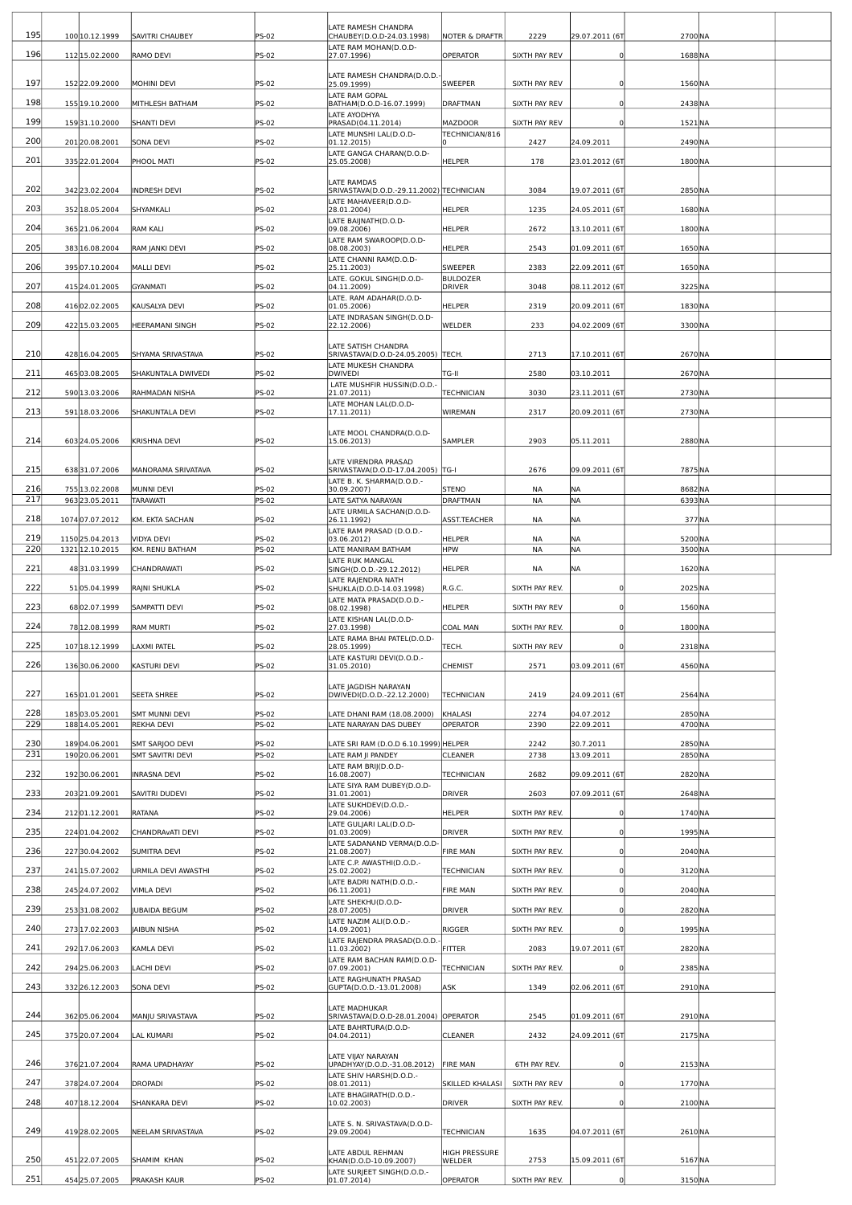| 195        |                                  |                                            |                       | LATE RAMESH CHANDRA<br>CHAUBEY(D.O.D-24.03.1998)                 |                                   | 2229            |                          |                    |  |
|------------|----------------------------------|--------------------------------------------|-----------------------|------------------------------------------------------------------|-----------------------------------|-----------------|--------------------------|--------------------|--|
| 196        | 100 10.12.1999<br>112 15.02.2000 | <b>SAVITRI CHAUBEY</b>                     | <b>PS-02</b>          | LATE RAM MOHAN(D.O.D-                                            | <b>NOTER &amp; DRAFTR</b>         |                 | 29.07.2011 (6T           | 2700 NA            |  |
|            |                                  | RAMO DEVI                                  | PS-02                 | 27.07.1996)                                                      | OPERATOR                          | SIXTH PAY REV   | 0                        | 1688 NA            |  |
| 197        | 15222.09.2000                    | MOHINI DEVI                                | PS-02                 | LATE RAMESH CHANDRA(D.O.D.<br>25.09.1999)                        | <b>SWEEPER</b>                    | SIXTH PAY REV   | 0                        | 1560 NA            |  |
| 198        | 155 19.10.2000                   | MITHLESH BATHAM                            | PS-02                 | LATE RAM GOPAL<br>BATHAM(D.O.D-16.07.1999)                       | DRAFTMAN                          | SIXTH PAY REV   | $\Omega$                 | 2438 NA            |  |
| 199        | 15931.10.2000                    | <b>SHANTI DEVI</b>                         | PS-02                 | LATE AYODHYA<br>PRASAD(04.11.2014)                               | <b>MAZDOOR</b>                    | SIXTH PAY REV   | $^{\circ}$               | 1521 NA            |  |
| 200        | 20120.08.2001                    | <b>SONA DEVI</b>                           | PS-02                 | LATE MUNSHI LAL(D.O.D-<br>01.12.2015)                            | TECHNICIAN/816                    | 2427            | 24.09.2011               | 2490 NA            |  |
| 201        | 335 22.01.2004                   | PHOOL MATI                                 | PS-02                 | LATE GANGA CHARAN(D.O.D-<br>25.05.2008)                          | <b>HELPER</b>                     | 178             | 23.01.2012 (6T           | 1800 NA            |  |
|            |                                  |                                            |                       | <b>LATE RAMDAS</b>                                               |                                   |                 |                          |                    |  |
| 202        | 342 23.02.2004                   | <b>INDRESH DEVI</b>                        | <b>PS-02</b>          | SRIVASTAVA(D.O.D.-29.11.2002) TECHNICIAN<br>LATE MAHAVEER(D.O.D- |                                   | 3084            | 19.07.2011 (6T           | 2850 NA            |  |
| 203        | 352 18.05.2004                   | SHYAMKALI                                  | PS-02                 | 28.01.2004)<br>LATE BAIJNATH(D.O.D-                              | <b>HELPER</b>                     | 1235            | 24.05.2011 (6T           | 1680 NA            |  |
| 204        | 365 21.06.2004                   | <b>RAM KALI</b>                            | <b>PS-02</b>          | 09.08.2006)<br>LATE RAM SWAROOP(D.O.D-                           | HELPER                            | 2672            | 13.10.2011 (6T           | 1800 NA            |  |
| 205        | 383 16.08.2004                   | RAM JANKI DEVI                             | <b>PS-02</b>          | 08.08.2003)<br>LATE CHANNI RAM(D.O.D-                            | <b>HELPER</b>                     | 2543            | 01.09.2011 (6T           | 1650 NA            |  |
| 206        | 39507.10.2004                    | <b>MALLI DEVI</b>                          | PS-02                 | 25.11.2003)<br>LATE. GOKUL SINGH(D.O.D-                          | <b>SWEEPER</b><br><b>BULDOZER</b> | 2383            | 22.09.2011 (6T           | 1650 NA            |  |
| 207        | 415 24.01.2005                   | GYANMATI                                   | PS-02                 | 04.11.2009)<br>LATE. RAM ADAHAR(D.O.D-                           | DRIVER                            | 3048            | 08.11.2012 (6T           | 3225 NA            |  |
| 208        | 41602.02.2005                    | KAUSALYA DEVI                              | <b>PS-02</b>          | 01.05.2006)<br>LATE INDRASAN SINGH(D.O.D-                        | <b>HELPER</b>                     | 2319            | 20.09.2011 (6T           | 1830 NA            |  |
| 209        | 422 15.03.2005                   | <b>HEERAMANI SINGH</b>                     | <b>PS-02</b>          | 22.12.2006)                                                      | WELDER                            | 233             | 04.02.2009 (6T           | 3300 NA            |  |
| 210        |                                  |                                            |                       | LATE SATISH CHANDRA                                              |                                   |                 |                          | 2670 NA            |  |
| 211        | 428 16.04.2005                   | SHYAMA SRIVASTAVA                          | PS-02                 | SRIVASTAVA(D.O.D-24.05.2005) TECH.<br>LATE MUKESH CHANDRA        |                                   | 2713            | 17.10.2011 (6T           |                    |  |
| 212        | 46503.08.2005                    | SHAKUNTALA DWIVEDI                         | <b>PS-02</b>          | <b>DWIVEDI</b><br>LATE MUSHFIR HUSSIN(D.O.D.-                    | TG-II                             | 2580            | 03.10.2011               | 2670 NA            |  |
|            | 590 13.03.2006                   | RAHMADAN NISHA                             | PS-02                 | 21.07.2011)<br>LATE MOHAN LAL(D.O.D-                             | <b>TECHNICIAN</b>                 | 3030            | 23.11.2011 (6T           | 2730 NA            |  |
| 213        | 591 18.03.2006                   | SHAKUNTALA DEVI                            | PS-02                 | 17.11.2011)                                                      | <b>WIREMAN</b>                    | 2317            | 20.09.2011 (6T           | 2730 NA            |  |
| 214        | 603 24.05.2006                   | <b>KRISHNA DEVI</b>                        | PS-02                 | LATE MOOL CHANDRA(D.O.D-<br>15.06.2013)                          | SAMPLER                           | 2903            | 05.11.2011               | 2880 NA            |  |
|            |                                  |                                            |                       | LATE VIRENDRA PRASAD                                             |                                   |                 |                          |                    |  |
| 215        | 63831.07.2006                    | MANORAMA SRIVATAVA                         | PS-02                 | SRIVASTAVA(D.O.D-17.04.2005)  TG-I<br>LATE B. K. SHARMA(D.O.D.-  |                                   | 2676            | 09.09.2011 (6T           | 7875 NA            |  |
| 216<br>217 | 755 13.02.2008<br>963 23.05.2011 | MUNNI DEVI<br><b>TARAWATI</b>              | <b>PS-02</b><br>PS-02 | 30.09.2007)<br>ATE SATYA NARAYAN                                 | <b>STENO</b><br><b>DRAFTMAN</b>   | NA<br><b>NA</b> | NA<br><b>NA</b>          | 8682NA<br>6393NA   |  |
| 218        | 107407.07.2012                   | KM. EKTA SACHAN                            | <b>PS-02</b>          | LATE URMILA SACHAN(D.O.D-<br>26.11.1992)                         | <b>ASST.TEACHER</b>               | NA              | NA                       | 377 NA             |  |
| 219        | 1150 25.04.2013                  | VIDYA DEVI                                 | PS-02                 | LATE RAM PRASAD (D.O.D.-<br>03.06.2012)                          | <b>HELPER</b>                     | NA              | <b>NA</b>                | 5200 NA            |  |
| 220        | 1321 12.10.2015                  | KM. RENU BATHAM                            | PS-02                 | LATE MANIRAM BATHAM                                              | <b>HPW</b>                        | NA              | NA                       | 3500 NA            |  |
| 221        | 4831.03.1999                     | CHANDRAWATI                                | PS-02                 | LATE RUK MANGAL<br>SINGH(D.O.D.-29.12.2012)                      | <b>HELPER</b>                     | NA              | NA.                      | 1620 NA            |  |
| 222        | 5105.04.1999                     | RAJNI SHUKLA                               | PS-02                 | LATE RAJENDRA NATH<br>SHUKLA(D.O.D-14.03.1998)                   | R.G.C.                            | SIXTH PAY REV.  | $^{\circ}$               | 2025 NA            |  |
| 223        | 6802.07.1999                     | SAMPATTI DEVI                              | PS-02                 | LATE MATA PRASAD(D.O.D.-<br>08.02.1998)                          | <b>HELPER</b>                     | SIXTH PAY REV   | $^{\circ}$               | 1560 NA            |  |
| 224        | 78 12.08.1999                    | <b>RAM MURTI</b>                           | PS-02                 | LATE KISHAN LAL(D.O.D-<br>27.03.1998)                            | <b>COAL MAN</b>                   | SIXTH PAY REV.  | $\Omega$                 | 1800 NA            |  |
| 225        | 107 18.12.1999                   | AXMI PATEL                                 | PS-02                 | LATE RAMA BHAI PATEL(D.O.D-<br>28.05.1999)                       | TECH.                             | SIXTH PAY REV   | 0                        | 2318 NA            |  |
| 226        | 13630.06.2000                    | KASTURI DEVI                               | PS-02                 | LATE KASTURI DEVI(D.O.D.-<br>31.05.2010)                         | <b>CHEMIST</b>                    | 2571            | 03.09.2011 (6T           | 4560 NA            |  |
|            |                                  |                                            |                       | LATE JAGDISH NARAYAN                                             |                                   |                 |                          |                    |  |
| 227        | 16501.01.2001                    | <b>SEETA SHREE</b>                         | <b>PS-02</b>          | DWIVEDI(D.O.D.-22.12.2000)                                       | <b>TECHNICIAN</b>                 | 2419            | 24.09.2011 (6T           | 2564 NA            |  |
| 228<br>229 | 18503.05.2001<br>188 14.05.2001  | <b>SMT MUNNI DEVI</b><br><b>REKHA DEVI</b> | PS-02<br>PS-02        | LATE DHANI RAM (18.08.2000)<br>LATE NARAYAN DAS DUBEY            | KHALASI<br><b>OPERATOR</b>        | 2274<br>2390    | 04.07.2012<br>22.09.2011 | 2850 NA<br>4700 NA |  |
| 230        | 18904.06.2001                    | SMT SARJOO DEVI                            | PS-02                 | LATE SRI RAM (D.O.D 6.10.1999) HELPER                            |                                   | 2242            | 30.7.2011                | 2850 NA            |  |
| 231        | 19020.06.2001                    | SMT SAVITRI DEVI                           | PS-02                 | LATE RAM JI PANDEY                                               | CLEANER                           | 2738            | 13.09.2011               | 2850 NA            |  |
| 232        | 19230.06.2001                    | <b>INRASNA DEVI</b>                        | PS-02                 | LATE RAM BRIJ(D.O.D-<br>16.08.2007)                              | <b>TECHNICIAN</b>                 | 2682            | 09.09.2011 (6T           | 2820 <sub>NA</sub> |  |
| 233        | 20321.09.2001                    | <b>SAVITRI DUDEVI</b>                      | PS-02                 | LATE SIYA RAM DUBEY(D.O.D-<br>31.01.2001)                        | <b>DRIVER</b>                     | 2603            | 07.09.2011 (6T           | 2648 NA            |  |
| 234        | 21201.12.2001                    | RATANA                                     | PS-02                 | LATE SUKHDEV(D.O.D.-<br>29.04.2006)                              | HELPER                            | SIXTH PAY REV.  | $^{\circ}$               | 1740 NA            |  |
| 235        | 224 01.04.2002                   | CHANDRAVATI DEVI                           | PS-02                 | LATE GULJARI LAL(D.O.D-<br>01.03.2009)                           | <b>DRIVER</b>                     | SIXTH PAY REV.  | $^{\circ}$               | 1995 NA            |  |
| 236        | 22730.04.2002                    | <b>SUMITRA DEVI</b>                        | <b>PS-02</b>          | LATE SADANAND VERMA(D.O.D<br>21.08.2007)                         | <b>FIRE MAN</b>                   | SIXTH PAY REV.  | $\mathbf 0$              | 2040 NA            |  |
| 237        | 241 15.07.2002                   | URMILA DEVI AWASTHI                        | PS-02                 | LATE C.P. AWASTHI(D.O.D.-<br>25.02.2002)                         | <b>TECHNICIAN</b>                 | SIXTH PAY REV.  | $^{\circ}$               | 3120 NA            |  |
| 238        | 245 24.07.2002                   | <b>VIMLA DEVI</b>                          | PS-02                 | LATE BADRI NATH(D.O.D.-<br>06.11.2001)                           | <b>FIRE MAN</b>                   | SIXTH PAY REV.  | $^{\circ}$               | 2040 NA            |  |
| 239        | 25331.08.2002                    | <b>UBAIDA BEGUM</b>                        | PS-02                 | LATE SHEKHU(D.O.D-<br>28.07.2005)                                | <b>DRIVER</b>                     | SIXTH PAY REV.  | $^{\circ}$               | 2820 NA            |  |
| 240        | 273 17.02.2003                   | <b>JAIBUN NISHA</b>                        | PS-02                 | LATE NAZIM ALI(D.O.D.-<br>14.09.2001)                            | <b>RIGGER</b>                     | SIXTH PAY REV.  | $^{\circ}$               | 1995 NA            |  |
| 241        | 292 17.06.2003                   | KAMLA DEVI                                 | PS-02                 | LATE RAJENDRA PRASAD(D.O.D.<br>11.03.2002)                       | <b>FITTER</b>                     | 2083            | 19.07.2011 (6T           | 2820 NA            |  |
| 242        | 294 25.06.2003                   | LACHI DEVI                                 | PS-02                 | LATE RAM BACHAN RAM(D.O.D-<br>07.09.2001)                        | <b>TECHNICIAN</b>                 | SIXTH PAY REV.  | $^{\circ}$               | 2385 NA            |  |
| 243        | 33226.12.2003                    | <b>SONA DEVI</b>                           | PS-02                 | LATE RAGHUNATH PRASAD<br>GUPTA(D.O.D.-13.01.2008)                | ASK                               | 1349            | 02.06.2011 (6T           | 2910 NA            |  |
|            |                                  |                                            |                       | LATE MADHUKAR                                                    |                                   |                 |                          |                    |  |
| 244        | 36205.06.2004                    | MANJU SRIVASTAVA                           | PS-02                 | SRIVASTAVA(D.O.D-28.01.2004) OPERATOR<br>LATE BAHRTURA(D.O.D-    |                                   | 2545            | 01.09.2011 (6T           | 2910 NA            |  |
| 245        | 375 20.07.2004                   | LAL KUMARI                                 | PS-02                 | 04.04.2011)                                                      | CLEANER                           | 2432            | 24.09.2011 (6T           | 2175 NA            |  |
| 246        | 376 21.07.2004                   | RAMA UPADHAYAY                             | PS-02                 | LATE VIJAY NARAYAN<br>UPADHYAY(D.O.D.-31.08.2012) FIRE MAN       |                                   | 6TH PAY REV.    | $^{\circ}$               | 2153 NA            |  |
| 247        | 37824.07.2004                    | <b>DROPADI</b>                             | <b>PS-02</b>          | LATE SHIV HARSH(D.O.D.-<br>08.01.2011)                           | SKILLED KHALASI                   | SIXTH PAY REV   | $^{\circ}$               | 1770 NA            |  |
| 248        |                                  |                                            |                       | LATE BHAGIRATH(D.O.D.-                                           |                                   |                 |                          |                    |  |
|            | 407 18.12.2004                   | SHANKARA DEVI                              | <b>PS-02</b>          | 10.02.2003)                                                      | <b>DRIVER</b>                     | SIXTH PAY REV.  | $^{\circ}$               | 2100 NA            |  |
| 249        | 41928.02.2005                    | NEELAM SRIVASTAVA                          | PS-02                 | LATE S. N. SRIVASTAVA(D.O.D-<br>29.09.2004)                      | <b>TECHNICIAN</b>                 | 1635            | 04.07.2011 (6T           | 2610 NA            |  |
|            |                                  |                                            |                       | LATE ABDUL REHMAN                                                | HIGH PRESSURE                     |                 |                          |                    |  |
| 250        | 45122.07.2005                    | SHAMIM KHAN                                | PS-02                 | KHAN(D.O.D-10.09.2007)<br>LATE SURJEET SINGH(D.O.D.-             | <b>WELDER</b>                     | 2753            | 15.09.2011 (67           | 5167NA             |  |
| 251        | 454 25.07.2005                   | <b>PRAKASH KAUR</b>                        | PS-02                 | 01.07.2014)                                                      | <b>OPERATOR</b>                   | SIXTH PAY REV.  | $^{\circ}$               | 3150 NA            |  |